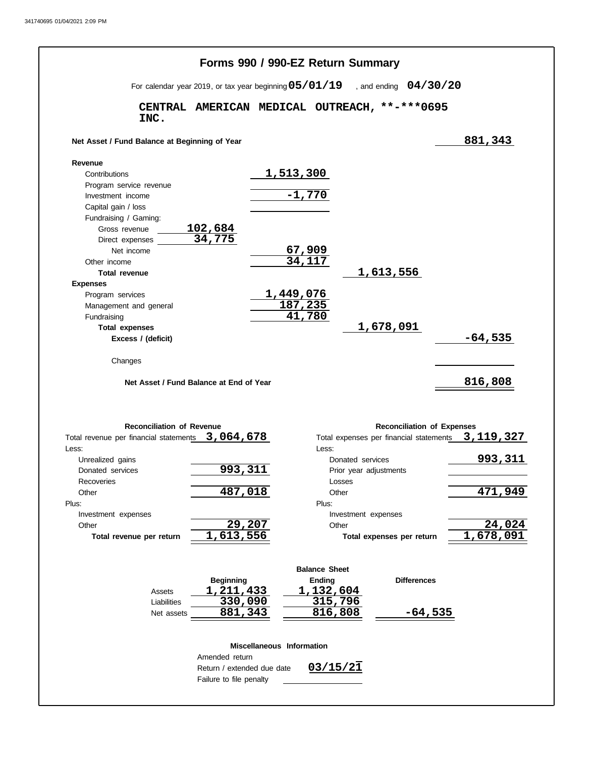|                                                                                   |                                              | Forms 990 / 990-EZ Return Summary                        |                                            |                                   |                                                                 |
|-----------------------------------------------------------------------------------|----------------------------------------------|----------------------------------------------------------|--------------------------------------------|-----------------------------------|-----------------------------------------------------------------|
|                                                                                   |                                              | For calendar year 2019, or tax year beginning $05/01/19$ |                                            | , and ending $04/30/20$           |                                                                 |
| INC.                                                                              |                                              | CENTRAL AMERICAN MEDICAL OUTREACH, **-***0695            |                                            |                                   |                                                                 |
| Net Asset / Fund Balance at Beginning of Year                                     |                                              |                                                          |                                            |                                   | 881,343                                                         |
| Revenue                                                                           |                                              |                                                          |                                            |                                   |                                                                 |
| Contributions<br>Program service revenue                                          |                                              | <u>1,513,300</u>                                         |                                            |                                   |                                                                 |
| Investment income                                                                 |                                              | $-1,770$                                                 |                                            |                                   |                                                                 |
| Capital gain / loss<br>Fundraising / Gaming:                                      |                                              |                                                          |                                            |                                   |                                                                 |
| Gross revenue                                                                     | 102,684                                      |                                                          |                                            |                                   |                                                                 |
| Direct expenses<br>Net income                                                     | 34,775                                       | 67,909                                                   |                                            |                                   |                                                                 |
| Other income                                                                      |                                              | 34,117                                                   |                                            |                                   |                                                                 |
| <b>Total revenue</b>                                                              |                                              |                                                          | 1,613,556                                  |                                   |                                                                 |
| <b>Expenses</b><br>Program services                                               |                                              | 1,449,076                                                |                                            |                                   |                                                                 |
| Management and general                                                            |                                              | 187,235                                                  |                                            |                                   |                                                                 |
| Fundraising                                                                       |                                              | $\overline{41,780}$                                      |                                            |                                   |                                                                 |
| <b>Total expenses</b><br>Excess / (deficit)                                       |                                              |                                                          | 1,678,091                                  |                                   | $-64,535$                                                       |
|                                                                                   |                                              |                                                          |                                            |                                   |                                                                 |
|                                                                                   | Net Asset / Fund Balance at End of Year      |                                                          |                                            |                                   | 816,808                                                         |
|                                                                                   |                                              |                                                          |                                            |                                   |                                                                 |
| <b>Reconciliation of Revenue</b>                                                  |                                              |                                                          |                                            | <b>Reconciliation of Expenses</b> |                                                                 |
|                                                                                   |                                              |                                                          | Total expenses per financial statements    |                                   |                                                                 |
|                                                                                   |                                              | Less:                                                    |                                            |                                   |                                                                 |
| Unrealized gains<br>Donated services                                              | 993, 311                                     |                                                          | Donated services<br>Prior year adjustments |                                   |                                                                 |
| Recoveries                                                                        |                                              |                                                          | Losses                                     |                                   |                                                                 |
| Other                                                                             | 487,018                                      |                                                          | Other                                      |                                   |                                                                 |
|                                                                                   |                                              | Plus:                                                    |                                            |                                   |                                                                 |
| Investment expenses<br>Other                                                      | 29,207                                       |                                                          | Investment expenses<br>Other               |                                   |                                                                 |
| Total revenue per return                                                          | 1,613,556                                    |                                                          | Total expenses per return                  |                                   |                                                                 |
|                                                                                   |                                              |                                                          |                                            |                                   |                                                                 |
|                                                                                   | <b>Beginning</b>                             | <b>Balance Sheet</b><br>Ending                           |                                            | <b>Differences</b>                |                                                                 |
| Assets                                                                            | <u>1,211,433</u>                             | <u>1,132,604</u>                                         |                                            |                                   |                                                                 |
| Total revenue per financial statements 3,064,678<br>Less:<br>Plus:<br>Liabilities | 330,090                                      |                                                          | 315,796                                    |                                   | 3, 119, 327<br><u>993,311</u><br>471,949<br>24,024<br>1,678,091 |
| Net assets                                                                        | 881,343                                      |                                                          | 816,808                                    | <u>–64,535</u>                    |                                                                 |
|                                                                                   |                                              | Miscellaneous Information                                |                                            |                                   |                                                                 |
|                                                                                   | Amended return<br>Return / extended due date |                                                          | 03/15/21                                   |                                   |                                                                 |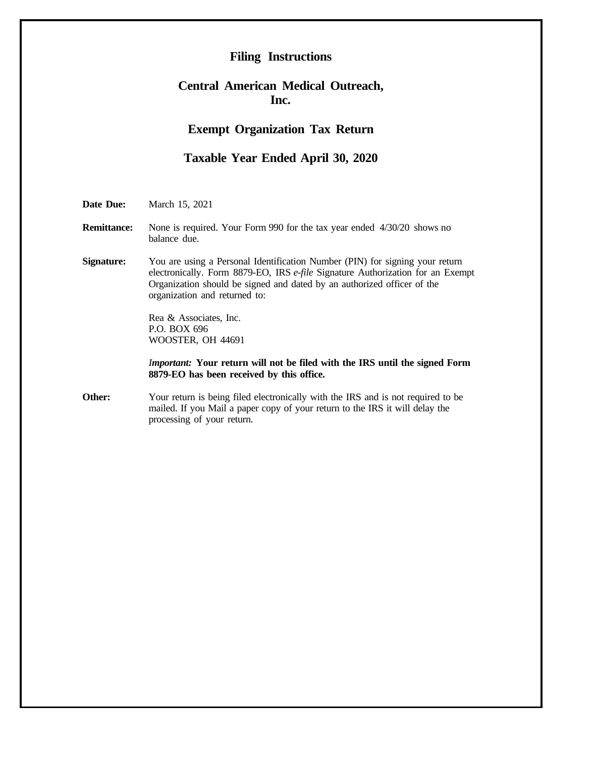#### **Filing Instructions**

## **Central American Medical Outreach, Inc.**

### **Exempt Organization Tax Return**

### **Taxable Year Ended April 30, 2020**

**Date Due:** March 15, 2021

- **Remittance:** None is required. Your Form 990 for the tax year ended 4/30/20 shows no balance due.
- **Signature:** You are using a Personal Identification Number (PIN) for signing your return electronically. Form 8879-EO, IRS *e-file* Signature Authorization for an Exempt Organization should be signed and dated by an authorized officer of the organization and returned to:

Rea & Associates, Inc. P.O. BOX 696 WOOSTER, OH 44691

*Important:* **Your return will not be filed with the IRS until the signed Form 8879-EO has been received by this office.**

**Other:** Your return is being filed electronically with the IRS and is not required to be mailed. If you Mail a paper copy of your return to the IRS it will delay the processing of your return.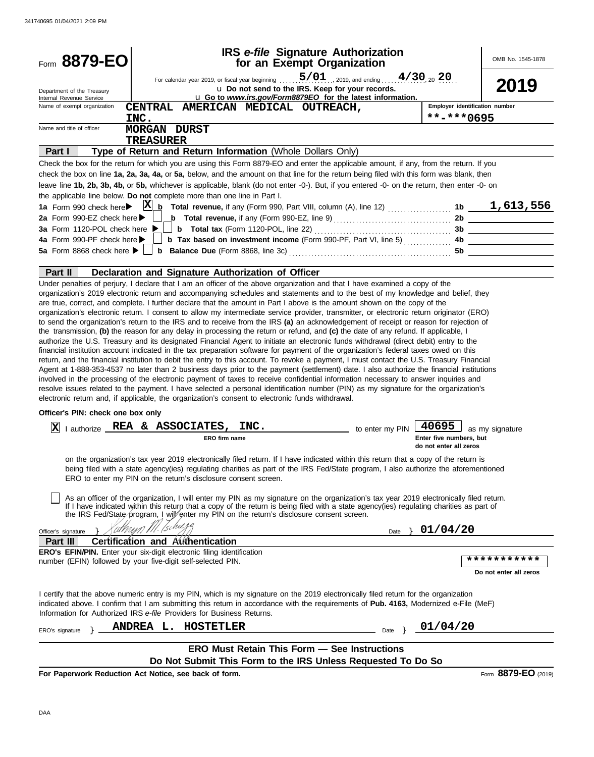| Form 8879-EO                                                                             |                                                                | <b>IRS</b> e-file Signature Authorization<br>for an Exempt Organization                                                                                                                                                                                                                                                                                                                                                                                                                                                                                                                                                                                                                                                                                                                                                                                                                                                                                                                                                                                                                                                                                                                                                                                                                                                                                                                                                                                                                                                                                                                                                                                                                                                                                                                 |                 |                                                            | OMB No. 1545-1878              |
|------------------------------------------------------------------------------------------|----------------------------------------------------------------|-----------------------------------------------------------------------------------------------------------------------------------------------------------------------------------------------------------------------------------------------------------------------------------------------------------------------------------------------------------------------------------------------------------------------------------------------------------------------------------------------------------------------------------------------------------------------------------------------------------------------------------------------------------------------------------------------------------------------------------------------------------------------------------------------------------------------------------------------------------------------------------------------------------------------------------------------------------------------------------------------------------------------------------------------------------------------------------------------------------------------------------------------------------------------------------------------------------------------------------------------------------------------------------------------------------------------------------------------------------------------------------------------------------------------------------------------------------------------------------------------------------------------------------------------------------------------------------------------------------------------------------------------------------------------------------------------------------------------------------------------------------------------------------------|-----------------|------------------------------------------------------------|--------------------------------|
| Department of the Treasury<br>Internal Revenue Service                                   |                                                                | For calendar year 2019, or fiscal year beginning , $5/01$ , 2019, and ending 4/30 20 20<br>u Do not send to the IRS. Keep for your records.<br>u Go to www.irs.gov/Form8879EO for the latest information.                                                                                                                                                                                                                                                                                                                                                                                                                                                                                                                                                                                                                                                                                                                                                                                                                                                                                                                                                                                                                                                                                                                                                                                                                                                                                                                                                                                                                                                                                                                                                                               |                 |                                                            | 2019                           |
| Name of exempt organization                                                              |                                                                | CENTRAL AMERICAN MEDICAL OUTREACH,                                                                                                                                                                                                                                                                                                                                                                                                                                                                                                                                                                                                                                                                                                                                                                                                                                                                                                                                                                                                                                                                                                                                                                                                                                                                                                                                                                                                                                                                                                                                                                                                                                                                                                                                                      |                 |                                                            | Employer identification number |
|                                                                                          | INC.                                                           |                                                                                                                                                                                                                                                                                                                                                                                                                                                                                                                                                                                                                                                                                                                                                                                                                                                                                                                                                                                                                                                                                                                                                                                                                                                                                                                                                                                                                                                                                                                                                                                                                                                                                                                                                                                         |                 | **-***0695                                                 |                                |
| Name and title of officer                                                                | <b>MORGAN DURST</b>                                            |                                                                                                                                                                                                                                                                                                                                                                                                                                                                                                                                                                                                                                                                                                                                                                                                                                                                                                                                                                                                                                                                                                                                                                                                                                                                                                                                                                                                                                                                                                                                                                                                                                                                                                                                                                                         |                 |                                                            |                                |
|                                                                                          | <b>TREASURER</b>                                               |                                                                                                                                                                                                                                                                                                                                                                                                                                                                                                                                                                                                                                                                                                                                                                                                                                                                                                                                                                                                                                                                                                                                                                                                                                                                                                                                                                                                                                                                                                                                                                                                                                                                                                                                                                                         |                 |                                                            |                                |
| Part I                                                                                   |                                                                | Type of Return and Return Information (Whole Dollars Only)                                                                                                                                                                                                                                                                                                                                                                                                                                                                                                                                                                                                                                                                                                                                                                                                                                                                                                                                                                                                                                                                                                                                                                                                                                                                                                                                                                                                                                                                                                                                                                                                                                                                                                                              |                 |                                                            |                                |
| the applicable line below. Do not complete more than one line in Part I.                 |                                                                | Check the box for the return for which you are using this Form 8879-EO and enter the applicable amount, if any, from the return. If you<br>check the box on line 1a, 2a, 3a, 4a, or 5a, below, and the amount on that line for the return being filed with this form was blank, then<br>leave line 1b, 2b, 3b, 4b, or 5b, whichever is applicable, blank (do not enter -0-). But, if you entered -0- on the return, then enter -0- on                                                                                                                                                                                                                                                                                                                                                                                                                                                                                                                                                                                                                                                                                                                                                                                                                                                                                                                                                                                                                                                                                                                                                                                                                                                                                                                                                   |                 |                                                            |                                |
| 1a Form 990 check here                                                                   |                                                                | $X_{n}$ Total revenue, if any (Form 990, Part VIII, column (A), line 12)  1b $1,613,556$                                                                                                                                                                                                                                                                                                                                                                                                                                                                                                                                                                                                                                                                                                                                                                                                                                                                                                                                                                                                                                                                                                                                                                                                                                                                                                                                                                                                                                                                                                                                                                                                                                                                                                |                 |                                                            |                                |
| 2a Form 990-EZ check here ▶<br>3a Form 1120-POL check here $\blacktriangleright$         |                                                                |                                                                                                                                                                                                                                                                                                                                                                                                                                                                                                                                                                                                                                                                                                                                                                                                                                                                                                                                                                                                                                                                                                                                                                                                                                                                                                                                                                                                                                                                                                                                                                                                                                                                                                                                                                                         |                 |                                                            |                                |
| 4a Form 990-PF check here ▶                                                              |                                                                |                                                                                                                                                                                                                                                                                                                                                                                                                                                                                                                                                                                                                                                                                                                                                                                                                                                                                                                                                                                                                                                                                                                                                                                                                                                                                                                                                                                                                                                                                                                                                                                                                                                                                                                                                                                         |                 |                                                            |                                |
| 5a Form 8868 check here ▶                                                                |                                                                |                                                                                                                                                                                                                                                                                                                                                                                                                                                                                                                                                                                                                                                                                                                                                                                                                                                                                                                                                                                                                                                                                                                                                                                                                                                                                                                                                                                                                                                                                                                                                                                                                                                                                                                                                                                         |                 |                                                            |                                |
| Part II                                                                                  |                                                                | Declaration and Signature Authorization of Officer                                                                                                                                                                                                                                                                                                                                                                                                                                                                                                                                                                                                                                                                                                                                                                                                                                                                                                                                                                                                                                                                                                                                                                                                                                                                                                                                                                                                                                                                                                                                                                                                                                                                                                                                      |                 |                                                            |                                |
| Officer's PIN: check one box only                                                        |                                                                | Under penalties of perjury, I declare that I am an officer of the above organization and that I have examined a copy of the<br>organization's 2019 electronic return and accompanying schedules and statements and to the best of my knowledge and belief, they<br>are true, correct, and complete. I further declare that the amount in Part I above is the amount shown on the copy of the<br>organization's electronic return. I consent to allow my intermediate service provider, transmitter, or electronic return originator (ERO)<br>to send the organization's return to the IRS and to receive from the IRS (a) an acknowledgement of receipt or reason for rejection of<br>the transmission, (b) the reason for any delay in processing the return or refund, and (c) the date of any refund. If applicable, I<br>authorize the U.S. Treasury and its designated Financial Agent to initiate an electronic funds withdrawal (direct debit) entry to the<br>financial institution account indicated in the tax preparation software for payment of the organization's federal taxes owed on this<br>return, and the financial institution to debit the entry to this account. To revoke a payment, I must contact the U.S. Treasury Financial<br>Agent at 1-888-353-4537 no later than 2 business days prior to the payment (settlement) date. I also authorize the financial institutions<br>involved in the processing of the electronic payment of taxes to receive confidential information necessary to answer inquiries and<br>resolve issues related to the payment. I have selected a personal identification number (PIN) as my signature for the organization's<br>electronic return and, if applicable, the organization's consent to electronic funds withdrawal. |                 |                                                            |                                |
|                                                                                          |                                                                |                                                                                                                                                                                                                                                                                                                                                                                                                                                                                                                                                                                                                                                                                                                                                                                                                                                                                                                                                                                                                                                                                                                                                                                                                                                                                                                                                                                                                                                                                                                                                                                                                                                                                                                                                                                         |                 |                                                            |                                |
| ΙX                                                                                       | $I$ authorize REA & ASSOCIATES,                                | INC.<br>ERO firm name                                                                                                                                                                                                                                                                                                                                                                                                                                                                                                                                                                                                                                                                                                                                                                                                                                                                                                                                                                                                                                                                                                                                                                                                                                                                                                                                                                                                                                                                                                                                                                                                                                                                                                                                                                   | to enter my PIN | 40695<br>Enter five numbers, but<br>do not enter all zeros | as my signature                |
|                                                                                          | ERO to enter my PIN on the return's disclosure consent screen. | on the organization's tax year 2019 electronically filed return. If I have indicated within this return that a copy of the return is<br>being filed with a state agency(ies) regulating charities as part of the IRS Fed/State program, I also authorize the aforementioned<br>As an officer of the organization, I will enter my PIN as my signature on the organization's tax year 2019 electronically filed return.                                                                                                                                                                                                                                                                                                                                                                                                                                                                                                                                                                                                                                                                                                                                                                                                                                                                                                                                                                                                                                                                                                                                                                                                                                                                                                                                                                  |                 |                                                            |                                |
|                                                                                          |                                                                | If I have indicated within this return that a copy of the return is being filed with a state agency(ies) regulating charities as part of<br>the IRS Fed/State program, I will enter my PIN on the return's disclosure consent screen.                                                                                                                                                                                                                                                                                                                                                                                                                                                                                                                                                                                                                                                                                                                                                                                                                                                                                                                                                                                                                                                                                                                                                                                                                                                                                                                                                                                                                                                                                                                                                   |                 |                                                            |                                |
| Officer's signature                                                                      |                                                                |                                                                                                                                                                                                                                                                                                                                                                                                                                                                                                                                                                                                                                                                                                                                                                                                                                                                                                                                                                                                                                                                                                                                                                                                                                                                                                                                                                                                                                                                                                                                                                                                                                                                                                                                                                                         | Date            | 01/04/20                                                   |                                |
| Part III                                                                                 | Certification and Authentication                               |                                                                                                                                                                                                                                                                                                                                                                                                                                                                                                                                                                                                                                                                                                                                                                                                                                                                                                                                                                                                                                                                                                                                                                                                                                                                                                                                                                                                                                                                                                                                                                                                                                                                                                                                                                                         |                 |                                                            |                                |
| ERO's EFIN/PIN. Enter your six-digit electronic filing identification                    |                                                                |                                                                                                                                                                                                                                                                                                                                                                                                                                                                                                                                                                                                                                                                                                                                                                                                                                                                                                                                                                                                                                                                                                                                                                                                                                                                                                                                                                                                                                                                                                                                                                                                                                                                                                                                                                                         |                 |                                                            |                                |
| number (EFIN) followed by your five-digit self-selected PIN.                             |                                                                |                                                                                                                                                                                                                                                                                                                                                                                                                                                                                                                                                                                                                                                                                                                                                                                                                                                                                                                                                                                                                                                                                                                                                                                                                                                                                                                                                                                                                                                                                                                                                                                                                                                                                                                                                                                         |                 |                                                            | ***********                    |
| Information for Authorized IRS e-file Providers for Business Returns.<br>ERO's signature | ANDREA L. HOSTETLER                                            | I certify that the above numeric entry is my PIN, which is my signature on the 2019 electronically filed return for the organization<br>indicated above. I confirm that I am submitting this return in accordance with the requirements of Pub. 4163, Modernized e-File (MeF)                                                                                                                                                                                                                                                                                                                                                                                                                                                                                                                                                                                                                                                                                                                                                                                                                                                                                                                                                                                                                                                                                                                                                                                                                                                                                                                                                                                                                                                                                                           | Date $\}$       | 01/04/20                                                   | Do not enter all zeros         |
|                                                                                          |                                                                |                                                                                                                                                                                                                                                                                                                                                                                                                                                                                                                                                                                                                                                                                                                                                                                                                                                                                                                                                                                                                                                                                                                                                                                                                                                                                                                                                                                                                                                                                                                                                                                                                                                                                                                                                                                         |                 |                                                            |                                |
|                                                                                          |                                                                | <b>ERO Must Retain This Form - See Instructions</b>                                                                                                                                                                                                                                                                                                                                                                                                                                                                                                                                                                                                                                                                                                                                                                                                                                                                                                                                                                                                                                                                                                                                                                                                                                                                                                                                                                                                                                                                                                                                                                                                                                                                                                                                     |                 |                                                            |                                |
|                                                                                          |                                                                | Do Not Submit This Form to the IRS Unless Requested To Do So                                                                                                                                                                                                                                                                                                                                                                                                                                                                                                                                                                                                                                                                                                                                                                                                                                                                                                                                                                                                                                                                                                                                                                                                                                                                                                                                                                                                                                                                                                                                                                                                                                                                                                                            |                 |                                                            |                                |
| For Paperwork Reduction Act Notice, see back of form.                                    |                                                                |                                                                                                                                                                                                                                                                                                                                                                                                                                                                                                                                                                                                                                                                                                                                                                                                                                                                                                                                                                                                                                                                                                                                                                                                                                                                                                                                                                                                                                                                                                                                                                                                                                                                                                                                                                                         |                 |                                                            | Form 8879-EO (2019)            |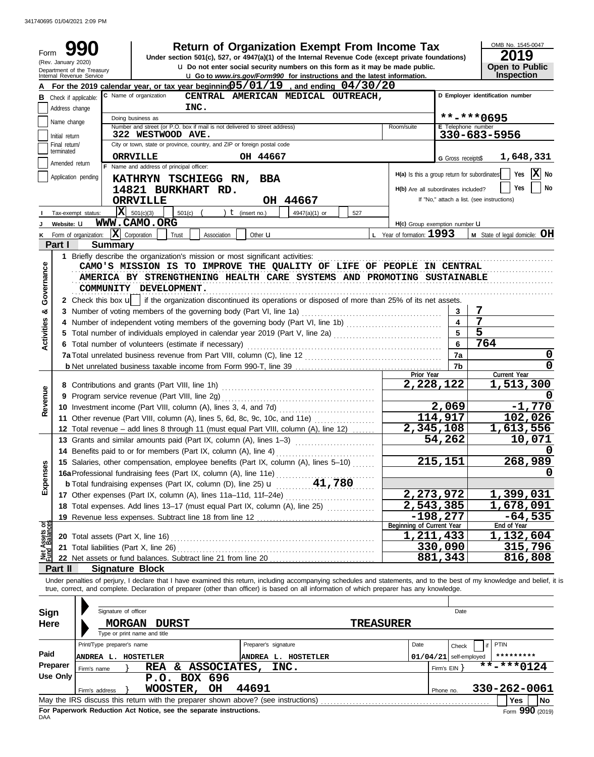341740695 01/04/2021 2:09 PM

| Form        | (Rev. January 2020)           |                                                        |                                                                                                         | <b>Return of Organization Exempt From Income Tax</b><br>Under section 501(c), 527, or 4947(a)(1) of the Internal Revenue Code (except private foundations)                                                                                                                                                               |                  |                                              |                           | OMB No. 1545-0047<br>2019                  |
|-------------|-------------------------------|--------------------------------------------------------|---------------------------------------------------------------------------------------------------------|--------------------------------------------------------------------------------------------------------------------------------------------------------------------------------------------------------------------------------------------------------------------------------------------------------------------------|------------------|----------------------------------------------|---------------------------|--------------------------------------------|
|             |                               | Department of the Treasury<br>Internal Revenue Service |                                                                                                         | <b>u</b> Do not enter social security numbers on this form as it may be made public.<br><b>u</b> Go to www.irs.gov/Form990 for instructions and the latest information.                                                                                                                                                  |                  |                                              |                           | Open to Public<br>Inspection               |
|             |                               |                                                        |                                                                                                         | For the 2019 calendar year, or tax year beginning $05/01/19$ , and ending $04/30/20$                                                                                                                                                                                                                                     |                  |                                              |                           |                                            |
|             | <b>B</b> Check if applicable: |                                                        | C Name of organization                                                                                  | CENTRAL AMERICAN MEDICAL OUTREACH,                                                                                                                                                                                                                                                                                       |                  |                                              |                           | D Employer identification number           |
|             | Address change                |                                                        | INC.                                                                                                    |                                                                                                                                                                                                                                                                                                                          |                  |                                              |                           |                                            |
|             | Name change                   |                                                        | Doing business as                                                                                       |                                                                                                                                                                                                                                                                                                                          |                  |                                              |                           | **-***0695                                 |
|             |                               |                                                        | Number and street (or P.O. box if mail is not delivered to street address)                              |                                                                                                                                                                                                                                                                                                                          |                  | Room/suite                                   | <b>E</b> Telephone number |                                            |
|             | Initial return                |                                                        | 322 WESTWOOD AVE.                                                                                       |                                                                                                                                                                                                                                                                                                                          |                  |                                              |                           | 330-683-5956                               |
|             | Final return/<br>terminated   |                                                        | City or town, state or province, country, and ZIP or foreign postal code                                |                                                                                                                                                                                                                                                                                                                          |                  |                                              |                           |                                            |
|             | Amended return                |                                                        | <b>ORRVILLE</b>                                                                                         | OH 44667                                                                                                                                                                                                                                                                                                                 |                  |                                              | G Gross receipts\$        | 1,648,331                                  |
|             |                               |                                                        | F Name and address of principal officer:                                                                |                                                                                                                                                                                                                                                                                                                          |                  | H(a) Is this a group return for subordinates |                           | $ \mathbf{X} $ No<br>Yes                   |
|             | Application pending           |                                                        | KATHRYN TSCHIEGG RN,                                                                                    | <b>BBA</b>                                                                                                                                                                                                                                                                                                               |                  |                                              |                           |                                            |
|             |                               |                                                        | 14821 BURKHART RD.                                                                                      |                                                                                                                                                                                                                                                                                                                          |                  | H(b) Are all subordinates included?          |                           | Yes<br>No                                  |
|             |                               |                                                        | <b>ORRVILLE</b>                                                                                         | OH 44667                                                                                                                                                                                                                                                                                                                 |                  |                                              |                           | If "No," attach a list. (see instructions) |
|             | Tax-exempt status:            | X)                                                     | 501(c)(3)<br>501(c)                                                                                     | ) $t$ (insert no.)<br>4947(a)(1) or                                                                                                                                                                                                                                                                                      | 527              |                                              |                           |                                            |
|             | Website: U                    |                                                        | WWW.CAMO.ORG                                                                                            |                                                                                                                                                                                                                                                                                                                          |                  | $H(c)$ Group exemption number $U$            |                           |                                            |
| κ           |                               | Form of organization:                                  | $ \mathbf{X} $ Corporation<br>Trust<br>Association                                                      | Other $\mathbf u$                                                                                                                                                                                                                                                                                                        |                  | L Year of formation: 1993                    |                           | M State of legal domicile: OH              |
|             | Part I                        | <b>Summary</b>                                         |                                                                                                         |                                                                                                                                                                                                                                                                                                                          |                  |                                              |                           |                                            |
| Governance  |                               |                                                        | 1 Briefly describe the organization's mission or most significant activities:<br>COMMUNITY DEVELOPMENT. | CAMO'S MISSION IS TO IMPROVE THE QUALITY OF LIFE OF PEOPLE IN CENTRAL<br>AMERICA BY STRENGTHENING HEALTH CARE SYSTEMS AND PROMOTING SUSTAINABLE                                                                                                                                                                          |                  |                                              |                           |                                            |
|             |                               |                                                        |                                                                                                         | 2 Check this box $\mathbf{u}$ if the organization discontinued its operations or disposed of more than 25% of its net assets.                                                                                                                                                                                            |                  |                                              |                           |                                            |
| න්          |                               |                                                        |                                                                                                         |                                                                                                                                                                                                                                                                                                                          |                  |                                              | 3                         | 7                                          |
| Activities  |                               |                                                        |                                                                                                         | 4 Number of independent voting members of the governing body (Part VI, line 1b)                                                                                                                                                                                                                                          |                  |                                              |                           | 7                                          |
|             |                               |                                                        |                                                                                                         |                                                                                                                                                                                                                                                                                                                          |                  |                                              |                           | 5                                          |
|             |                               |                                                        | 6 Total number of volunteers (estimate if necessary)                                                    |                                                                                                                                                                                                                                                                                                                          |                  |                                              |                           | 764                                        |
|             |                               |                                                        |                                                                                                         |                                                                                                                                                                                                                                                                                                                          |                  |                                              | 7a                        | 0                                          |
|             |                               |                                                        |                                                                                                         |                                                                                                                                                                                                                                                                                                                          |                  |                                              | 7b                        | 0                                          |
|             |                               |                                                        |                                                                                                         |                                                                                                                                                                                                                                                                                                                          |                  | Prior Year                                   |                           | Current Year                               |
|             |                               |                                                        |                                                                                                         |                                                                                                                                                                                                                                                                                                                          |                  | 2,228,122                                    |                           | 1,513,300                                  |
|             |                               |                                                        | 9 Program service revenue (Part VIII, line 2g)                                                          |                                                                                                                                                                                                                                                                                                                          |                  |                                              |                           |                                            |
| Revenue     |                               |                                                        |                                                                                                         |                                                                                                                                                                                                                                                                                                                          |                  |                                              | 2,069                     | $-1,770$                                   |
|             |                               |                                                        |                                                                                                         | 11 Other revenue (Part VIII, column (A), lines 5, 6d, 8c, 9c, 10c, and 11e)                                                                                                                                                                                                                                              |                  |                                              | 114,917                   | 102,026                                    |
|             |                               |                                                        |                                                                                                         | 12 Total revenue - add lines 8 through 11 (must equal Part VIII, column (A), line 12)                                                                                                                                                                                                                                    |                  | 2,345,108                                    |                           | 1,613,556                                  |
|             |                               |                                                        |                                                                                                         | 13 Grants and similar amounts paid (Part IX, column (A), lines 1-3)                                                                                                                                                                                                                                                      |                  |                                              | 54,262                    | 10,071                                     |
|             |                               |                                                        | 14 Benefits paid to or for members (Part IX, column (A), line 4)                                        |                                                                                                                                                                                                                                                                                                                          |                  |                                              |                           | <sup>0</sup>                               |
| Expenses    |                               |                                                        |                                                                                                         | 15 Salaries, other compensation, employee benefits (Part IX, column (A), lines 5-10)                                                                                                                                                                                                                                     |                  |                                              | 215,151                   | 268,989                                    |
|             |                               |                                                        |                                                                                                         |                                                                                                                                                                                                                                                                                                                          |                  |                                              |                           | O                                          |
|             |                               |                                                        |                                                                                                         |                                                                                                                                                                                                                                                                                                                          |                  |                                              |                           |                                            |
|             |                               |                                                        |                                                                                                         | 17 Other expenses (Part IX, column (A), lines 11a-11d, 11f-24e)                                                                                                                                                                                                                                                          |                  | 2,273,972                                    |                           | 1,399,031                                  |
|             |                               |                                                        |                                                                                                         | 18 Total expenses. Add lines 13-17 (must equal Part IX, column (A), line 25)                                                                                                                                                                                                                                             |                  | 2,543,385                                    |                           | $\overline{1,678,091}$                     |
|             |                               |                                                        |                                                                                                         | 19 Revenue less expenses. Subtract line 18 from line 12 [100] Nevenue in the state of the state of the state of the state of the state of the state of the state of the state of the state of the state of the state of the st                                                                                           |                  | Beginning of Current Year                    | $-198,277$                | $-64,535$<br>End of Year                   |
|             |                               |                                                        |                                                                                                         |                                                                                                                                                                                                                                                                                                                          |                  | 1,211,433                                    |                           | 1,132,604                                  |
| Assets or   |                               | 20 Total assets (Part X, line 16)                      |                                                                                                         |                                                                                                                                                                                                                                                                                                                          |                  |                                              |                           |                                            |
| Net<br>Fund |                               | 21 Total liabilities (Part X, line 26)                 |                                                                                                         |                                                                                                                                                                                                                                                                                                                          |                  |                                              | 330,090<br>881,343        | 315,796                                    |
|             |                               |                                                        |                                                                                                         |                                                                                                                                                                                                                                                                                                                          |                  |                                              |                           | 816,808                                    |
|             | Part II                       | <b>Signature Block</b>                                 |                                                                                                         |                                                                                                                                                                                                                                                                                                                          |                  |                                              |                           |                                            |
|             |                               |                                                        |                                                                                                         | Under penalties of perjury, I declare that I have examined this return, including accompanying schedules and statements, and to the best of my knowledge and belief, it is<br>true, correct, and complete. Declaration of preparer (other than officer) is based on all information of which preparer has any knowledge. |                  |                                              |                           |                                            |
| <b>Sign</b> |                               | Signature of officer                                   |                                                                                                         |                                                                                                                                                                                                                                                                                                                          |                  |                                              | Date                      |                                            |
| Here        |                               | <b>MORGAN</b>                                          | <b>DURST</b>                                                                                            |                                                                                                                                                                                                                                                                                                                          | <b>TREASURER</b> |                                              |                           |                                            |
|             |                               |                                                        | Type or print name and title                                                                            |                                                                                                                                                                                                                                                                                                                          |                  |                                              |                           |                                            |
|             |                               | Print/Type preparer's name                             |                                                                                                         | Preparer's signature                                                                                                                                                                                                                                                                                                     |                  | Date                                         | Check                     | PTIN                                       |
| Paid        |                               | ANDREA L. HOSTETLER                                    |                                                                                                         | ANDREA L. HOSTETLER                                                                                                                                                                                                                                                                                                      |                  |                                              | $01/04/21$ self-employed  | *********                                  |
|             | Preparer                      | Firm's name                                            | REA & ASSOCIATES,                                                                                       | INC.                                                                                                                                                                                                                                                                                                                     |                  |                                              | Firm's EIN                | **-***0124                                 |
|             | <b>Use Only</b>               |                                                        | P.O. BOX 696                                                                                            |                                                                                                                                                                                                                                                                                                                          |                  |                                              |                           |                                            |
|             |                               | Firm's address                                         | WOOSTER, OH                                                                                             | 44691                                                                                                                                                                                                                                                                                                                    |                  |                                              | Phone no.                 | 330-262-0061                               |
|             |                               |                                                        |                                                                                                         |                                                                                                                                                                                                                                                                                                                          |                  |                                              |                           | Yes<br>No                                  |

| Preparer | Firm's name    | INC.<br>REA & ASSOCIATES,                                                         | Firm's $EIN$ | $***$ -*** 0124 |                   |      |
|----------|----------------|-----------------------------------------------------------------------------------|--------------|-----------------|-------------------|------|
| Use Only |                | P.O. BOX 696                                                                      |              |                 |                   |      |
|          | Firm's address | 44691<br>WOOSTER, OH                                                              | Phone no.    | 330-262-0061    |                   |      |
|          |                | May the IRS discuss this return with the preparer shown above? (see instructions) |              |                 | <b>Yes</b>        | l No |
| DAA      |                | For Paperwork Reduction Act Notice, see the separate instructions.                |              |                 | Form $990$ (2019) |      |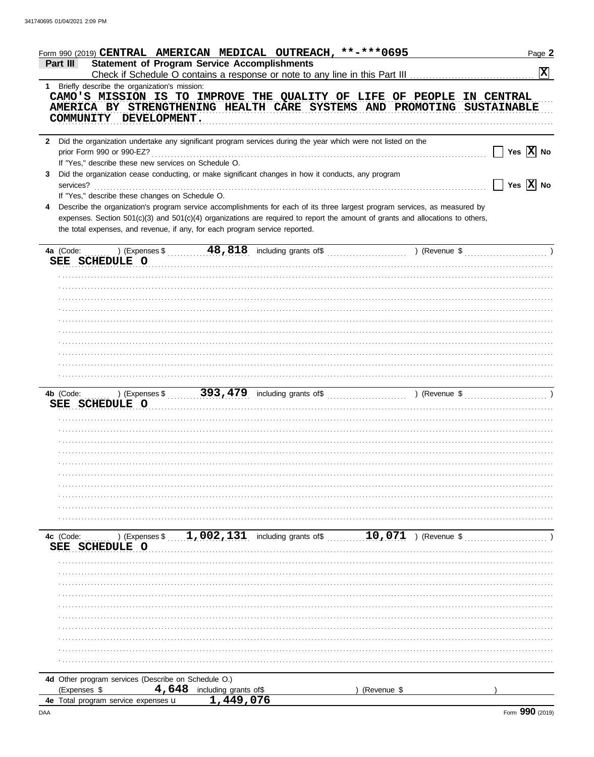| Form 990 (2019) CENTRAL AMERICAN MEDICAL OUTREACH, **-***0695                                                                                                                                                                                                                                                                                                                                  |                        | Page 2                                                    |
|------------------------------------------------------------------------------------------------------------------------------------------------------------------------------------------------------------------------------------------------------------------------------------------------------------------------------------------------------------------------------------------------|------------------------|-----------------------------------------------------------|
| <b>Statement of Program Service Accomplishments</b><br>Part III                                                                                                                                                                                                                                                                                                                                |                        | $\boxed{\mathbf{X}}$                                      |
| Briefly describe the organization's mission:<br>1                                                                                                                                                                                                                                                                                                                                              |                        |                                                           |
| CAMO'S MISSION IS TO IMPROVE THE QUALITY OF LIFE OF PEOPLE IN CENTRAL<br>AMERICA BY STRENGTHENING HEALTH CARE SYSTEMS AND PROMOTING SUSTAINABLE<br>COMMUNITY DEVELOPMENT.                                                                                                                                                                                                                      |                        |                                                           |
| 2 Did the organization undertake any significant program services during the year which were not listed on the<br>prior Form 990 or 990-EZ?<br>If "Yes," describe these new services on Schedule O.<br>Did the organization cease conducting, or make significant changes in how it conducts, any program<br>3<br>services?                                                                    |                        | Yes $\overline{X}$ No<br>$\Box$ Yes $\boxed{\text{X}}$ No |
| If "Yes," describe these changes on Schedule O.<br>Describe the organization's program service accomplishments for each of its three largest program services, as measured by<br>expenses. Section 501(c)(3) and 501(c)(4) organizations are required to report the amount of grants and allocations to others,<br>the total expenses, and revenue, if any, for each program service reported. |                        |                                                           |
|                                                                                                                                                                                                                                                                                                                                                                                                |                        |                                                           |
| 4a (Code:<br>SEE SCHEDULE O                                                                                                                                                                                                                                                                                                                                                                    |                        |                                                           |
| SEE SCHEDULE O                                                                                                                                                                                                                                                                                                                                                                                 |                        |                                                           |
| ) (Expenses $$1,002,131$ including grants of \$<br>4c (Code:<br><b>SCHEDULE O</b><br>4d Other program services (Describe on Schedule O.)                                                                                                                                                                                                                                                       | $10,071$ ) (Revenue \$ |                                                           |
| 4,648<br>(Expenses \$<br>including grants of\$                                                                                                                                                                                                                                                                                                                                                 | (Revenue \$            |                                                           |
| 1,449,076<br>4e Total program service expenses u                                                                                                                                                                                                                                                                                                                                               |                        |                                                           |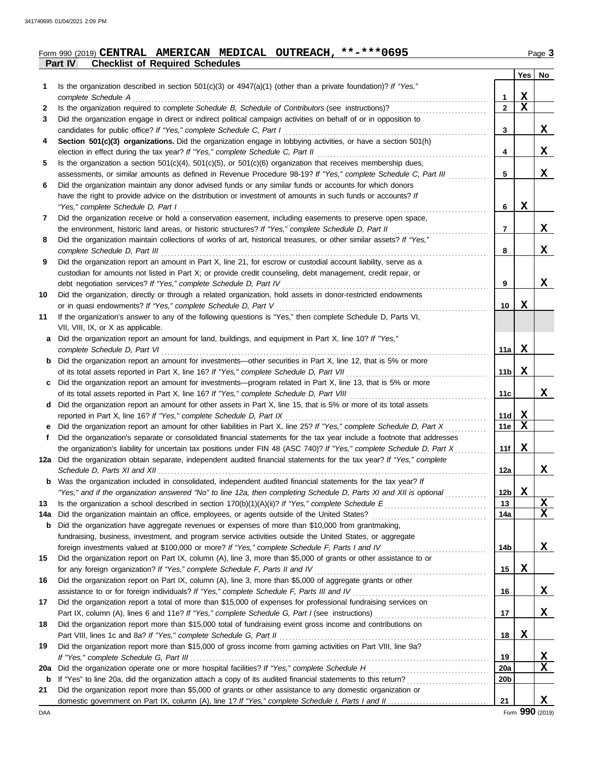#### **Part IV Checklist of Required Schedules Form 990 (2019) CENTRAL AMERICAN MEDICAL OUTREACH, \*\*-\*\*\*0695**

| ٠ | ╭ |  |  |
|---|---|--|--|
|---|---|--|--|

|          | noonnot or noganca ooncaan                                                                                                                                                    |                 |             |        |
|----------|-------------------------------------------------------------------------------------------------------------------------------------------------------------------------------|-----------------|-------------|--------|
|          |                                                                                                                                                                               |                 | Yes         | No     |
| 1.       | Is the organization described in section $501(c)(3)$ or $4947(a)(1)$ (other than a private foundation)? If "Yes,"<br>complete Schedule A                                      | 1               | X           |        |
| 2        | Is the organization required to complete Schedule B, Schedule of Contributors (see instructions)?                                                                             | $\mathbf{2}$    | $\mathbf x$ |        |
| 3        | Did the organization engage in direct or indirect political campaign activities on behalf of or in opposition to                                                              |                 |             |        |
|          | candidates for public office? If "Yes," complete Schedule C, Part I                                                                                                           | 3               |             | X      |
| 4        | Section 501(c)(3) organizations. Did the organization engage in lobbying activities, or have a section 501(h)                                                                 |                 |             |        |
|          | election in effect during the tax year? If "Yes," complete Schedule C, Part II                                                                                                | 4               |             | X      |
| 5        | Is the organization a section $501(c)(4)$ , $501(c)(5)$ , or $501(c)(6)$ organization that receives membership dues,                                                          |                 |             |        |
|          | assessments, or similar amounts as defined in Revenue Procedure 98-19? If "Yes," complete Schedule C, Part III                                                                | 5               |             | X      |
| 6        | Did the organization maintain any donor advised funds or any similar funds or accounts for which donors                                                                       |                 |             |        |
|          | have the right to provide advice on the distribution or investment of amounts in such funds or accounts? If                                                                   |                 |             |        |
|          | "Yes," complete Schedule D, Part I                                                                                                                                            | 6               | X           |        |
| 7        | Did the organization receive or hold a conservation easement, including easements to preserve open space,                                                                     |                 |             |        |
|          | the environment, historic land areas, or historic structures? If "Yes," complete Schedule D, Part II                                                                          | 7               |             | X      |
| 8        | Did the organization maintain collections of works of art, historical treasures, or other similar assets? If "Yes,"                                                           |                 |             |        |
|          | complete Schedule D, Part III                                                                                                                                                 | 8               |             | X      |
| 9        | Did the organization report an amount in Part X, line 21, for escrow or custodial account liability, serve as a                                                               |                 |             |        |
|          | custodian for amounts not listed in Part X; or provide credit counseling, debt management, credit repair, or                                                                  |                 |             |        |
|          | debt negotiation services? If "Yes," complete Schedule D, Part IV                                                                                                             | 9               |             | X      |
| 10       | Did the organization, directly or through a related organization, hold assets in donor-restricted endowments<br>or in quasi endowments? If "Yes," complete Schedule D, Part V | 10              | x           |        |
| 11       | If the organization's answer to any of the following questions is "Yes," then complete Schedule D, Parts VI,                                                                  |                 |             |        |
|          | VII, VIII, IX, or X as applicable.                                                                                                                                            |                 |             |        |
| a        | Did the organization report an amount for land, buildings, and equipment in Part X, line 10? If "Yes,"                                                                        |                 |             |        |
|          | complete Schedule D, Part VI                                                                                                                                                  | 11a             | X           |        |
| b        | Did the organization report an amount for investments-other securities in Part X, line 12, that is 5% or more                                                                 |                 |             |        |
|          | of its total assets reported in Part X, line 16? If "Yes," complete Schedule D, Part VII                                                                                      | 11 <sub>b</sub> | X           |        |
| c        | Did the organization report an amount for investments—program related in Part X, line 13, that is 5% or more                                                                  |                 |             |        |
|          |                                                                                                                                                                               | 11c             |             | X      |
| d        | Did the organization report an amount for other assets in Part X, line 15, that is 5% or more of its total assets                                                             |                 |             |        |
|          | reported in Part X, line 16? If "Yes," complete Schedule D, Part IX                                                                                                           | 11d             | X           |        |
| е        | Did the organization report an amount for other liabilities in Part X, line 25? If "Yes," complete Schedule D, Part X                                                         | 11e             | X           |        |
| f        | Did the organization's separate or consolidated financial statements for the tax year include a footnote that addresses                                                       |                 |             |        |
|          | the organization's liability for uncertain tax positions under FIN 48 (ASC 740)? If "Yes," complete Schedule D, Part X                                                        | 11f             | X           |        |
|          | 12a Did the organization obtain separate, independent audited financial statements for the tax year? If "Yes," complete                                                       |                 |             |        |
|          |                                                                                                                                                                               | 12a             |             | X,     |
| b        | Was the organization included in consolidated, independent audited financial statements for the tax year? If                                                                  |                 |             |        |
|          | "Yes," and if the organization answered "No" to line 12a, then completing Schedule D, Parts XI and XII is optional                                                            | 12 <sub>b</sub> | X           |        |
| 13       |                                                                                                                                                                               | 13<br>14a       |             | X<br>X |
| 14a<br>b | Did the organization have aggregate revenues or expenses of more than \$10,000 from grantmaking,                                                                              |                 |             |        |
|          | fundraising, business, investment, and program service activities outside the United States, or aggregate                                                                     |                 |             |        |
|          |                                                                                                                                                                               | 14b             |             | X      |
| 15       | Did the organization report on Part IX, column (A), line 3, more than \$5,000 of grants or other assistance to or                                                             |                 |             |        |
|          | for any foreign organization? If "Yes," complete Schedule F, Parts II and IV                                                                                                  | 15              | X           |        |
| 16       | Did the organization report on Part IX, column (A), line 3, more than \$5,000 of aggregate grants or other                                                                    |                 |             |        |
|          |                                                                                                                                                                               | 16              |             | X      |
| 17       | Did the organization report a total of more than \$15,000 of expenses for professional fundraising services on                                                                |                 |             |        |
|          |                                                                                                                                                                               | 17              |             | X      |
| 18       | Did the organization report more than \$15,000 total of fundraising event gross income and contributions on                                                                   |                 |             |        |
|          |                                                                                                                                                                               | 18              | X           |        |
| 19       | Did the organization report more than \$15,000 of gross income from gaming activities on Part VIII, line 9a?                                                                  |                 |             |        |
|          |                                                                                                                                                                               | 19              |             | X      |
| 20a      |                                                                                                                                                                               | 20a             |             | X      |
| b        |                                                                                                                                                                               | 20 <sub>b</sub> |             |        |
| 21       | Did the organization report more than \$5,000 of grants or other assistance to any domestic organization or                                                                   |                 |             |        |
|          |                                                                                                                                                                               | 21              |             | X      |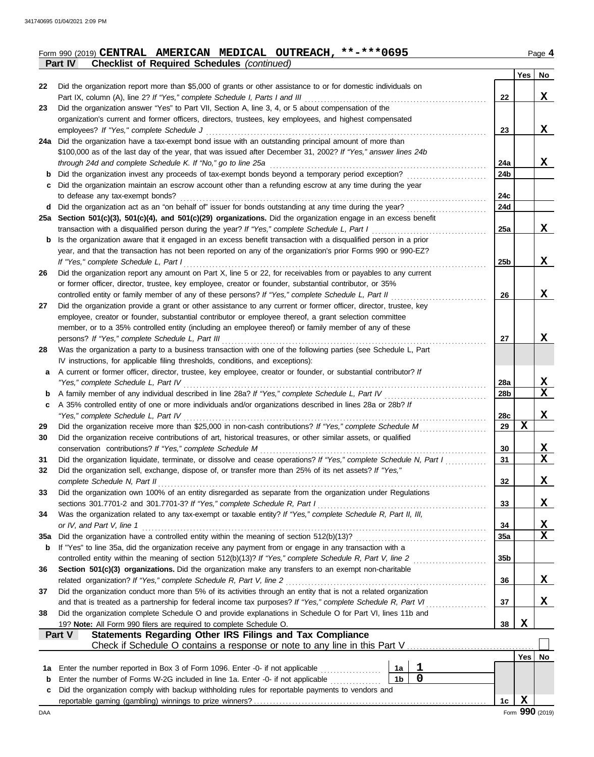|                                                            |  | Form 990 (2019) CENTRAL AMERICAN MEDICAL OUTREACH, **-***0695 | Page 4 |
|------------------------------------------------------------|--|---------------------------------------------------------------|--------|
| <b>Part IV</b> Checklist of Required Schedules (continued) |  |                                                               |        |

|          |                                                                                                                                                                                                   |                 | Yes         | No               |
|----------|---------------------------------------------------------------------------------------------------------------------------------------------------------------------------------------------------|-----------------|-------------|------------------|
| 22       | Did the organization report more than \$5,000 of grants or other assistance to or for domestic individuals on                                                                                     |                 |             |                  |
|          | Part IX, column (A), line 2? If "Yes," complete Schedule I, Parts I and III                                                                                                                       | 22              |             | X                |
| 23       | Did the organization answer "Yes" to Part VII, Section A, line 3, 4, or 5 about compensation of the                                                                                               |                 |             |                  |
|          | organization's current and former officers, directors, trustees, key employees, and highest compensated                                                                                           |                 |             |                  |
|          | employees? If "Yes," complete Schedule J                                                                                                                                                          | 23              |             | X                |
|          | 24a Did the organization have a tax-exempt bond issue with an outstanding principal amount of more than                                                                                           |                 |             |                  |
|          | \$100,000 as of the last day of the year, that was issued after December 31, 2002? If "Yes," answer lines 24b                                                                                     | 24a             |             | X                |
| b        | Did the organization invest any proceeds of tax-exempt bonds beyond a temporary period exception?                                                                                                 | 24b             |             |                  |
| c        | Did the organization maintain an escrow account other than a refunding escrow at any time during the year                                                                                         |                 |             |                  |
|          | to defease any tax-exempt bonds?                                                                                                                                                                  | 24c             |             |                  |
|          | d Did the organization act as an "on behalf of" issuer for bonds outstanding at any time during the year?                                                                                         | 24d             |             |                  |
|          | 25a Section 501(c)(3), 501(c)(4), and 501(c)(29) organizations. Did the organization engage in an excess benefit                                                                                  |                 |             |                  |
|          | transaction with a disqualified person during the year? If "Yes," complete Schedule L, Part I                                                                                                     | 25a             |             | X                |
|          | <b>b</b> Is the organization aware that it engaged in an excess benefit transaction with a disqualified person in a prior                                                                         |                 |             |                  |
|          | year, and that the transaction has not been reported on any of the organization's prior Forms 990 or 990-EZ?                                                                                      |                 |             |                  |
|          | If "Yes," complete Schedule L, Part I                                                                                                                                                             | 25 <sub>b</sub> |             | X                |
| 26       | Did the organization report any amount on Part X, line 5 or 22, for receivables from or payables to any current                                                                                   |                 |             |                  |
|          | or former officer, director, trustee, key employee, creator or founder, substantial contributor, or 35%                                                                                           |                 |             |                  |
|          | controlled entity or family member of any of these persons? If "Yes," complete Schedule L, Part II                                                                                                | 26              |             | X                |
| 27       | Did the organization provide a grant or other assistance to any current or former officer, director, trustee, key                                                                                 |                 |             |                  |
|          | employee, creator or founder, substantial contributor or employee thereof, a grant selection committee                                                                                            |                 |             |                  |
|          | member, or to a 35% controlled entity (including an employee thereof) or family member of any of these                                                                                            |                 |             |                  |
|          | persons? If "Yes," complete Schedule L, Part III                                                                                                                                                  | 27              |             | X                |
| 28       | Was the organization a party to a business transaction with one of the following parties (see Schedule L, Part<br>IV instructions, for applicable filing thresholds, conditions, and exceptions): |                 |             |                  |
| a        | A current or former officer, director, trustee, key employee, creator or founder, or substantial contributor? If                                                                                  |                 |             |                  |
|          |                                                                                                                                                                                                   | 28a             |             | X                |
| b        |                                                                                                                                                                                                   | 28 <sub>b</sub> |             | $\mathbf x$      |
| c        | A 35% controlled entity of one or more individuals and/or organizations described in lines 28a or 28b? If                                                                                         |                 |             |                  |
|          |                                                                                                                                                                                                   | 28c             |             | X                |
| 29       |                                                                                                                                                                                                   | 29              | $\mathbf x$ |                  |
| 30       | Did the organization receive contributions of art, historical treasures, or other similar assets, or qualified                                                                                    |                 |             |                  |
|          | conservation contributions? If "Yes," complete Schedule M                                                                                                                                         | 30              |             | X                |
| 31       | Did the organization liquidate, terminate, or dissolve and cease operations? If "Yes," complete Schedule N, Part I                                                                                | 31              |             | $\mathbf x$      |
| 32       | Did the organization sell, exchange, dispose of, or transfer more than 25% of its net assets? If "Yes,"                                                                                           |                 |             |                  |
|          | complete Schedule N, Part II                                                                                                                                                                      | 32              |             | X                |
| 33       | Did the organization own 100% of an entity disregarded as separate from the organization under Regulations                                                                                        |                 |             |                  |
|          | sections 301.7701-2 and 301.7701-3? If "Yes," complete Schedule R, Part I                                                                                                                         | 33              |             | X                |
| 34       | Was the organization related to any tax-exempt or taxable entity? If "Yes," complete Schedule R, Part II, III,                                                                                    |                 |             |                  |
|          | or IV, and Part V, line 1                                                                                                                                                                         | 34<br>35a       |             | X<br>$\mathbf x$ |
| 35a<br>b | If "Yes" to line 35a, did the organization receive any payment from or engage in any transaction with a                                                                                           |                 |             |                  |
|          |                                                                                                                                                                                                   | 35 <sub>b</sub> |             |                  |
| 36       | Section 501(c)(3) organizations. Did the organization make any transfers to an exempt non-charitable                                                                                              |                 |             |                  |
|          | related organization? If "Yes," complete Schedule R, Part V, line 2                                                                                                                               | 36              |             | X                |
| 37       | Did the organization conduct more than 5% of its activities through an entity that is not a related organization                                                                                  |                 |             |                  |
|          | and that is treated as a partnership for federal income tax purposes? If "Yes," complete Schedule R, Part VI                                                                                      | 37              |             | X                |
| 38       | Did the organization complete Schedule O and provide explanations in Schedule O for Part VI, lines 11b and                                                                                        |                 |             |                  |
|          | 19? Note: All Form 990 filers are required to complete Schedule O.                                                                                                                                | 38              | $\mathbf X$ |                  |
|          | Statements Regarding Other IRS Filings and Tax Compliance<br>Part V                                                                                                                               |                 |             |                  |
|          |                                                                                                                                                                                                   |                 |             |                  |
|          |                                                                                                                                                                                                   |                 |             | Yes   No         |
| 1a       | 1<br>Enter the number reported in Box 3 of Form 1096. Enter -0- if not applicable<br>1a                                                                                                           |                 |             |                  |
| b        | $\mathbf 0$<br>1 <sub>b</sub><br>Enter the number of Forms W-2G included in line 1a. Enter -0- if not applicable                                                                                  |                 |             |                  |
| c        | Did the organization comply with backup withholding rules for reportable payments to vendors and                                                                                                  | 1c              | X           |                  |
|          |                                                                                                                                                                                                   |                 |             |                  |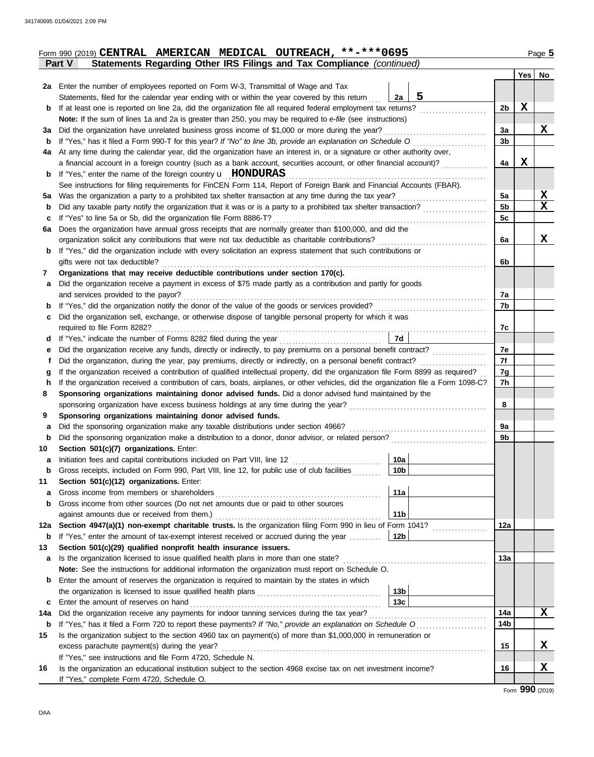|         | Form 990 (2019) CENTRAL AMERICAN MEDICAL OUTREACH, **-***0695                                                                      |                |   | Page 5      |
|---------|------------------------------------------------------------------------------------------------------------------------------------|----------------|---|-------------|
|         | Statements Regarding Other IRS Filings and Tax Compliance (continued)<br>Part V                                                    |                |   |             |
|         |                                                                                                                                    |                |   | Yes No      |
|         | 2a Enter the number of employees reported on Form W-3, Transmittal of Wage and Tax                                                 |                |   |             |
|         | 5<br>Statements, filed for the calendar year ending with or within the year covered by this return<br>2a                           |                |   |             |
| b       | If at least one is reported on line 2a, did the organization file all required federal employment tax returns?                     | 2b             | X |             |
|         | Note: If the sum of lines 1a and 2a is greater than 250, you may be required to e-file (see instructions)                          |                |   |             |
| За      | Did the organization have unrelated business gross income of \$1,000 or more during the year?                                      | 3a             |   | X           |
| b       | If "Yes," has it filed a Form 990-T for this year? If "No" to line 3b, provide an explanation on Schedule O                        | 3 <sub>b</sub> |   |             |
| 4a      | At any time during the calendar year, did the organization have an interest in, or a signature or other authority over,            |                |   |             |
|         | a financial account in a foreign country (such as a bank account, securities account, or other financial account)?                 | 4a             | X |             |
| b       | If "Yes," enter the name of the foreign country $\mathbf{u}$ <b>HONDURAS</b>                                                       |                |   |             |
|         | See instructions for filing requirements for FinCEN Form 114, Report of Foreign Bank and Financial Accounts (FBAR).                |                |   |             |
| 5a      | Was the organization a party to a prohibited tax shelter transaction at any time during the tax year?                              | 5a             |   | X           |
| b       | Did any taxable party notify the organization that it was or is a party to a prohibited tax shelter transaction?                   | 5 <sub>b</sub> |   | $\mathbf x$ |
| c       | If "Yes" to line 5a or 5b, did the organization file Form 8886-T?                                                                  | 5c             |   |             |
| 6a      | Does the organization have annual gross receipts that are normally greater than \$100,000, and did the                             |                |   |             |
|         | organization solicit any contributions that were not tax deductible as charitable contributions?                                   | 6a             |   | X           |
| b       | If "Yes," did the organization include with every solicitation an express statement that such contributions or                     |                |   |             |
|         | gifts were not tax deductible?                                                                                                     | 6b             |   |             |
| 7       | Organizations that may receive deductible contributions under section 170(c).                                                      |                |   |             |
| a       | Did the organization receive a payment in excess of \$75 made partly as a contribution and partly for goods                        |                |   |             |
|         | and services provided to the payor?                                                                                                | 7a             |   |             |
| b       |                                                                                                                                    | 7b             |   |             |
| с       | Did the organization sell, exchange, or otherwise dispose of tangible personal property for which it was                           |                |   |             |
|         | required to file Form 8282?                                                                                                        | 7c             |   |             |
| d       | 7d<br>If "Yes," indicate the number of Forms 8282 filed during the year                                                            |                |   |             |
| е       |                                                                                                                                    | 7e             |   |             |
| f       | Did the organization, during the year, pay premiums, directly or indirectly, on a personal benefit contract?                       | 7f             |   |             |
| g       | If the organization received a contribution of qualified intellectual property, did the organization file Form 8899 as required?   | 7g             |   |             |
| h       | If the organization received a contribution of cars, boats, airplanes, or other vehicles, did the organization file a Form 1098-C? | 7h             |   |             |
| 8       | Sponsoring organizations maintaining donor advised funds. Did a donor advised fund maintained by the                               |                |   |             |
|         |                                                                                                                                    | 8              |   |             |
| 9       | Sponsoring organizations maintaining donor advised funds.                                                                          |                |   |             |
| a       | Did the sponsoring organization make any taxable distributions under section 4966?                                                 | 9a             |   |             |
| b       | Did the sponsoring organization make a distribution to a donor, donor advisor, or related person?                                  | 9b             |   |             |
| 10      | Section 501(c)(7) organizations. Enter:                                                                                            |                |   |             |
|         | 10a<br>Initiation fees and capital contributions included on Part VIII, line 12 [11][11][11][11][11][11][11][11][11][              |                |   |             |
| b       | 10 <sub>b</sub><br>Gross receipts, included on Form 990, Part VIII, line 12, for public use of club facilities                     |                |   |             |
| 11      | Section 501(c)(12) organizations. Enter:                                                                                           |                |   |             |
| a       | 11a<br>Gross income from members or shareholders                                                                                   |                |   |             |
|         | Gross income from other sources (Do not net amounts due or paid to other sources                                                   |                |   |             |
| b       | 11 <sub>b</sub><br>against amounts due or received from them.)                                                                     |                |   |             |
| 12a     | Section 4947(a)(1) non-exempt charitable trusts. Is the organization filing Form 990 in lieu of Form 1041?                         | 12a            |   |             |
|         | If "Yes," enter the amount of tax-exempt interest received or accrued during the year<br>12 <sub>b</sub>                           |                |   |             |
| b<br>13 | Section 501(c)(29) qualified nonprofit health insurance issuers.                                                                   |                |   |             |
|         | Is the organization licensed to issue qualified health plans in more than one state?                                               | 13а            |   |             |
| a       | Note: See the instructions for additional information the organization must report on Schedule O.                                  |                |   |             |
|         |                                                                                                                                    |                |   |             |
| b       | Enter the amount of reserves the organization is required to maintain by the states in which                                       |                |   |             |
|         | 13 <sub>b</sub><br>13 <sub>c</sub>                                                                                                 |                |   |             |
| c       | Enter the amount of reserves on hand                                                                                               | 14a            |   |             |
| 14a     | Did the organization receive any payments for indoor tanning services during the tax year?                                         | 14b            |   | X           |
| b       | If "Yes," has it filed a Form 720 to report these payments? If "No," provide an explanation on Schedule O                          |                |   |             |
| 15      | Is the organization subject to the section 4960 tax on payment(s) of more than \$1,000,000 in remuneration or                      |                |   |             |
|         | excess parachute payment(s) during the year?                                                                                       | 15             |   | X           |
|         | If "Yes," see instructions and file Form 4720, Schedule N.                                                                         |                |   | X           |
| 16      | Is the organization an educational institution subject to the section 4968 excise tax on net investment income?                    | 16             |   |             |
|         | If "Yes," complete Form 4720, Schedule O.                                                                                          |                |   |             |

#### Form **990** (2019)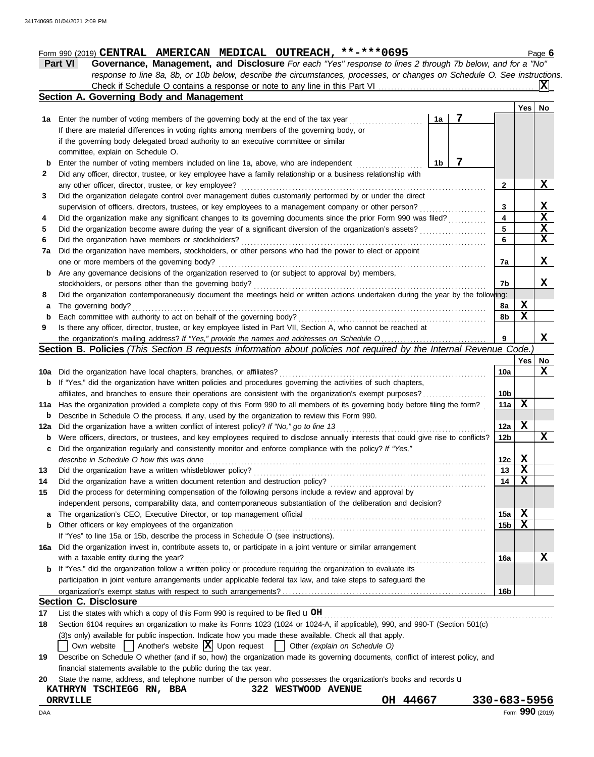$\overline{a}$ 

#### **Form 990 (2019) CENTRAL AMERICAN MEDICAL OUTREACH, \*\*-\*\*\*0695**

| Part VI | <b>Governance, Management, and Disclosure</b> For each "Yes" response to lines 2 through 7b below, and for a "No"         |
|---------|---------------------------------------------------------------------------------------------------------------------------|
|         | response to line 8a, 8b, or 10b below, describe the circumstances, processes, or changes on Schedule O. See instructions. |
|         |                                                                                                                           |

|     |                                                                                                                                     |    |   |                 | Yes         | No           |
|-----|-------------------------------------------------------------------------------------------------------------------------------------|----|---|-----------------|-------------|--------------|
| 1а  | Enter the number of voting members of the governing body at the end of the tax year                                                 | 1a | 7 |                 |             |              |
|     | If there are material differences in voting rights among members of the governing body, or                                          |    |   |                 |             |              |
|     | if the governing body delegated broad authority to an executive committee or similar                                                |    |   |                 |             |              |
|     | committee, explain on Schedule O.                                                                                                   |    |   |                 |             |              |
| b   | Enter the number of voting members included on line 1a, above, who are independent                                                  | 1b | 7 |                 |             |              |
| 2   | Did any officer, director, trustee, or key employee have a family relationship or a business relationship with                      |    |   |                 |             |              |
|     | any other officer, director, trustee, or key employee?                                                                              |    |   | 2               |             | X            |
| 3   | Did the organization delegate control over management duties customarily performed by or under the direct                           |    |   |                 |             |              |
|     | supervision of officers, directors, trustees, or key employees to a management company or other person?                             |    |   | 3               |             | x            |
| 4   | Did the organization make any significant changes to its governing documents since the prior Form 990 was filed?                    |    |   | 4               |             | $\mathbf x$  |
| 5   | Did the organization become aware during the year of a significant diversion of the organization's assets?                          |    |   | 5               |             | X            |
| 6   | Did the organization have members or stockholders?                                                                                  |    |   | 6               |             | $\mathbf{x}$ |
| 7a  | Did the organization have members, stockholders, or other persons who had the power to elect or appoint                             |    |   |                 |             |              |
|     | one or more members of the governing body?                                                                                          |    |   | 7a              |             | X            |
| b   | Are any governance decisions of the organization reserved to (or subject to approval by) members,                                   |    |   |                 |             |              |
|     | stockholders, or persons other than the governing body?                                                                             |    |   | 7b              |             | X            |
| 8   | Did the organization contemporaneously document the meetings held or written actions undertaken during the year by the following:   |    |   |                 |             |              |
| a   | The governing body?                                                                                                                 |    |   | 8a              | X           |              |
| b   | Each committee with authority to act on behalf of the governing body?                                                               |    |   | 8b              | X           |              |
| 9   | Is there any officer, director, trustee, or key employee listed in Part VII, Section A, who cannot be reached at                    |    |   |                 |             |              |
|     | the organization's mailing address? If "Yes," provide the names and addresses on Schedule O                                         |    |   | 9               |             | X            |
|     | Section B. Policies (This Section B requests information about policies not required by the Internal Revenue Code.)                 |    |   |                 |             |              |
|     |                                                                                                                                     |    |   |                 | Yes         | No           |
| 10a | Did the organization have local chapters, branches, or affiliates?                                                                  |    |   | 10a             |             | X            |
| b   | If "Yes," did the organization have written policies and procedures governing the activities of such chapters,                      |    |   |                 |             |              |
|     | affiliates, and branches to ensure their operations are consistent with the organization's exempt purposes?                         |    |   | 10 <sub>b</sub> |             |              |
| 11a | Has the organization provided a complete copy of this Form 990 to all members of its governing body before filing the form?         |    |   | 11a             | X           |              |
| b   | Describe in Schedule O the process, if any, used by the organization to review this Form 990.                                       |    |   |                 |             |              |
| 12a | Did the organization have a written conflict of interest policy? If "No," go to line 13                                             |    |   | 12a             | $\mathbf x$ |              |
| b   | Were officers, directors, or trustees, and key employees required to disclose annually interests that could give rise to conflicts? |    |   | 12b             |             | X            |
| c   | Did the organization regularly and consistently monitor and enforce compliance with the policy? If "Yes,"                           |    |   |                 |             |              |
|     | describe in Schedule O how this was done                                                                                            |    |   | 12c             | X           |              |
| 13  | Did the organization have a written whistleblower policy?                                                                           |    |   | 13              | $\mathbf x$ |              |
| 14  | Did the organization have a written document retention and destruction policy?                                                      |    |   | 14              | X           |              |
| 15  | Did the process for determining compensation of the following persons include a review and approval by                              |    |   |                 |             |              |
|     | independent persons, comparability data, and contemporaneous substantiation of the deliberation and decision?                       |    |   |                 |             |              |
| a   |                                                                                                                                     |    |   | 15a             | $\mathbf x$ |              |
| b   | Other officers or key employees of the organization                                                                                 |    |   | 15 <sub>b</sub> | $\mathbf X$ |              |
|     | If "Yes" to line 15a or 15b, describe the process in Schedule O (see instructions).                                                 |    |   |                 |             |              |
| 16а | Did the organization invest in, contribute assets to, or participate in a joint venture or similar arrangement                      |    |   |                 |             |              |
|     | with a taxable entity during the year?                                                                                              |    |   | 16a             |             | X            |
| b   | If "Yes," did the organization follow a written policy or procedure requiring the organization to evaluate its                      |    |   |                 |             |              |
|     | participation in joint venture arrangements under applicable federal tax law, and take steps to safeguard the                       |    |   |                 |             |              |
|     |                                                                                                                                     |    |   | 16b             |             |              |
|     | <b>Section C. Disclosure</b>                                                                                                        |    |   |                 |             |              |
| 17  | List the states with which a copy of this Form 990 is required to be filed $\mathbf{u}$ OH                                          |    |   |                 |             |              |
|     | Section 6104 requires an organization to make its Forms 1023 (1024 or 1024-A, if applicable), 990, and 990-T (Section 501(c)        |    |   |                 |             |              |
| 18  |                                                                                                                                     |    |   |                 |             |              |

**19** Describe on Schedule O whether (and if so, how) the organization made its governing documents, conflict of interest policy, and financial statements available to the public during the tax year.

|                                |  |  |  |  |                     | 20 State the name, address, and telephone number of the person who possesses the organization's books and records u |  |  |
|--------------------------------|--|--|--|--|---------------------|---------------------------------------------------------------------------------------------------------------------|--|--|
| <b>WATHOVN TCOUTECC DN RRA</b> |  |  |  |  | 322 MESTMOOD AVENUE |                                                                                                                     |  |  |

| KAIAKIN ISCAIEGG KN,<br>rac | SZZ WESINOOD AVENUE |          |              |
|-----------------------------|---------------------|----------|--------------|
| <b>ORRVILLE</b>             |                     | OH 44667 | 330-683-5956 |

DAA Form **990** (2019)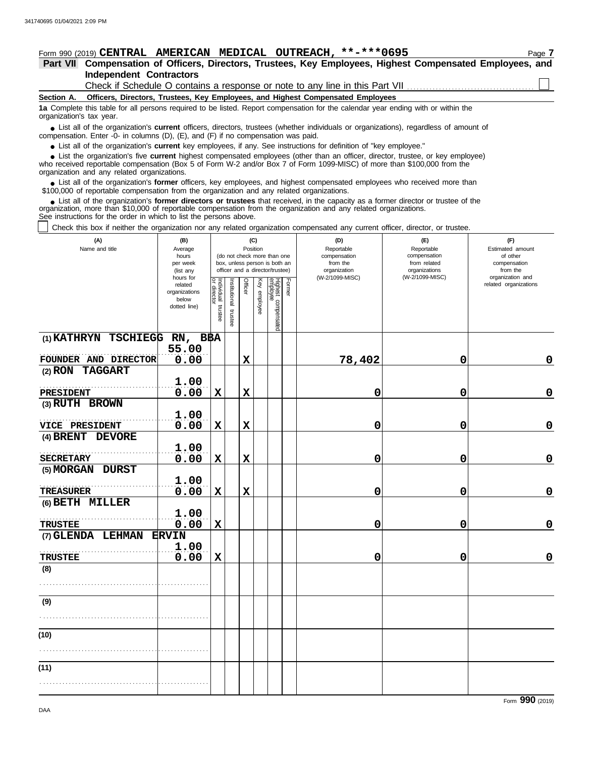#### Form 990 (2019) CENTRAL AMERICAN MEDICAL OUTREACH, \*\*-\*\*\*0695

**Independent Contractors Part VII Compensation of Officers, Directors, Trustees, Key Employees, Highest Compensated Employees, and**

Check if Schedule O contains a response or note to any line in this Part VII.

**Section A. Officers, Directors, Trustees, Key Employees, and Highest Compensated Employees**

**1a** Complete this table for all persons required to be listed. Report compensation for the calendar year ending with or within the organization's tax year.

■ List all of the organization's **current** officers, directors, trustees (whether individuals or organizations), regardless of amount of the organization Enter -0- in columns (D), (E), and (E) if no compensation was paid compensation. Enter -0- in columns (D), (E), and (F) if no compensation was paid.

● List all of the organization's **current** key employees, if any. See instructions for definition of "key employee."

who received reportable compensation (Box 5 of Form W-2 and/or Box 7 of Form 1099-MISC) of more than \$100,000 from the organization and any related organizations. ■ List the organization's five **current** highest compensated employees (other than an officer, director, trustee, or key employee)<br>
a received reportable compensation (Box 5 of Form W-2 and/or Box 7 of Form 1099-MISC) of

■ List all of the organization's **former** officers, key employees, and highest compensated employees who received more than<br>00,000 of reportable compensation from the organization and any related organizations \$100,000 of reportable compensation from the organization and any related organizations.

■ List all of the organization's **former directors or trustees** that received, in the capacity as a former director or trustee of the<br>enization, more than \$10,000 of reportable compensation from the organization and any r organization, more than \$10,000 of reportable compensation from the organization and any related organizations. See instructions for the order in which to list the persons above.

Check this box if neither the organization nor any related organization compensated any current officer, director, or trustee.

| (A)<br>Name and title | (B)<br>Average<br>hours<br>per week<br>(list any               | (C)<br>Position<br>(do not check more than one<br>box, unless person is both an<br>officer and a director/trustee) |                      |             |              |                                 |        | (D)<br>Reportable<br>compensation<br>from the<br>organization | (E)<br>Reportable<br>compensation<br>from related<br>organizations | (F)<br>Estimated amount<br>of other<br>compensation<br>from the |  |  |
|-----------------------|----------------------------------------------------------------|--------------------------------------------------------------------------------------------------------------------|----------------------|-------------|--------------|---------------------------------|--------|---------------------------------------------------------------|--------------------------------------------------------------------|-----------------------------------------------------------------|--|--|
|                       | hours for<br>related<br>organizations<br>below<br>dotted line) | Individual trustee<br>or director                                                                                  | nstitutional trustee | Officer     | Key employee | Highest compensated<br>employee | Former | (W-2/1099-MISC)                                               | (W-2/1099-MISC)                                                    | organization and<br>related organizations                       |  |  |
| (1) KATHRYN TSCHIEGG  | RN, B\$A<br>55.00                                              |                                                                                                                    |                      |             |              |                                 |        |                                                               |                                                                    |                                                                 |  |  |
| FOUNDER AND DIRECTOR  | 0.00                                                           |                                                                                                                    |                      | $\mathbf x$ |              |                                 |        | 78,402                                                        | 0                                                                  | $\mathbf 0$                                                     |  |  |
| (2) RON TAGGART       | 1.00                                                           |                                                                                                                    |                      |             |              |                                 |        |                                                               |                                                                    |                                                                 |  |  |
| <b>PRESIDENT</b>      | 0.00                                                           | $\mathbf x$                                                                                                        |                      | $\mathbf x$ |              |                                 |        | 0                                                             | 0                                                                  | $\mathbf 0$                                                     |  |  |
| (3) RUTH BROWN        |                                                                |                                                                                                                    |                      |             |              |                                 |        |                                                               |                                                                    |                                                                 |  |  |
| VICE PRESIDENT        | 1.00<br>0.00                                                   | $\mathbf X$                                                                                                        |                      | $\mathbf X$ |              |                                 |        | 0                                                             | 0                                                                  | $\mathbf 0$                                                     |  |  |
| (4) BRENT DEVORE      |                                                                |                                                                                                                    |                      |             |              |                                 |        |                                                               |                                                                    |                                                                 |  |  |
|                       | 1.00                                                           |                                                                                                                    |                      |             |              |                                 |        |                                                               |                                                                    |                                                                 |  |  |
| <b>SECRETARY</b>      | 0.00                                                           | $\mathbf X$                                                                                                        |                      | $\mathbf x$ |              |                                 |        | 0                                                             | 0                                                                  | $\mathbf 0$                                                     |  |  |
| (5) MORGAN DURST      |                                                                |                                                                                                                    |                      |             |              |                                 |        |                                                               |                                                                    |                                                                 |  |  |
|                       | 1.00                                                           |                                                                                                                    |                      |             |              |                                 |        |                                                               |                                                                    |                                                                 |  |  |
| <b>TREASURER</b>      | 0.00                                                           | X                                                                                                                  |                      | $\mathbf x$ |              |                                 |        | 0                                                             | 0                                                                  | $\mathbf 0$                                                     |  |  |
| (6) BETH MILLER       |                                                                |                                                                                                                    |                      |             |              |                                 |        |                                                               |                                                                    |                                                                 |  |  |
|                       | 1.00                                                           |                                                                                                                    |                      |             |              |                                 |        |                                                               |                                                                    |                                                                 |  |  |
| <b>TRUSTEE</b>        | 0.00                                                           | $\mathbf x$                                                                                                        |                      |             |              |                                 |        | 0                                                             | 0                                                                  | $\mathbf 0$                                                     |  |  |
| (7) GLENDA LEHMAN     | <b>ERVIN</b>                                                   |                                                                                                                    |                      |             |              |                                 |        |                                                               |                                                                    |                                                                 |  |  |
|                       | 1.00                                                           |                                                                                                                    |                      |             |              |                                 |        |                                                               |                                                                    |                                                                 |  |  |
| <b>TRUSTEE</b>        | 0.00                                                           | $\mathbf x$                                                                                                        |                      |             |              |                                 |        | 0                                                             | 0                                                                  | $\mathbf 0$                                                     |  |  |
| (8)                   |                                                                |                                                                                                                    |                      |             |              |                                 |        |                                                               |                                                                    |                                                                 |  |  |
|                       |                                                                |                                                                                                                    |                      |             |              |                                 |        |                                                               |                                                                    |                                                                 |  |  |
| (9)                   |                                                                |                                                                                                                    |                      |             |              |                                 |        |                                                               |                                                                    |                                                                 |  |  |
|                       |                                                                |                                                                                                                    |                      |             |              |                                 |        |                                                               |                                                                    |                                                                 |  |  |
| (10)                  |                                                                |                                                                                                                    |                      |             |              |                                 |        |                                                               |                                                                    |                                                                 |  |  |
|                       |                                                                |                                                                                                                    |                      |             |              |                                 |        |                                                               |                                                                    |                                                                 |  |  |
| (11)                  |                                                                |                                                                                                                    |                      |             |              |                                 |        |                                                               |                                                                    |                                                                 |  |  |
|                       |                                                                |                                                                                                                    |                      |             |              |                                 |        |                                                               |                                                                    |                                                                 |  |  |

DAA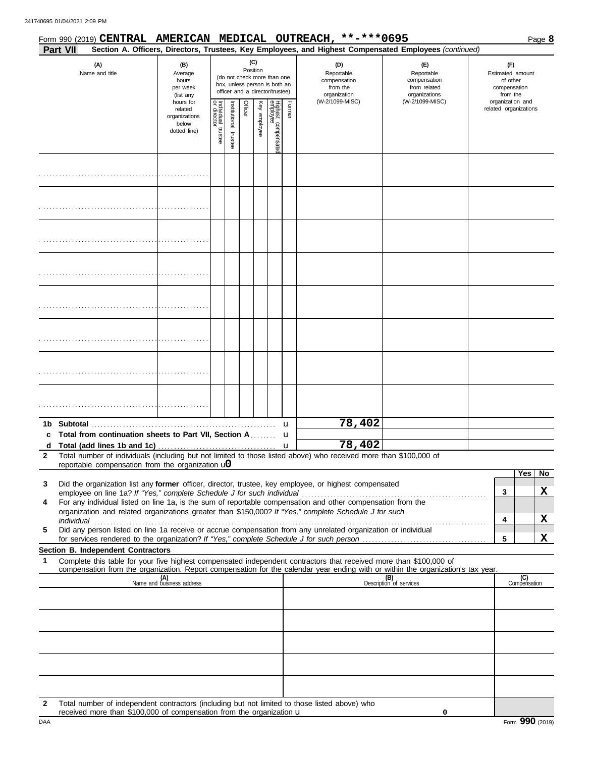|                   |          |                                                                |                                                                                                                                                                                                                               |                         |         |              |                                 |                                                                                                 |                 | Form 990 (2019) CENTRAL AMERICAN MEDICAL OUTREACH, **-***0695                                                                                                                                                                                       |                                                                                                                                                                                                                                     |                                                                 |                     | Page 8 |
|-------------------|----------|----------------------------------------------------------------|-------------------------------------------------------------------------------------------------------------------------------------------------------------------------------------------------------------------------------|-------------------------|---------|--------------|---------------------------------|-------------------------------------------------------------------------------------------------|-----------------|-----------------------------------------------------------------------------------------------------------------------------------------------------------------------------------------------------------------------------------------------------|-------------------------------------------------------------------------------------------------------------------------------------------------------------------------------------------------------------------------------------|-----------------------------------------------------------------|---------------------|--------|
|                   | Part VII |                                                                |                                                                                                                                                                                                                               |                         |         |              |                                 |                                                                                                 |                 |                                                                                                                                                                                                                                                     | Section A. Officers, Directors, Trustees, Key Employees, and Highest Compensated Employees (continued)                                                                                                                              |                                                                 |                     |        |
|                   |          | (A)<br>Name and title                                          | (B)<br>Average<br>hours<br>per week<br>(list any                                                                                                                                                                              |                         |         | Position     | (C)                             | (do not check more than one<br>box, unless person is both an<br>officer and a director/trustee) |                 | (D)<br>Reportable<br>compensation<br>from the<br>organization                                                                                                                                                                                       | (E)<br>Reportable<br>compensation<br>from related<br>organizations                                                                                                                                                                  | (F)<br>Estimated amount<br>of other<br>compensation<br>from the |                     |        |
|                   |          | hours for<br>related<br>organizations<br>below<br>dotted line) | Individual trustee<br>or director                                                                                                                                                                                             | nstitutional<br>trustee | Officer | Key employee | Highest compensatec<br>employee | Former                                                                                          | (W-2/1099-MISC) | (W-2/1099-MISC)                                                                                                                                                                                                                                     | organization and<br>related organizations                                                                                                                                                                                           |                                                                 |                     |        |
|                   |          |                                                                |                                                                                                                                                                                                                               |                         |         |              |                                 |                                                                                                 |                 |                                                                                                                                                                                                                                                     |                                                                                                                                                                                                                                     |                                                                 |                     |        |
|                   |          |                                                                |                                                                                                                                                                                                                               |                         |         |              |                                 |                                                                                                 |                 |                                                                                                                                                                                                                                                     |                                                                                                                                                                                                                                     |                                                                 |                     |        |
|                   |          |                                                                |                                                                                                                                                                                                                               |                         |         |              |                                 |                                                                                                 |                 |                                                                                                                                                                                                                                                     |                                                                                                                                                                                                                                     |                                                                 |                     |        |
|                   |          |                                                                |                                                                                                                                                                                                                               |                         |         |              |                                 |                                                                                                 |                 |                                                                                                                                                                                                                                                     |                                                                                                                                                                                                                                     |                                                                 |                     |        |
|                   |          |                                                                |                                                                                                                                                                                                                               |                         |         |              |                                 |                                                                                                 |                 |                                                                                                                                                                                                                                                     |                                                                                                                                                                                                                                     |                                                                 |                     |        |
|                   |          |                                                                |                                                                                                                                                                                                                               |                         |         |              |                                 |                                                                                                 |                 |                                                                                                                                                                                                                                                     |                                                                                                                                                                                                                                     |                                                                 |                     |        |
|                   |          |                                                                |                                                                                                                                                                                                                               |                         |         |              |                                 |                                                                                                 |                 |                                                                                                                                                                                                                                                     |                                                                                                                                                                                                                                     |                                                                 |                     |        |
|                   |          |                                                                |                                                                                                                                                                                                                               |                         |         |              |                                 |                                                                                                 |                 |                                                                                                                                                                                                                                                     |                                                                                                                                                                                                                                     |                                                                 |                     |        |
|                   |          |                                                                | 1b Subtotal (1990) (1990) (1990) (1990) (1990) (1990) (1990) (1990) (1990) (1990) (1990) (1990) (1990) (1990) (1990) (1990) (1990) (1990) (1990) (1990) (1990) (1990) (1990) (1990) (1990) (1990) (1990) (1990) (1990) (1990) |                         |         |              |                                 |                                                                                                 | u               | 78,402                                                                                                                                                                                                                                              |                                                                                                                                                                                                                                     |                                                                 |                     |        |
| c<br>$\mathbf{2}$ |          |                                                                | Total from continuation sheets to Part VII, Section A                                                                                                                                                                         |                         |         |              |                                 |                                                                                                 | u               | d Total (add lines 1b and 1c) $\ldots$ $\ldots$ $\ldots$ $\ldots$ $\ldots$ $\ldots$ $\ldots$ $\ldots$ $\ldots$ $\ldots$ 78,402<br>Total number of individuals (including but not limited to those listed above) who received more than \$100,000 of |                                                                                                                                                                                                                                     |                                                                 |                     |        |
|                   |          |                                                                | reportable compensation from the organization $\mathbf{u}$                                                                                                                                                                    |                         |         |              |                                 |                                                                                                 |                 |                                                                                                                                                                                                                                                     |                                                                                                                                                                                                                                     |                                                                 | <b>Yes</b>          | No     |
| 3                 |          |                                                                |                                                                                                                                                                                                                               |                         |         |              |                                 |                                                                                                 |                 | Did the organization list any former officer, director, trustee, key employee, or highest compensated                                                                                                                                               |                                                                                                                                                                                                                                     | 3                                                               |                     | X      |
| 4                 |          |                                                                |                                                                                                                                                                                                                               |                         |         |              |                                 |                                                                                                 |                 | For any individual listed on line 1a, is the sum of reportable compensation and other compensation from the<br>organization and related organizations greater than \$150,000? If "Yes," complete Schedule J for such                                | individual <b>construction in the construction of the construction</b> in the construction of the construction of the construction of the construction of the construction of the construction of the construction of the construct | 4                                                               |                     | X      |
| 5                 |          |                                                                |                                                                                                                                                                                                                               |                         |         |              |                                 |                                                                                                 |                 | Did any person listed on line 1a receive or accrue compensation from any unrelated organization or individual                                                                                                                                       |                                                                                                                                                                                                                                     | 5                                                               |                     | X      |
|                   |          | Section B. Independent Contractors                             |                                                                                                                                                                                                                               |                         |         |              |                                 |                                                                                                 |                 |                                                                                                                                                                                                                                                     |                                                                                                                                                                                                                                     |                                                                 |                     |        |
| 1                 |          |                                                                |                                                                                                                                                                                                                               |                         |         |              |                                 |                                                                                                 |                 | Complete this table for your five highest compensated independent contractors that received more than \$100,000 of                                                                                                                                  | compensation from the organization. Report compensation for the calendar year ending with or within the organization's tax year.                                                                                                    |                                                                 |                     |        |
|                   |          |                                                                | (A)<br>Name and business address                                                                                                                                                                                              |                         |         |              |                                 |                                                                                                 |                 |                                                                                                                                                                                                                                                     | (B)<br>Description of services                                                                                                                                                                                                      |                                                                 | (C)<br>Compensation |        |
|                   |          |                                                                |                                                                                                                                                                                                                               |                         |         |              |                                 |                                                                                                 |                 |                                                                                                                                                                                                                                                     |                                                                                                                                                                                                                                     |                                                                 |                     |        |
|                   |          |                                                                |                                                                                                                                                                                                                               |                         |         |              |                                 |                                                                                                 |                 |                                                                                                                                                                                                                                                     |                                                                                                                                                                                                                                     |                                                                 |                     |        |
|                   |          |                                                                |                                                                                                                                                                                                                               |                         |         |              |                                 |                                                                                                 |                 |                                                                                                                                                                                                                                                     |                                                                                                                                                                                                                                     |                                                                 |                     |        |
|                   |          |                                                                |                                                                                                                                                                                                                               |                         |         |              |                                 |                                                                                                 |                 |                                                                                                                                                                                                                                                     |                                                                                                                                                                                                                                     |                                                                 |                     |        |
|                   |          |                                                                |                                                                                                                                                                                                                               |                         |         |              |                                 |                                                                                                 |                 |                                                                                                                                                                                                                                                     |                                                                                                                                                                                                                                     |                                                                 |                     |        |

**2** Total number of independent contractors (including but not limited to those listed above) who received more than \$100,000 of compensation from the organization u

**0**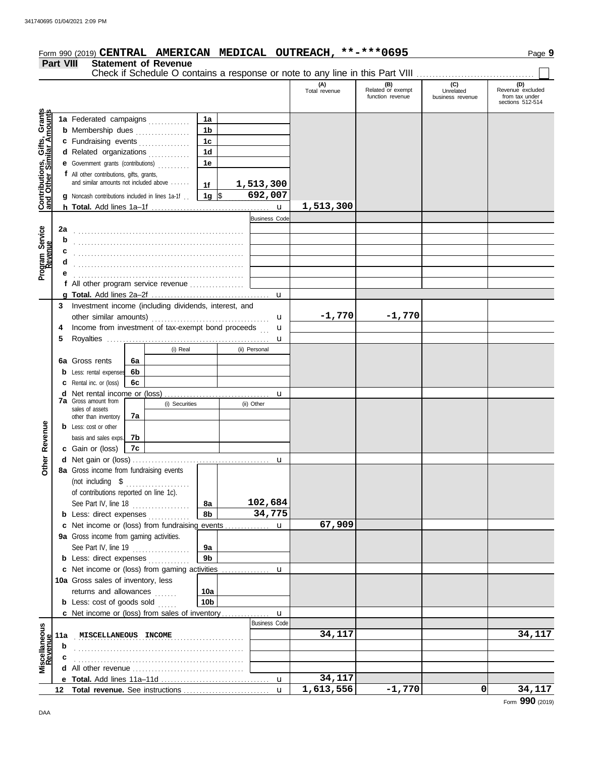|                                                           |                  |                                                            |    |                             |                      |                                                           | Form 990 (2019) CENTRAL AMERICAN MEDICAL OUTREACH, **-***0695                 |                                              |                                      | Page 9                                                        |
|-----------------------------------------------------------|------------------|------------------------------------------------------------|----|-----------------------------|----------------------|-----------------------------------------------------------|-------------------------------------------------------------------------------|----------------------------------------------|--------------------------------------|---------------------------------------------------------------|
|                                                           | <b>Part VIII</b> |                                                            |    | <b>Statement of Revenue</b> |                      |                                                           | Check if Schedule O contains a response or note to any line in this Part VIII |                                              |                                      |                                                               |
|                                                           |                  |                                                            |    |                             |                      |                                                           | (A)<br>Total revenue                                                          | (B)<br>Related or exempt<br>function revenue | (C)<br>Unrelated<br>business revenue | (D)<br>Revenue excluded<br>from tax under<br>sections 512-514 |
| Contributions, Gifts, Grants<br>and Other Similar Amounts |                  | 1a Federated campaigns                                     |    |                             | 1a                   |                                                           |                                                                               |                                              |                                      |                                                               |
|                                                           |                  | <b>b</b> Membership dues                                   |    |                             | 1 <sub>b</sub>       |                                                           |                                                                               |                                              |                                      |                                                               |
|                                                           |                  | c Fundraising events                                       |    |                             | 1 <sub>c</sub>       |                                                           |                                                                               |                                              |                                      |                                                               |
|                                                           |                  | d Related organizations                                    |    |                             | 1 <sub>d</sub>       |                                                           |                                                                               |                                              |                                      |                                                               |
|                                                           |                  | <b>e</b> Government grants (contributions)                 |    |                             | 1е                   |                                                           |                                                                               |                                              |                                      |                                                               |
|                                                           |                  | f All other contributions, gifts, grants,                  |    |                             |                      |                                                           |                                                                               |                                              |                                      |                                                               |
|                                                           |                  | and similar amounts not included above                     |    |                             | 1f                   | 1,513,300                                                 |                                                                               |                                              |                                      |                                                               |
|                                                           |                  | <b>g</b> Noncash contributions included in lines 1a-1f.    |    |                             | 1g $\vert$ \$        | 692,007                                                   |                                                                               |                                              |                                      |                                                               |
|                                                           |                  |                                                            |    |                             |                      | $\mathbf{u}$                                              | 1,513,300                                                                     |                                              |                                      |                                                               |
|                                                           |                  |                                                            |    |                             |                      | <b>Business Code</b>                                      |                                                                               |                                              |                                      |                                                               |
| Program Service<br>Revenue                                | 2a               |                                                            |    |                             |                      |                                                           |                                                                               |                                              |                                      |                                                               |
|                                                           |                  |                                                            |    |                             |                      |                                                           |                                                                               |                                              |                                      |                                                               |
|                                                           |                  |                                                            |    |                             |                      |                                                           |                                                                               |                                              |                                      |                                                               |
|                                                           |                  |                                                            |    |                             |                      |                                                           |                                                                               |                                              |                                      |                                                               |
|                                                           |                  | f All other program service revenue                        |    |                             |                      |                                                           |                                                                               |                                              |                                      |                                                               |
|                                                           |                  |                                                            |    |                             |                      | $\mathbf u$                                               |                                                                               |                                              |                                      |                                                               |
|                                                           | 3                | Investment income (including dividends, interest, and      |    |                             |                      |                                                           |                                                                               |                                              |                                      |                                                               |
|                                                           |                  |                                                            |    |                             |                      | u                                                         | $-1,770$                                                                      | $-1,770$                                     |                                      |                                                               |
|                                                           | 4                | Income from investment of tax-exempt bond proceeds         |    |                             |                      | u                                                         |                                                                               |                                              |                                      |                                                               |
|                                                           | 5                |                                                            |    |                             |                      | u                                                         |                                                                               |                                              |                                      |                                                               |
|                                                           |                  |                                                            |    | (i) Real                    |                      | (ii) Personal                                             |                                                                               |                                              |                                      |                                                               |
|                                                           |                  | 6a Gross rents                                             | 6a |                             |                      |                                                           |                                                                               |                                              |                                      |                                                               |
|                                                           |                  | Less: rental expenses                                      | 6b |                             |                      |                                                           |                                                                               |                                              |                                      |                                                               |
|                                                           |                  | Rental inc. or (loss)                                      | 6с |                             |                      |                                                           |                                                                               |                                              |                                      |                                                               |
|                                                           | d                | Net rental income or (loss)<br><b>7a</b> Gross amount from |    | (i) Securities              |                      | u                                                         |                                                                               |                                              |                                      |                                                               |
|                                                           |                  | sales of assets                                            |    |                             |                      | (ii) Other                                                |                                                                               |                                              |                                      |                                                               |
|                                                           |                  | other than inventory<br><b>b</b> Less: cost or other       | 7a |                             |                      |                                                           |                                                                               |                                              |                                      |                                                               |
| Revenue                                                   |                  | basis and sales exps.                                      | 7b |                             |                      |                                                           |                                                                               |                                              |                                      |                                                               |
|                                                           |                  | c Gain or (loss)                                           | 7c |                             |                      |                                                           |                                                                               |                                              |                                      |                                                               |
|                                                           |                  | d Net gain or (loss)                                       |    |                             |                      |                                                           |                                                                               |                                              |                                      |                                                               |
| Ĕ                                                         |                  | 8a Gross income from fundraising events                    |    |                             |                      |                                                           |                                                                               |                                              |                                      |                                                               |
|                                                           |                  | (not including \$                                          |    | .                           |                      |                                                           |                                                                               |                                              |                                      |                                                               |
|                                                           |                  | of contributions reported on line 1c).                     |    |                             |                      |                                                           |                                                                               |                                              |                                      |                                                               |
|                                                           |                  | See Part IV, line 18                                       |    |                             | 8а                   | 102,684                                                   |                                                                               |                                              |                                      |                                                               |
|                                                           |                  | <b>b</b> Less: direct expenses                             |    |                             | 8b                   | 34,775                                                    |                                                                               |                                              |                                      |                                                               |
|                                                           |                  |                                                            |    |                             |                      |                                                           | 67,909                                                                        |                                              |                                      |                                                               |
|                                                           |                  | 9a Gross income from gaming activities.                    |    |                             |                      |                                                           |                                                                               |                                              |                                      |                                                               |
|                                                           |                  | See Part IV, line 19<br><b>b</b> Less: direct expenses     |    | .                           | 9a<br>9 <sub>b</sub> |                                                           |                                                                               |                                              |                                      |                                                               |
|                                                           |                  |                                                            |    |                             |                      | c Net income or (loss) from gaming activities<br><b>u</b> |                                                                               |                                              |                                      |                                                               |
|                                                           |                  | 10a Gross sales of inventory, less                         |    |                             |                      |                                                           |                                                                               |                                              |                                      |                                                               |
|                                                           |                  | returns and allowances                                     |    |                             | 10a                  |                                                           |                                                                               |                                              |                                      |                                                               |
|                                                           |                  | <b>b</b> Less: cost of goods sold                          |    |                             | 10 <sub>b</sub>      |                                                           |                                                                               |                                              |                                      |                                                               |
|                                                           |                  | c Net income or (loss) from sales of inventory             |    |                             |                      | u                                                         |                                                                               |                                              |                                      |                                                               |
|                                                           |                  |                                                            |    |                             |                      | <b>Business Code</b>                                      |                                                                               |                                              |                                      |                                                               |
| Miscellaneous<br>Revenue                                  | 11a              | MISCELLANEOUS INCOME                                       |    |                             |                      |                                                           | 34,117                                                                        |                                              |                                      | 34,117                                                        |
|                                                           | b                |                                                            |    |                             |                      |                                                           |                                                                               |                                              |                                      |                                                               |
|                                                           |                  |                                                            |    |                             |                      |                                                           |                                                                               |                                              |                                      |                                                               |
|                                                           | d                |                                                            |    |                             |                      |                                                           |                                                                               |                                              |                                      |                                                               |
|                                                           |                  |                                                            |    |                             |                      | $\mathbf u$                                               | 34,117<br>1,613,556                                                           | $-1,770$                                     | $\mathbf{0}$                         | 34,117                                                        |
|                                                           |                  |                                                            |    |                             |                      | $\mathbf{u}$                                              |                                                                               |                                              |                                      |                                                               |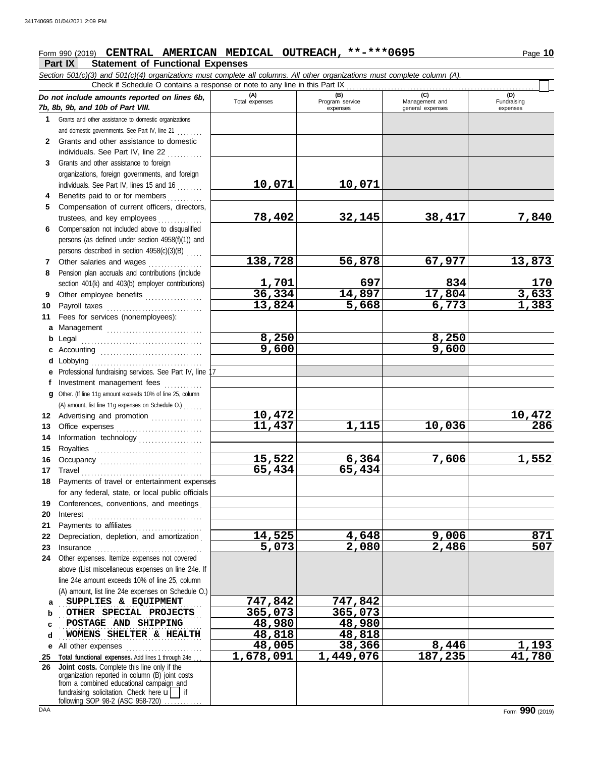### **Form 990 (2019) CENTRAL AMERICAN MEDICAL OUTREACH, \*\*-\*\*\*0695** Page 10

#### **Part IX Statement of Functional Expenses**

|              | Section 501(c)(3) and 501(c)(4) organizations must complete all columns. All other organizations must complete column (A).<br>Check if Schedule O contains a response or note to any line in this Part IX                                                                           |                 |                             |                                    |                                       |
|--------------|-------------------------------------------------------------------------------------------------------------------------------------------------------------------------------------------------------------------------------------------------------------------------------------|-----------------|-----------------------------|------------------------------------|---------------------------------------|
|              | Do not include amounts reported on lines 6b,                                                                                                                                                                                                                                        | (A)             | (B)                         | (C)                                | (D)                                   |
|              | 7b, 8b, 9b, and 10b of Part VIII.                                                                                                                                                                                                                                                   | Total expenses  | Program service<br>expenses | Management and<br>general expenses | Fundraising<br>expenses               |
| 1            | Grants and other assistance to domestic organizations                                                                                                                                                                                                                               |                 |                             |                                    |                                       |
|              | and domestic governments. See Part IV, line 21                                                                                                                                                                                                                                      |                 |                             |                                    |                                       |
| $\mathbf{2}$ | Grants and other assistance to domestic                                                                                                                                                                                                                                             |                 |                             |                                    |                                       |
|              | individuals. See Part IV, line 22                                                                                                                                                                                                                                                   |                 |                             |                                    |                                       |
| 3            | Grants and other assistance to foreign                                                                                                                                                                                                                                              |                 |                             |                                    |                                       |
|              | organizations, foreign governments, and foreign                                                                                                                                                                                                                                     |                 |                             |                                    |                                       |
|              | individuals. See Part IV, lines 15 and 16                                                                                                                                                                                                                                           | 10,071          | 10,071                      |                                    |                                       |
| 4            | Benefits paid to or for members                                                                                                                                                                                                                                                     |                 |                             |                                    |                                       |
| 5            | Compensation of current officers, directors,                                                                                                                                                                                                                                        |                 |                             |                                    |                                       |
|              | trustees, and key employees                                                                                                                                                                                                                                                         | 78,402          | 32,145                      | 38,417                             | 7,840                                 |
| 6            | Compensation not included above to disqualified                                                                                                                                                                                                                                     |                 |                             |                                    |                                       |
|              | persons (as defined under section 4958(f)(1)) and                                                                                                                                                                                                                                   |                 |                             |                                    |                                       |
|              | persons described in section 4958(c)(3)(B)                                                                                                                                                                                                                                          | 138,728         | 56,878                      | 67,977                             | 13,873                                |
| 7<br>8       | Other salaries and wages<br>Pension plan accruals and contributions (include                                                                                                                                                                                                        |                 |                             |                                    |                                       |
|              | section 401(k) and 403(b) employer contributions)                                                                                                                                                                                                                                   |                 | 697                         | 834                                |                                       |
| 9            |                                                                                                                                                                                                                                                                                     | 1,701<br>36,334 | 14,897                      | 17,804                             |                                       |
| 10           | Payroll taxes                                                                                                                                                                                                                                                                       | 13,824          | 5,668                       | 6,773                              | $\frac{170}{3,633}$<br>$\frac{1,383}$ |
| 11           | Fees for services (nonemployees):                                                                                                                                                                                                                                                   |                 |                             |                                    |                                       |
| a            |                                                                                                                                                                                                                                                                                     |                 |                             |                                    |                                       |
| b            | Legal                                                                                                                                                                                                                                                                               | 8,250           |                             | 8,250                              |                                       |
| c            | Accounting                                                                                                                                                                                                                                                                          | 9,600           |                             | 9,600                              |                                       |
| d            | Lobbying                                                                                                                                                                                                                                                                            |                 |                             |                                    |                                       |
| е            | Professional fundraising services. See Part IV, line 17                                                                                                                                                                                                                             |                 |                             |                                    |                                       |
| f            | Investment management fees                                                                                                                                                                                                                                                          |                 |                             |                                    |                                       |
| a            | Other. (If line 11g amount exceeds 10% of line 25, column                                                                                                                                                                                                                           |                 |                             |                                    |                                       |
|              | (A) amount, list line 11g expenses on Schedule O.)                                                                                                                                                                                                                                  |                 |                             |                                    |                                       |
|              | 12 Advertising and promotion                                                                                                                                                                                                                                                        | 10,472          |                             |                                    | 10,472                                |
| 13           | Office expenses                                                                                                                                                                                                                                                                     | 11,437          | 1,115                       | 10,036                             | 286                                   |
| 14           | Information technology                                                                                                                                                                                                                                                              |                 |                             |                                    |                                       |
| 15           | Royalties                                                                                                                                                                                                                                                                           |                 |                             |                                    |                                       |
| 16           |                                                                                                                                                                                                                                                                                     | <u>15,522</u>   | 6,364                       | 7,606                              | 1,552                                 |
| 17           | Travel                                                                                                                                                                                                                                                                              | 65,434          | 65,434                      |                                    |                                       |
| 18           | Payments of travel or entertainment expenses                                                                                                                                                                                                                                        |                 |                             |                                    |                                       |
|              | for any federal, state, or local public officials                                                                                                                                                                                                                                   |                 |                             |                                    |                                       |
| 19           | Conferences, conventions, and meetings                                                                                                                                                                                                                                              |                 |                             |                                    |                                       |
| 20           | Interest                                                                                                                                                                                                                                                                            |                 |                             |                                    |                                       |
| 21           | Payments to affiliates                                                                                                                                                                                                                                                              | 14,525          | 4,648                       | 9,006                              | 871                                   |
| 22<br>23     | Depreciation, depletion, and amortization                                                                                                                                                                                                                                           | 5,073           | 2,080                       | 2,486                              | 507                                   |
| 24           | Insurance <b>continuous</b> contains a series of the series of the series of the series of the series of the series of the series of the series of the series of the series of the series of the series of the series of the series<br>Other expenses. Itemize expenses not covered |                 |                             |                                    |                                       |
|              | above (List miscellaneous expenses on line 24e. If                                                                                                                                                                                                                                  |                 |                             |                                    |                                       |
|              | line 24e amount exceeds 10% of line 25, column                                                                                                                                                                                                                                      |                 |                             |                                    |                                       |
|              | (A) amount, list line 24e expenses on Schedule O.)                                                                                                                                                                                                                                  |                 |                             |                                    |                                       |
| a            | SUPPLIES & EQUIPMENT                                                                                                                                                                                                                                                                | 747,842         | 747,842                     |                                    |                                       |
| b            | OTHER SPECIAL PROJECTS                                                                                                                                                                                                                                                              | 365,073         | 365,073                     |                                    |                                       |
| c            | POSTAGE AND SHIPPING                                                                                                                                                                                                                                                                | 48,980          | 48,980                      |                                    |                                       |
| d            | WOMENS SHELTER & HEALTH                                                                                                                                                                                                                                                             | 48,818          | 48,818                      |                                    |                                       |
| е            | All other expenses                                                                                                                                                                                                                                                                  | 48,005          | 38,366                      | 8,446                              | $\frac{1,193}{41,780}$                |
| 25           | Total functional expenses. Add lines 1 through 24e                                                                                                                                                                                                                                  | 1,678,091       | 1,449,076                   | 187,235                            |                                       |
| 26           | Joint costs. Complete this line only if the<br>organization reported in column (B) joint costs<br>from a combined educational campaign and                                                                                                                                          |                 |                             |                                    |                                       |
|              | fundraising solicitation. Check here <b>u</b>   if<br>following SOP 98-2 (ASC 958-720)                                                                                                                                                                                              |                 |                             |                                    |                                       |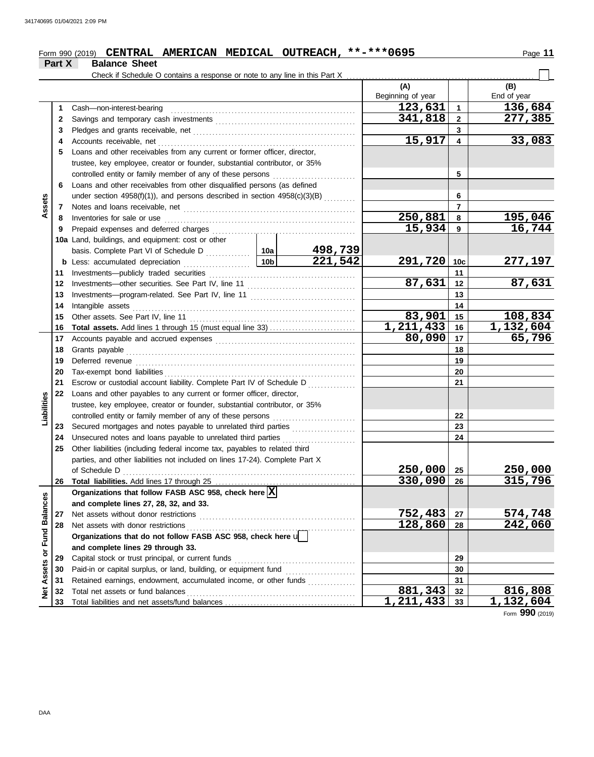#### Form 990 (2019) **CENTRAL AMERICAN MEDICAL OUTREACH, \*\*-\*\*\*0695** Page 11 **CENTRAL AMERICAN MEDICAL OUTREACH, \*\*-\*\*\*0695**

| Check if Schedule O contains a response or note to any line in this Part X<br>(A)<br>(B)<br>Beginning of year<br>End of year<br>$\overline{1}$ 23,631<br>$\overline{1}$<br>Cash-non-interest-bearing<br>1<br>341,818<br>$\mathbf{2}$<br>2<br>3<br>3<br>15,917<br>4<br>4<br>Loans and other receivables from any current or former officer, director,<br>5<br>trustee, key employee, creator or founder, substantial contributor, or 35%<br>5<br>controlled entity or family member of any of these persons [<br>Loans and other receivables from other disqualified persons (as defined<br>6<br>under section 4958(f)(1)), and persons described in section $4958(c)(3)(B)$<br>6<br>Assets<br>$\overline{7}$<br>7<br>250,881<br>8<br>Inventories for sale or use<br>8<br>15,934<br>9<br>Prepaid expenses and deferred charges<br>9<br>10a Land, buildings, and equipment: cost or other<br>498,739<br>221,542<br>291,720<br>10 <sub>b</sub><br>10 <sub>c</sub><br><b>b</b> Less: accumulated depreciation<br>. |                           |
|----------------------------------------------------------------------------------------------------------------------------------------------------------------------------------------------------------------------------------------------------------------------------------------------------------------------------------------------------------------------------------------------------------------------------------------------------------------------------------------------------------------------------------------------------------------------------------------------------------------------------------------------------------------------------------------------------------------------------------------------------------------------------------------------------------------------------------------------------------------------------------------------------------------------------------------------------------------------------------------------------------------|---------------------------|
|                                                                                                                                                                                                                                                                                                                                                                                                                                                                                                                                                                                                                                                                                                                                                                                                                                                                                                                                                                                                                |                           |
|                                                                                                                                                                                                                                                                                                                                                                                                                                                                                                                                                                                                                                                                                                                                                                                                                                                                                                                                                                                                                |                           |
|                                                                                                                                                                                                                                                                                                                                                                                                                                                                                                                                                                                                                                                                                                                                                                                                                                                                                                                                                                                                                | 136,684                   |
|                                                                                                                                                                                                                                                                                                                                                                                                                                                                                                                                                                                                                                                                                                                                                                                                                                                                                                                                                                                                                | 277,385                   |
|                                                                                                                                                                                                                                                                                                                                                                                                                                                                                                                                                                                                                                                                                                                                                                                                                                                                                                                                                                                                                |                           |
|                                                                                                                                                                                                                                                                                                                                                                                                                                                                                                                                                                                                                                                                                                                                                                                                                                                                                                                                                                                                                | 33,083                    |
|                                                                                                                                                                                                                                                                                                                                                                                                                                                                                                                                                                                                                                                                                                                                                                                                                                                                                                                                                                                                                |                           |
|                                                                                                                                                                                                                                                                                                                                                                                                                                                                                                                                                                                                                                                                                                                                                                                                                                                                                                                                                                                                                |                           |
|                                                                                                                                                                                                                                                                                                                                                                                                                                                                                                                                                                                                                                                                                                                                                                                                                                                                                                                                                                                                                |                           |
|                                                                                                                                                                                                                                                                                                                                                                                                                                                                                                                                                                                                                                                                                                                                                                                                                                                                                                                                                                                                                |                           |
|                                                                                                                                                                                                                                                                                                                                                                                                                                                                                                                                                                                                                                                                                                                                                                                                                                                                                                                                                                                                                |                           |
|                                                                                                                                                                                                                                                                                                                                                                                                                                                                                                                                                                                                                                                                                                                                                                                                                                                                                                                                                                                                                |                           |
|                                                                                                                                                                                                                                                                                                                                                                                                                                                                                                                                                                                                                                                                                                                                                                                                                                                                                                                                                                                                                | 195,046                   |
|                                                                                                                                                                                                                                                                                                                                                                                                                                                                                                                                                                                                                                                                                                                                                                                                                                                                                                                                                                                                                | 16,744                    |
|                                                                                                                                                                                                                                                                                                                                                                                                                                                                                                                                                                                                                                                                                                                                                                                                                                                                                                                                                                                                                |                           |
|                                                                                                                                                                                                                                                                                                                                                                                                                                                                                                                                                                                                                                                                                                                                                                                                                                                                                                                                                                                                                |                           |
|                                                                                                                                                                                                                                                                                                                                                                                                                                                                                                                                                                                                                                                                                                                                                                                                                                                                                                                                                                                                                | 277,197                   |
| Investments-publicly traded securities<br>11<br>11                                                                                                                                                                                                                                                                                                                                                                                                                                                                                                                                                                                                                                                                                                                                                                                                                                                                                                                                                             |                           |
| 87,631<br>12<br>12                                                                                                                                                                                                                                                                                                                                                                                                                                                                                                                                                                                                                                                                                                                                                                                                                                                                                                                                                                                             | 87,631                    |
| 13<br>13                                                                                                                                                                                                                                                                                                                                                                                                                                                                                                                                                                                                                                                                                                                                                                                                                                                                                                                                                                                                       |                           |
| 14<br>Intangible assets<br>14                                                                                                                                                                                                                                                                                                                                                                                                                                                                                                                                                                                                                                                                                                                                                                                                                                                                                                                                                                                  |                           |
| 83,901<br>15<br>Other assets. See Part IV, line 11<br>15                                                                                                                                                                                                                                                                                                                                                                                                                                                                                                                                                                                                                                                                                                                                                                                                                                                                                                                                                       | 108,834                   |
| 1,211,433<br>16<br>16<br><b>Total assets.</b> Add lines 1 through 15 (must equal line 33)                                                                                                                                                                                                                                                                                                                                                                                                                                                                                                                                                                                                                                                                                                                                                                                                                                                                                                                      | 1,132,604                 |
| 80,090<br>17<br>17                                                                                                                                                                                                                                                                                                                                                                                                                                                                                                                                                                                                                                                                                                                                                                                                                                                                                                                                                                                             | 65,796                    |
| 18<br>Grants payable<br>18                                                                                                                                                                                                                                                                                                                                                                                                                                                                                                                                                                                                                                                                                                                                                                                                                                                                                                                                                                                     |                           |
| 19<br>19<br>Deferred revenue                                                                                                                                                                                                                                                                                                                                                                                                                                                                                                                                                                                                                                                                                                                                                                                                                                                                                                                                                                                   |                           |
| 20<br>20                                                                                                                                                                                                                                                                                                                                                                                                                                                                                                                                                                                                                                                                                                                                                                                                                                                                                                                                                                                                       |                           |
| 21<br>21<br>Escrow or custodial account liability. Complete Part IV of Schedule D <sub>1111111111111</sub>                                                                                                                                                                                                                                                                                                                                                                                                                                                                                                                                                                                                                                                                                                                                                                                                                                                                                                     |                           |
| Loans and other payables to any current or former officer, director,<br>22                                                                                                                                                                                                                                                                                                                                                                                                                                                                                                                                                                                                                                                                                                                                                                                                                                                                                                                                     |                           |
| trustee, key employee, creator or founder, substantial contributor, or 35%                                                                                                                                                                                                                                                                                                                                                                                                                                                                                                                                                                                                                                                                                                                                                                                                                                                                                                                                     |                           |
| Liabilities<br>22<br>controlled entity or family member of any of these persons                                                                                                                                                                                                                                                                                                                                                                                                                                                                                                                                                                                                                                                                                                                                                                                                                                                                                                                                |                           |
| Secured mortgages and notes payable to unrelated third parties<br>23<br>23                                                                                                                                                                                                                                                                                                                                                                                                                                                                                                                                                                                                                                                                                                                                                                                                                                                                                                                                     |                           |
| 24<br>Unsecured notes and loans payable to unrelated third parties<br>24                                                                                                                                                                                                                                                                                                                                                                                                                                                                                                                                                                                                                                                                                                                                                                                                                                                                                                                                       |                           |
| Other liabilities (including federal income tax, payables to related third<br>25                                                                                                                                                                                                                                                                                                                                                                                                                                                                                                                                                                                                                                                                                                                                                                                                                                                                                                                               |                           |
| parties, and other liabilities not included on lines 17-24). Complete Part X                                                                                                                                                                                                                                                                                                                                                                                                                                                                                                                                                                                                                                                                                                                                                                                                                                                                                                                                   |                           |
| 250,000<br>25<br>of Schedule D                                                                                                                                                                                                                                                                                                                                                                                                                                                                                                                                                                                                                                                                                                                                                                                                                                                                                                                                                                                 | 250,000                   |
| 330,090<br>26<br>26                                                                                                                                                                                                                                                                                                                                                                                                                                                                                                                                                                                                                                                                                                                                                                                                                                                                                                                                                                                            | 315,796                   |
| Organizations that follow FASB ASC 958, check here $\boxed{\mathbf{X}}$<br><b>Fund Balances</b><br>and complete lines 27, 28, 32, and 33.                                                                                                                                                                                                                                                                                                                                                                                                                                                                                                                                                                                                                                                                                                                                                                                                                                                                      |                           |
| 752,483<br>Net assets without donor restrictions<br>27<br>27                                                                                                                                                                                                                                                                                                                                                                                                                                                                                                                                                                                                                                                                                                                                                                                                                                                                                                                                                   |                           |
| 128,860<br>Net assets with donor restrictions<br>28<br>28                                                                                                                                                                                                                                                                                                                                                                                                                                                                                                                                                                                                                                                                                                                                                                                                                                                                                                                                                      | $\frac{574,748}{242,060}$ |
| Organizations that do not follow FASB ASC 958, check here u                                                                                                                                                                                                                                                                                                                                                                                                                                                                                                                                                                                                                                                                                                                                                                                                                                                                                                                                                    |                           |
| and complete lines 29 through 33.                                                                                                                                                                                                                                                                                                                                                                                                                                                                                                                                                                                                                                                                                                                                                                                                                                                                                                                                                                              |                           |
| Capital stock or trust principal, or current funds<br>29<br>29                                                                                                                                                                                                                                                                                                                                                                                                                                                                                                                                                                                                                                                                                                                                                                                                                                                                                                                                                 |                           |
| 30<br>30                                                                                                                                                                                                                                                                                                                                                                                                                                                                                                                                                                                                                                                                                                                                                                                                                                                                                                                                                                                                       |                           |
| Retained earnings, endowment, accumulated income, or other funds<br>31<br>31                                                                                                                                                                                                                                                                                                                                                                                                                                                                                                                                                                                                                                                                                                                                                                                                                                                                                                                                   |                           |
| Net Assets or<br>881, 343<br>Total net assets or fund balances<br>32<br>32                                                                                                                                                                                                                                                                                                                                                                                                                                                                                                                                                                                                                                                                                                                                                                                                                                                                                                                                     | 816,808                   |
| <u>1,211,433 33</u><br>33                                                                                                                                                                                                                                                                                                                                                                                                                                                                                                                                                                                                                                                                                                                                                                                                                                                                                                                                                                                      | <u>1,132,604</u>          |

Form **990** (2019)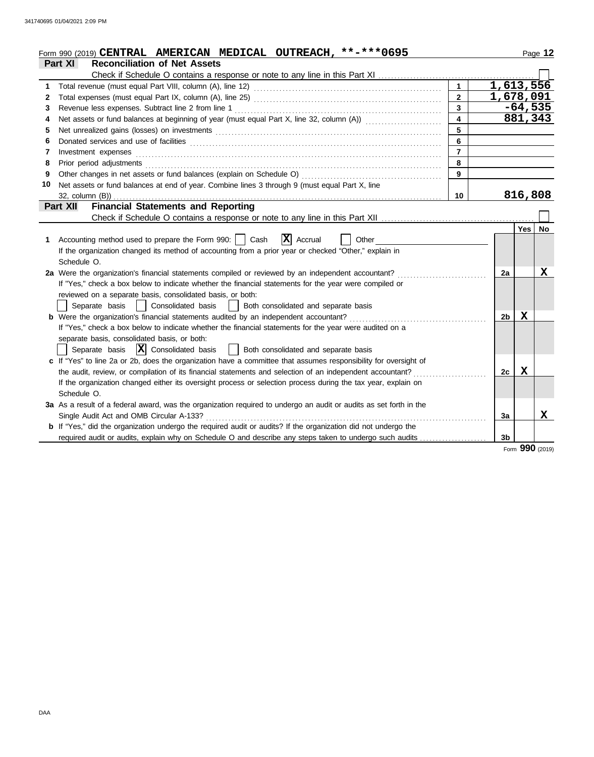|    | Form 990 (2019) CENTRAL AMERICAN MEDICAL OUTREACH, **-***0695                                                                                                                                                                  |                         |                |     | Page 12   |
|----|--------------------------------------------------------------------------------------------------------------------------------------------------------------------------------------------------------------------------------|-------------------------|----------------|-----|-----------|
|    | <b>Reconciliation of Net Assets</b><br>Part XI                                                                                                                                                                                 |                         |                |     |           |
|    |                                                                                                                                                                                                                                |                         |                |     |           |
| 1  |                                                                                                                                                                                                                                | $\mathbf{1}$            | 1,613,556      |     |           |
| 2  |                                                                                                                                                                                                                                | $\mathbf{2}$            | 1,678,091      |     |           |
| 3  | Revenue less expenses. Subtract line 2 from line 1                                                                                                                                                                             | $\overline{3}$          |                |     | $-64,535$ |
| 4  | Net assets or fund balances at beginning of year (must equal Part X, line 32, column (A))                                                                                                                                      | $\overline{\mathbf{4}}$ |                |     | 881,343   |
| 5  | Net unrealized gains (losses) on investments [11] matter contracts and the state of the state of the state of the state of the state of the state of the state of the state of the state of the state of the state of the stat | 5                       |                |     |           |
| 6  |                                                                                                                                                                                                                                | 6                       |                |     |           |
| 7  | Investment expenses                                                                                                                                                                                                            | $\overline{7}$          |                |     |           |
| 8  | Prior period adjustments                                                                                                                                                                                                       | 8                       |                |     |           |
| 9  | Other changes in net assets or fund balances (explain on Schedule O)                                                                                                                                                           | 9                       |                |     |           |
| 10 | Net assets or fund balances at end of year. Combine lines 3 through 9 (must equal Part X, line                                                                                                                                 |                         |                |     |           |
|    | 32, column (B))                                                                                                                                                                                                                | 10                      |                |     | 816,808   |
|    | <b>Financial Statements and Reporting</b><br>Part XII                                                                                                                                                                          |                         |                |     |           |
|    |                                                                                                                                                                                                                                |                         |                |     |           |
|    |                                                                                                                                                                                                                                |                         |                | Yes | No        |
|    | $ \mathbf{X} $ Accrual<br>Accounting method used to prepare the Form 990:     Cash<br>Other                                                                                                                                    |                         |                |     |           |
|    | If the organization changed its method of accounting from a prior year or checked "Other," explain in                                                                                                                          |                         |                |     |           |
|    | Schedule O.                                                                                                                                                                                                                    |                         |                |     |           |
|    | 2a Were the organization's financial statements compiled or reviewed by an independent accountant?                                                                                                                             |                         | 2a             |     | X         |
|    | If "Yes," check a box below to indicate whether the financial statements for the year were compiled or                                                                                                                         |                         |                |     |           |
|    | reviewed on a separate basis, consolidated basis, or both:                                                                                                                                                                     |                         |                |     |           |
|    | Both consolidated and separate basis<br>Separate basis<br>Consolidated basis                                                                                                                                                   |                         |                |     |           |
|    | <b>b</b> Were the organization's financial statements audited by an independent accountant?                                                                                                                                    |                         | 2b             | х   |           |
|    | If "Yes," check a box below to indicate whether the financial statements for the year were audited on a                                                                                                                        |                         |                |     |           |
|    | separate basis, consolidated basis, or both:                                                                                                                                                                                   |                         |                |     |           |
|    | Separate basis $ \mathbf{X} $ Consolidated basis<br>  Both consolidated and separate basis                                                                                                                                     |                         |                |     |           |
|    | c If "Yes" to line 2a or 2b, does the organization have a committee that assumes responsibility for oversight of                                                                                                               |                         |                |     |           |
|    | the audit, review, or compilation of its financial statements and selection of an independent accountant?                                                                                                                      |                         | 2c             | Х   |           |
|    | If the organization changed either its oversight process or selection process during the tax year, explain on                                                                                                                  |                         |                |     |           |
|    | Schedule O.                                                                                                                                                                                                                    |                         |                |     |           |
|    | 3a As a result of a federal award, was the organization required to undergo an audit or audits as set forth in the                                                                                                             |                         |                |     |           |
|    | Single Audit Act and OMB Circular A-133?                                                                                                                                                                                       |                         | 3a             |     | x         |
|    | b If "Yes," did the organization undergo the required audit or audits? If the organization did not undergo the                                                                                                                 |                         |                |     |           |
|    | required audit or audits, explain why on Schedule O and describe any steps taken to undergo such audits                                                                                                                        |                         | 3 <sub>b</sub> |     |           |

Form **990** (2019)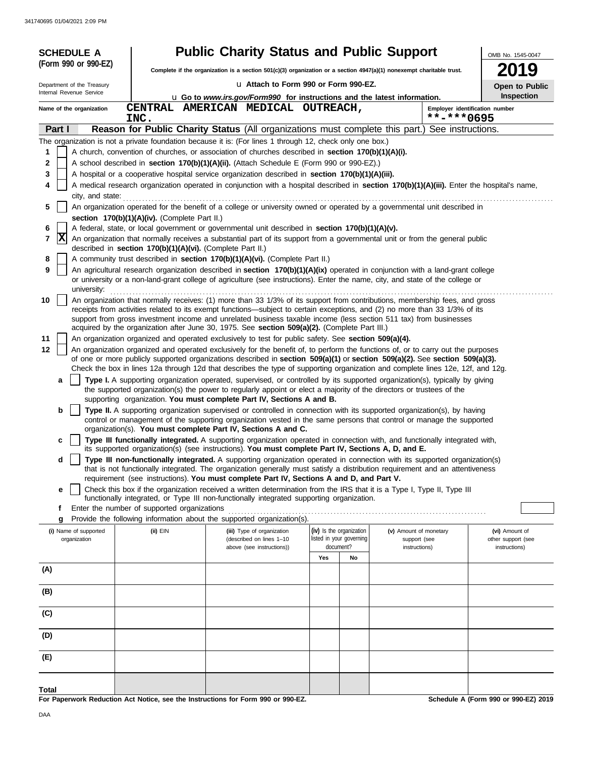| <b>SCHEDULE A</b>                                                                                                                                          |                                                                                                                                                                    | <b>Public Charity Status and Public Support</b>                                                                                                                                                                                                                                                                                                                                                                                                                                                                                                                                                                                                                                                                                                                                                                                                                                                                                                                                                                                                                                                                                                                                                                                                                                                                                                                                                                                                                                                                                                                                                                                                                                                                                                                                                                                                                                                                                                                                                                                                                                                                                                                                                                                                                                                                                                                                                                                                                                                                                                                                                                                                                                                                                                                                                                                                                                                                                                                                                                                                                                                                                                                                                                                                                                                                                                                                                                                                                                                                                                                                                                                                                                                                                                                                                                                                                                                                                             |                                       |                               | OMB No. 1545-0047                    |
|------------------------------------------------------------------------------------------------------------------------------------------------------------|--------------------------------------------------------------------------------------------------------------------------------------------------------------------|---------------------------------------------------------------------------------------------------------------------------------------------------------------------------------------------------------------------------------------------------------------------------------------------------------------------------------------------------------------------------------------------------------------------------------------------------------------------------------------------------------------------------------------------------------------------------------------------------------------------------------------------------------------------------------------------------------------------------------------------------------------------------------------------------------------------------------------------------------------------------------------------------------------------------------------------------------------------------------------------------------------------------------------------------------------------------------------------------------------------------------------------------------------------------------------------------------------------------------------------------------------------------------------------------------------------------------------------------------------------------------------------------------------------------------------------------------------------------------------------------------------------------------------------------------------------------------------------------------------------------------------------------------------------------------------------------------------------------------------------------------------------------------------------------------------------------------------------------------------------------------------------------------------------------------------------------------------------------------------------------------------------------------------------------------------------------------------------------------------------------------------------------------------------------------------------------------------------------------------------------------------------------------------------------------------------------------------------------------------------------------------------------------------------------------------------------------------------------------------------------------------------------------------------------------------------------------------------------------------------------------------------------------------------------------------------------------------------------------------------------------------------------------------------------------------------------------------------------------------------------------------------------------------------------------------------------------------------------------------------------------------------------------------------------------------------------------------------------------------------------------------------------------------------------------------------------------------------------------------------------------------------------------------------------------------------------------------------------------------------------------------------------------------------------------------------------------------------------------------------------------------------------------------------------------------------------------------------------------------------------------------------------------------------------------------------------------------------------------------------------------------------------------------------------------------------------------------------------------------------------------------------------------------------------------------------|---------------------------------------|-------------------------------|--------------------------------------|
| (Form 990 or 990-EZ)                                                                                                                                       |                                                                                                                                                                    | Complete if the organization is a section $501(c)(3)$ organization or a section $4947(a)(1)$ nonexempt charitable trust.                                                                                                                                                                                                                                                                                                                                                                                                                                                                                                                                                                                                                                                                                                                                                                                                                                                                                                                                                                                                                                                                                                                                                                                                                                                                                                                                                                                                                                                                                                                                                                                                                                                                                                                                                                                                                                                                                                                                                                                                                                                                                                                                                                                                                                                                                                                                                                                                                                                                                                                                                                                                                                                                                                                                                                                                                                                                                                                                                                                                                                                                                                                                                                                                                                                                                                                                                                                                                                                                                                                                                                                                                                                                                                                                                                                                                    |                                       |                               | 9                                    |
| Department of the Treasury                                                                                                                                 |                                                                                                                                                                    | La Attach to Form 990 or Form 990-EZ.                                                                                                                                                                                                                                                                                                                                                                                                                                                                                                                                                                                                                                                                                                                                                                                                                                                                                                                                                                                                                                                                                                                                                                                                                                                                                                                                                                                                                                                                                                                                                                                                                                                                                                                                                                                                                                                                                                                                                                                                                                                                                                                                                                                                                                                                                                                                                                                                                                                                                                                                                                                                                                                                                                                                                                                                                                                                                                                                                                                                                                                                                                                                                                                                                                                                                                                                                                                                                                                                                                                                                                                                                                                                                                                                                                                                                                                                                                       |                                       |                               | Open to Public                       |
| Internal Revenue Service                                                                                                                                   |                                                                                                                                                                    | u Go to www.irs.gov/Form990 for instructions and the latest information.                                                                                                                                                                                                                                                                                                                                                                                                                                                                                                                                                                                                                                                                                                                                                                                                                                                                                                                                                                                                                                                                                                                                                                                                                                                                                                                                                                                                                                                                                                                                                                                                                                                                                                                                                                                                                                                                                                                                                                                                                                                                                                                                                                                                                                                                                                                                                                                                                                                                                                                                                                                                                                                                                                                                                                                                                                                                                                                                                                                                                                                                                                                                                                                                                                                                                                                                                                                                                                                                                                                                                                                                                                                                                                                                                                                                                                                                    |                                       |                               | Inspection                           |
| Name of the organization                                                                                                                                   |                                                                                                                                                                    | CENTRAL AMERICAN MEDICAL OUTREACH,                                                                                                                                                                                                                                                                                                                                                                                                                                                                                                                                                                                                                                                                                                                                                                                                                                                                                                                                                                                                                                                                                                                                                                                                                                                                                                                                                                                                                                                                                                                                                                                                                                                                                                                                                                                                                                                                                                                                                                                                                                                                                                                                                                                                                                                                                                                                                                                                                                                                                                                                                                                                                                                                                                                                                                                                                                                                                                                                                                                                                                                                                                                                                                                                                                                                                                                                                                                                                                                                                                                                                                                                                                                                                                                                                                                                                                                                                                          |                                       |                               | Employer identification number       |
|                                                                                                                                                            |                                                                                                                                                                    |                                                                                                                                                                                                                                                                                                                                                                                                                                                                                                                                                                                                                                                                                                                                                                                                                                                                                                                                                                                                                                                                                                                                                                                                                                                                                                                                                                                                                                                                                                                                                                                                                                                                                                                                                                                                                                                                                                                                                                                                                                                                                                                                                                                                                                                                                                                                                                                                                                                                                                                                                                                                                                                                                                                                                                                                                                                                                                                                                                                                                                                                                                                                                                                                                                                                                                                                                                                                                                                                                                                                                                                                                                                                                                                                                                                                                                                                                                                                             |                                       |                               |                                      |
|                                                                                                                                                            |                                                                                                                                                                    |                                                                                                                                                                                                                                                                                                                                                                                                                                                                                                                                                                                                                                                                                                                                                                                                                                                                                                                                                                                                                                                                                                                                                                                                                                                                                                                                                                                                                                                                                                                                                                                                                                                                                                                                                                                                                                                                                                                                                                                                                                                                                                                                                                                                                                                                                                                                                                                                                                                                                                                                                                                                                                                                                                                                                                                                                                                                                                                                                                                                                                                                                                                                                                                                                                                                                                                                                                                                                                                                                                                                                                                                                                                                                                                                                                                                                                                                                                                                             |                                       |                               |                                      |
| Part I<br>1<br>2<br>3<br>4<br>city, and state:<br>5<br>6<br>$ {\bf x} $<br>7<br>8<br>9<br>university:<br>10<br>11<br>12<br>a<br>b<br>c<br>d<br>е<br>f<br>g | INC.<br>section 170(b)(1)(A)(iv). (Complete Part II.)<br>described in section 170(b)(1)(A)(vi). (Complete Part II.)<br>Enter the number of supported organizations | Reason for Public Charity Status (All organizations must complete this part.) See instructions.<br>The organization is not a private foundation because it is: (For lines 1 through 12, check only one box.)<br>A church, convention of churches, or association of churches described in section 170(b)(1)(A)(i).<br>A school described in section 170(b)(1)(A)(ii). (Attach Schedule E (Form 990 or 990-EZ).)<br>A hospital or a cooperative hospital service organization described in section 170(b)(1)(A)(iii).<br>A medical research organization operated in conjunction with a hospital described in section 170(b)(1)(A)(iii). Enter the hospital's name,<br>An organization operated for the benefit of a college or university owned or operated by a governmental unit described in<br>A federal, state, or local government or governmental unit described in section 170(b)(1)(A)(v).<br>An organization that normally receives a substantial part of its support from a governmental unit or from the general public<br>A community trust described in section 170(b)(1)(A)(vi). (Complete Part II.)<br>An agricultural research organization described in section 170(b)(1)(A)(ix) operated in conjunction with a land-grant college<br>or university or a non-land-grant college of agriculture (see instructions). Enter the name, city, and state of the college or<br>An organization that normally receives: (1) more than 33 1/3% of its support from contributions, membership fees, and gross<br>receipts from activities related to its exempt functions—subject to certain exceptions, and (2) no more than 33 1/3% of its<br>support from gross investment income and unrelated business taxable income (less section 511 tax) from businesses<br>acquired by the organization after June 30, 1975. See section 509(a)(2). (Complete Part III.)<br>An organization organized and operated exclusively to test for public safety. See section 509(a)(4).<br>An organization organized and operated exclusively for the benefit of, to perform the functions of, or to carry out the purposes<br>of one or more publicly supported organizations described in section 509(a)(1) or section 509(a)(2). See section 509(a)(3).<br>Check the box in lines 12a through 12d that describes the type of supporting organization and complete lines 12e, 12f, and 12g.<br>Type I. A supporting organization operated, supervised, or controlled by its supported organization(s), typically by giving<br>the supported organization(s) the power to regularly appoint or elect a majority of the directors or trustees of the<br>supporting organization. You must complete Part IV, Sections A and B.<br>Type II. A supporting organization supervised or controlled in connection with its supported organization(s), by having<br>control or management of the supporting organization vested in the same persons that control or manage the supported<br>organization(s). You must complete Part IV, Sections A and C.<br>Type III functionally integrated. A supporting organization operated in connection with, and functionally integrated with,<br>its supported organization(s) (see instructions). You must complete Part IV, Sections A, D, and E.<br>Type III non-functionally integrated. A supporting organization operated in connection with its supported organization(s)<br>that is not functionally integrated. The organization generally must satisfy a distribution requirement and an attentiveness<br>requirement (see instructions). You must complete Part IV, Sections A and D, and Part V.<br>Check this box if the organization received a written determination from the IRS that it is a Type I, Type II, Type III<br>functionally integrated, or Type III non-functionally integrated supporting organization.<br>Provide the following information about the supported organization(s). |                                       | **-***0695                    |                                      |
| (i) Name of supported                                                                                                                                      | $(ii)$ EIN                                                                                                                                                         | (iii) Type of organization                                                                                                                                                                                                                                                                                                                                                                                                                                                                                                                                                                                                                                                                                                                                                                                                                                                                                                                                                                                                                                                                                                                                                                                                                                                                                                                                                                                                                                                                                                                                                                                                                                                                                                                                                                                                                                                                                                                                                                                                                                                                                                                                                                                                                                                                                                                                                                                                                                                                                                                                                                                                                                                                                                                                                                                                                                                                                                                                                                                                                                                                                                                                                                                                                                                                                                                                                                                                                                                                                                                                                                                                                                                                                                                                                                                                                                                                                                                  | (iv) Is the organization              | (v) Amount of monetary        | (vi) Amount of                       |
| organization                                                                                                                                               |                                                                                                                                                                    | (described on lines 1-10<br>above (see instructions))                                                                                                                                                                                                                                                                                                                                                                                                                                                                                                                                                                                                                                                                                                                                                                                                                                                                                                                                                                                                                                                                                                                                                                                                                                                                                                                                                                                                                                                                                                                                                                                                                                                                                                                                                                                                                                                                                                                                                                                                                                                                                                                                                                                                                                                                                                                                                                                                                                                                                                                                                                                                                                                                                                                                                                                                                                                                                                                                                                                                                                                                                                                                                                                                                                                                                                                                                                                                                                                                                                                                                                                                                                                                                                                                                                                                                                                                                       | listed in your governing<br>document? | support (see<br>instructions) | other support (see<br>instructions)  |
|                                                                                                                                                            |                                                                                                                                                                    |                                                                                                                                                                                                                                                                                                                                                                                                                                                                                                                                                                                                                                                                                                                                                                                                                                                                                                                                                                                                                                                                                                                                                                                                                                                                                                                                                                                                                                                                                                                                                                                                                                                                                                                                                                                                                                                                                                                                                                                                                                                                                                                                                                                                                                                                                                                                                                                                                                                                                                                                                                                                                                                                                                                                                                                                                                                                                                                                                                                                                                                                                                                                                                                                                                                                                                                                                                                                                                                                                                                                                                                                                                                                                                                                                                                                                                                                                                                                             | Yes<br>No                             |                               |                                      |
| (A)                                                                                                                                                        |                                                                                                                                                                    |                                                                                                                                                                                                                                                                                                                                                                                                                                                                                                                                                                                                                                                                                                                                                                                                                                                                                                                                                                                                                                                                                                                                                                                                                                                                                                                                                                                                                                                                                                                                                                                                                                                                                                                                                                                                                                                                                                                                                                                                                                                                                                                                                                                                                                                                                                                                                                                                                                                                                                                                                                                                                                                                                                                                                                                                                                                                                                                                                                                                                                                                                                                                                                                                                                                                                                                                                                                                                                                                                                                                                                                                                                                                                                                                                                                                                                                                                                                                             |                                       |                               |                                      |
| (B)                                                                                                                                                        |                                                                                                                                                                    |                                                                                                                                                                                                                                                                                                                                                                                                                                                                                                                                                                                                                                                                                                                                                                                                                                                                                                                                                                                                                                                                                                                                                                                                                                                                                                                                                                                                                                                                                                                                                                                                                                                                                                                                                                                                                                                                                                                                                                                                                                                                                                                                                                                                                                                                                                                                                                                                                                                                                                                                                                                                                                                                                                                                                                                                                                                                                                                                                                                                                                                                                                                                                                                                                                                                                                                                                                                                                                                                                                                                                                                                                                                                                                                                                                                                                                                                                                                                             |                                       |                               |                                      |
| (C)                                                                                                                                                        |                                                                                                                                                                    |                                                                                                                                                                                                                                                                                                                                                                                                                                                                                                                                                                                                                                                                                                                                                                                                                                                                                                                                                                                                                                                                                                                                                                                                                                                                                                                                                                                                                                                                                                                                                                                                                                                                                                                                                                                                                                                                                                                                                                                                                                                                                                                                                                                                                                                                                                                                                                                                                                                                                                                                                                                                                                                                                                                                                                                                                                                                                                                                                                                                                                                                                                                                                                                                                                                                                                                                                                                                                                                                                                                                                                                                                                                                                                                                                                                                                                                                                                                                             |                                       |                               |                                      |
| (D)                                                                                                                                                        |                                                                                                                                                                    |                                                                                                                                                                                                                                                                                                                                                                                                                                                                                                                                                                                                                                                                                                                                                                                                                                                                                                                                                                                                                                                                                                                                                                                                                                                                                                                                                                                                                                                                                                                                                                                                                                                                                                                                                                                                                                                                                                                                                                                                                                                                                                                                                                                                                                                                                                                                                                                                                                                                                                                                                                                                                                                                                                                                                                                                                                                                                                                                                                                                                                                                                                                                                                                                                                                                                                                                                                                                                                                                                                                                                                                                                                                                                                                                                                                                                                                                                                                                             |                                       |                               |                                      |
| (E)                                                                                                                                                        |                                                                                                                                                                    |                                                                                                                                                                                                                                                                                                                                                                                                                                                                                                                                                                                                                                                                                                                                                                                                                                                                                                                                                                                                                                                                                                                                                                                                                                                                                                                                                                                                                                                                                                                                                                                                                                                                                                                                                                                                                                                                                                                                                                                                                                                                                                                                                                                                                                                                                                                                                                                                                                                                                                                                                                                                                                                                                                                                                                                                                                                                                                                                                                                                                                                                                                                                                                                                                                                                                                                                                                                                                                                                                                                                                                                                                                                                                                                                                                                                                                                                                                                                             |                                       |                               |                                      |
| Total                                                                                                                                                      |                                                                                                                                                                    | For Paperwork Reduction Act Notice, see the Instructions for Form 990 or 990-EZ.                                                                                                                                                                                                                                                                                                                                                                                                                                                                                                                                                                                                                                                                                                                                                                                                                                                                                                                                                                                                                                                                                                                                                                                                                                                                                                                                                                                                                                                                                                                                                                                                                                                                                                                                                                                                                                                                                                                                                                                                                                                                                                                                                                                                                                                                                                                                                                                                                                                                                                                                                                                                                                                                                                                                                                                                                                                                                                                                                                                                                                                                                                                                                                                                                                                                                                                                                                                                                                                                                                                                                                                                                                                                                                                                                                                                                                                            |                                       |                               | Schedule A (Form 990 or 990-EZ) 2019 |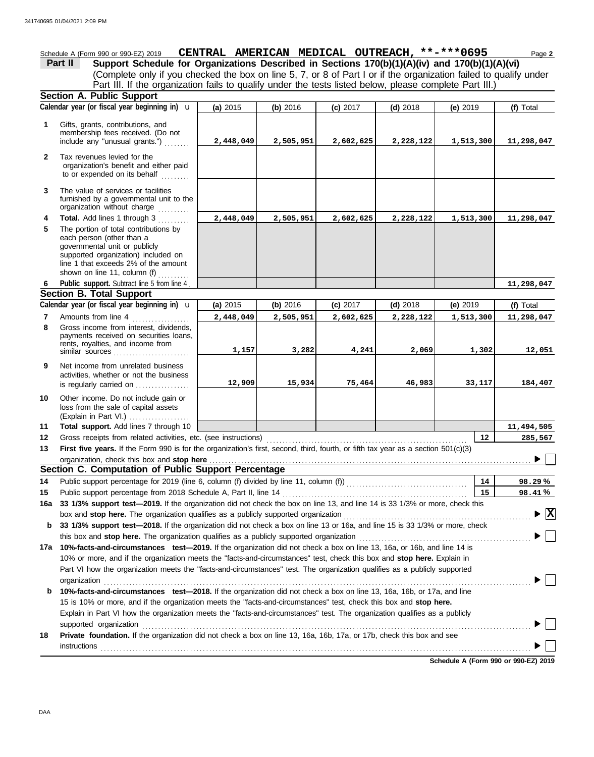(Explain in Part VI.) . . . . . . . . . . . . . . . . . . . governmental unit or publicly **Section A. Public Support Total support.** Add lines 7 through 10 loss from the sale of capital assets Other income. Do not include gain or is regularly carried on . . . . . . . . . . . . . . . activities, whether or not the business Net income from unrelated business rents, royalties, and income from payments received on securities loans, Gross income from interest, dividends, line 1 that exceeds 2% of the amount supported organization) included on each person (other than a The portion of total contributions by **Total.** Add lines 1 through 3 .......... The value of services or facilities to or expended on its behalf ......... organization's benefit and either paid Tax revenues levied for the First five years. If the Form 990 is for the organization's first, second, third, fourth, or fifth tax year as a section 501(c)(3) Gross receipts from related activities, etc. (see instructions) . . . . . . . . . . . . . . . . . . . . . . . . . . . . . . . . . . . . . . . . . . . . . . . . . . . . . . . . . . . . . . . Amounts from line 4 Public support. Subtract line 5 from line 4 include any "unusual grants.") . . . . . . . . membership fees received. (Do not Gifts, grants, contributions, and Schedule A (Form 990 or 990-EZ) 2019 **CENTRAL AMERICAN MEDICAL OUTREACH, \*\*-\*\*\*0695** Page 2 **13 12 11 9 8 6 4 3 2 1 (a)** 2015 **(b)** 2016 **(c)** 2017 **(d)** 2018 **(e)** 2019 (Complete only if you checked the box on line 5, 7, or 8 of Part I or if the organization failed to qualify under **Part II Support Schedule for Organizations Described in Sections 170(b)(1)(A)(iv) and 170(b)(1)(A)(vi)** Calendar year (or fiscal year beginning in) **\u** | (a) 2015 | (b) 2016 | (c) 2017 | (d) 2018 | (e) 2019 | (f) Total furnished by a governmental unit to the organization without charge **5 Section B. Total Support 7** similar sources **10** organization, check this box and stop here **Section C. Computation of Public Support Percentage 12 14** Public support percentage for 2019 (line 6, column (f) divided by line 11, column (f)) . . . . . . . . . . . . . . . . . . . . . . . . . . . . . . . . . . . . . . Public support percentage from 2018 Schedule A, Part II, line 14 . . . . . . . . . . . . . . . . . . . . . . . . . . . . . . . . . . . . . . . . . . . . . . . . . . . . . . . . . . **15 16a 33 1/3% support test—2019.** If the organization did not check the box on line 13, and line 14 is 33 1/3% or more, check this box and stop here. The organization qualifies as a publicly supported organization ............... **b 33 1/3% support test—2018.** If the organization did not check a box on line 13 or 16a, and line 15 is 33 1/3% or more, check this box and **stop here.** The organization qualifies as a publicly supported organization . . . . . . . . . . . . . . . . . . . . . . . . . . . . . . . . . . . . . . . . . . . . . . . . . . . . . . **17a 10%-facts-and-circumstances test—2019.** If the organization did not check a box on line 13, 16a, or 16b, and line 14 is 10% or more, and if the organization meets the "facts-and-circumstances" test, check this box and **stop here.** Explain in Part VI how the organization meets the "facts-and-circumstances" test. The organization qualifies as a publicly supported **b 10%-facts-and-circumstances test—2018.** If the organization did not check a box on line 13, 16a, 16b, or 17a, and line Explain in Part VI how the organization meets the "facts-and-circumstances" test. The organization qualifies as a publicly 15 is 10% or more, and if the organization meets the "facts-and-circumstances" test, check this box and **stop here. 18 Private foundation.** If the organization did not check a box on line 13, 16a, 16b, 17a, or 17b, check this box and see **14 15 % 98.29 % 98.41** Calendar year (or fiscal year beginning in)  $\bf{u}$  (a) 2015 (b) 2016 (c) 2017 (d) 2018 (e) 2019 (f) Total Part III. If the organization fails to qualify under the tests listed below, please complete Part III.) **(a)** 2015 shown on line 11, column (f)  $\ldots$ organization content to the content of the content of the content of the content of the content of the content of the content of the content of the content of the content of the content of the content of the content of the supported organization . . . . . . . . . . . . . . . . . . . . . . . . . . . . . . . . . . . . . . . . . . . . . . . . . . . . . . . . . . . . . . . . . . . . . . . . . . . . . . . . . . . . . . . . . . . . . . . . . . . . . . . . . . . . . . . . . . . . . . . . . . instructions . . . . . . . . . . . . . . . . . . . . . . . . . . . . . . . . . . . . . . . . . . . . . . . . . . . . . . . . . . . . . . . . . . . . . . . . . . . . . . . . . . . . . . . . . . . . . . . . . . . . . . . . . . . . . . . . . . . . . . . . . . . . . . . . . . . . . . . u **(b)** 2016 **(c)** 2017 **(d)** 2018 **(e)** 2019 **2,448,049 2,505,951 2,602,625 2,228,122 1,513,300 11,298,047 2,448,049 2,505,951 2,602,625 2,228,122 1,513,300 11,298,047 11,298,047 2,448,049 2,505,951 2,602,625 2,228,122 1,513,300 11,298,047 1,157 3,282 4,241 2,069 1,302 12,051 12,909 15,934 75,464 46,983 33,117 184,407 11,494,505 285,567 X**

**Schedule A (Form 990 or 990-EZ) 2019**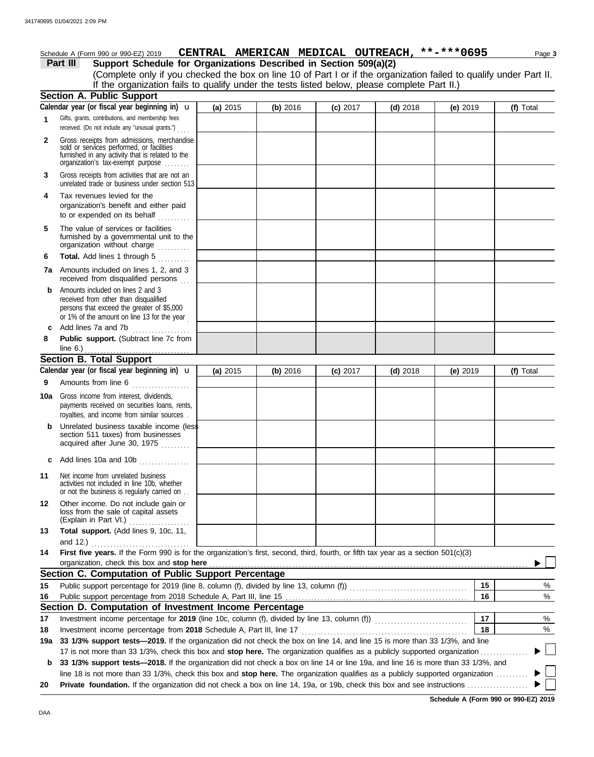#### Schedule A (Form 990 or 990-EZ) 2019 **CENTRAL AMERICAN MEDICAL OUTREACH, \*\*-\*\*\*0695** Page 3

**Part III Support Schedule for Organizations Described in Section 509(a)(2)** (Complete only if you checked the box on line 10 of Part I or if the organization failed to qualify under Part II. If the organization fails to qualify under the tests listed below, please complete Part II.)

|              | <b>Section A. Public Support</b>                                                                                                                                        |            |          |            |            |            |           |
|--------------|-------------------------------------------------------------------------------------------------------------------------------------------------------------------------|------------|----------|------------|------------|------------|-----------|
|              | Calendar year (or fiscal year beginning in) $\mathbf u$                                                                                                                 | (a) $2015$ | (b) 2016 | $(c)$ 2017 | $(d)$ 2018 | (e) $2019$ | (f) Total |
| $\mathbf{1}$ | Gifts, grants, contributions, and membership fees                                                                                                                       |            |          |            |            |            |           |
|              | received. (Do not include any "unusual grants.")                                                                                                                        |            |          |            |            |            |           |
| $\mathbf{2}$ | Gross receipts from admissions, merchandise<br>sold or services performed, or facilities                                                                                |            |          |            |            |            |           |
|              | furnished in any activity that is related to the<br>organization's tax-exempt purpose                                                                                   |            |          |            |            |            |           |
| 3            | Gross receipts from activities that are not an<br>unrelated trade or business under section 513                                                                         |            |          |            |            |            |           |
| 4            | Tax revenues levied for the<br>organization's benefit and either paid<br>to or expended on its behalf                                                                   |            |          |            |            |            |           |
| 5<br>6       | The value of services or facilities<br>furnished by a governmental unit to the<br>organization without charge<br>Total. Add lines 1 through 5<br>.                      |            |          |            |            |            |           |
|              | <b>7a</b> Amounts included on lines 1, 2, and 3<br>received from disqualified persons                                                                                   |            |          |            |            |            |           |
| b            | Amounts included on lines 2 and 3<br>received from other than disqualified<br>persons that exceed the greater of \$5,000<br>or 1% of the amount on line 13 for the year |            |          |            |            |            |           |
| c            | Add lines 7a and 7b<br>.                                                                                                                                                |            |          |            |            |            |           |
| 8            | Public support. (Subtract line 7c from                                                                                                                                  |            |          |            |            |            |           |
|              |                                                                                                                                                                         |            |          |            |            |            |           |
|              | <b>Section B. Total Support</b><br>Calendar year (or fiscal year beginning in) $\mathbf u$                                                                              |            |          |            |            |            |           |
|              |                                                                                                                                                                         | (a) 2015   | (b) 2016 | (c) 2017   | $(d)$ 2018 | (e) $2019$ | (f) Total |
| 9            | Amounts from line 6                                                                                                                                                     |            |          |            |            |            |           |
| 10a          | Gross income from interest, dividends,<br>payments received on securities loans, rents,<br>royalties, and income from similar sources.                                  |            |          |            |            |            |           |
|              | Unrelated business taxable income (less<br>section 511 taxes) from businesses<br>acquired after June 30, 1975                                                           |            |          |            |            |            |           |
| C            | Add lines 10a and 10b                                                                                                                                                   |            |          |            |            |            |           |
| 11           | Net income from unrelated business<br>activities not included in line 10b, whether<br>or not the business is regularly carried on                                       |            |          |            |            |            |           |
| 12           | Other income. Do not include gain or<br>loss from the sale of capital assets<br>(Explain in Part VI.)                                                                   |            |          |            |            |            |           |
| 13           | Total support. (Add lines 9, 10c, 11,<br>and 12.)                                                                                                                       |            |          |            |            |            |           |
| 14           | .<br>First five years. If the Form 990 is for the organization's first, second, third, fourth, or fifth tax year as a section 501(c)(3)                                 |            |          |            |            |            |           |
|              | organization, check this box and stop here                                                                                                                              |            |          |            |            |            |           |
|              | Section C. Computation of Public Support Percentage                                                                                                                     |            |          |            |            |            |           |
| 15           |                                                                                                                                                                         |            |          |            |            | 15         | %         |
| 16           |                                                                                                                                                                         |            |          |            |            | 16         | $\%$      |
|              | Section D. Computation of Investment Income Percentage                                                                                                                  |            |          |            |            |            |           |
| 17           |                                                                                                                                                                         |            |          |            |            | 17         | $\%$      |
| 18           | Investment income percentage from 2018 Schedule A, Part III, line 17                                                                                                    |            |          |            |            | 18         | %         |
| 19a          | 33 1/3% support tests-2019. If the organization did not check the box on line 14, and line 15 is more than 33 1/3%, and line                                            |            |          |            |            |            |           |
|              | 17 is not more than 33 1/3%, check this box and stop here. The organization qualifies as a publicly supported organization                                              |            |          |            |            |            |           |
| b            | 33 1/3% support tests—2018. If the organization did not check a box on line 14 or line 19a, and line 16 is more than 33 1/3%, and                                       |            |          |            |            |            |           |
|              | line 18 is not more than 33 1/3%, check this box and stop here. The organization qualifies as a publicly supported organization                                         |            |          |            |            |            |           |
| 20           |                                                                                                                                                                         |            |          |            |            |            |           |

**Schedule A (Form 990 or 990-EZ) 2019**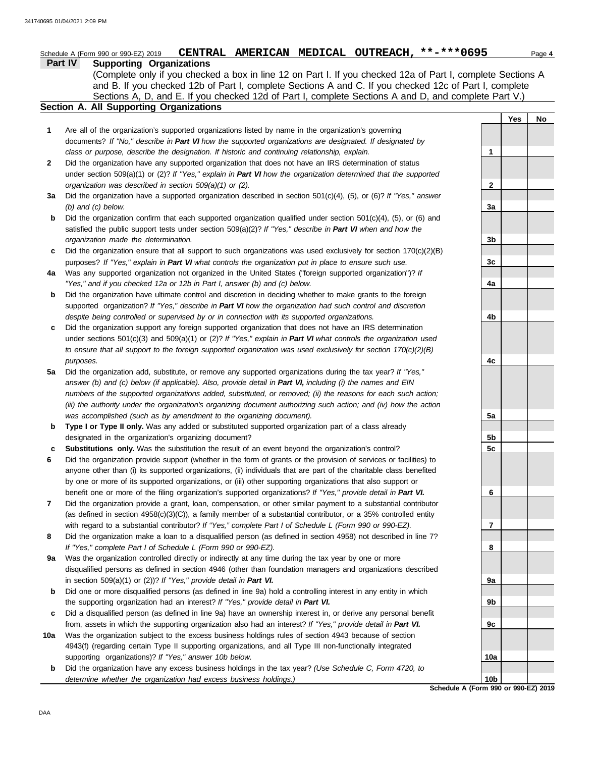|     | CENTRAL AMERICAN MEDICAL OUTREACH, **-***0695<br>Schedule A (Form 990 or 990-EZ) 2019<br>Part IV<br><b>Supporting Organizations</b>                                                                  |     |     | Page 4 |
|-----|------------------------------------------------------------------------------------------------------------------------------------------------------------------------------------------------------|-----|-----|--------|
|     | (Complete only if you checked a box in line 12 on Part I. If you checked 12a of Part I, complete Sections A                                                                                          |     |     |        |
|     | and B. If you checked 12b of Part I, complete Sections A and C. If you checked 12c of Part I, complete                                                                                               |     |     |        |
|     | Sections A, D, and E. If you checked 12d of Part I, complete Sections A and D, and complete Part V.)                                                                                                 |     |     |        |
|     | Section A. All Supporting Organizations                                                                                                                                                              |     |     |        |
|     |                                                                                                                                                                                                      |     | Yes | No     |
| 1   | Are all of the organization's supported organizations listed by name in the organization's governing                                                                                                 |     |     |        |
|     | documents? If "No," describe in Part VI how the supported organizations are designated. If designated by                                                                                             |     |     |        |
|     | class or purpose, describe the designation. If historic and continuing relationship, explain.                                                                                                        | 1   |     |        |
| 2   | Did the organization have any supported organization that does not have an IRS determination of status                                                                                               |     |     |        |
|     | under section 509(a)(1) or (2)? If "Yes," explain in Part VI how the organization determined that the supported                                                                                      |     |     |        |
|     | organization was described in section 509(a)(1) or (2).                                                                                                                                              | 2   |     |        |
| 3a  | Did the organization have a supported organization described in section $501(c)(4)$ , (5), or (6)? If "Yes," answer                                                                                  |     |     |        |
|     | $(b)$ and $(c)$ below.                                                                                                                                                                               | За  |     |        |
| b   | Did the organization confirm that each supported organization qualified under section 501(c)(4), (5), or (6) and                                                                                     |     |     |        |
|     | satisfied the public support tests under section 509(a)(2)? If "Yes," describe in Part VI when and how the                                                                                           |     |     |        |
|     | organization made the determination.                                                                                                                                                                 | 3b  |     |        |
| c   | Did the organization ensure that all support to such organizations was used exclusively for section $170(c)(2)(B)$                                                                                   |     |     |        |
|     | purposes? If "Yes," explain in Part VI what controls the organization put in place to ensure such use.                                                                                               | 3c  |     |        |
| 4a  | Was any supported organization not organized in the United States ("foreign supported organization")? If                                                                                             |     |     |        |
|     | "Yes," and if you checked 12a or 12b in Part I, answer (b) and (c) below.                                                                                                                            | 4a  |     |        |
| b   | Did the organization have ultimate control and discretion in deciding whether to make grants to the foreign                                                                                          |     |     |        |
|     | supported organization? If "Yes," describe in Part VI how the organization had such control and discretion                                                                                           |     |     |        |
|     | despite being controlled or supervised by or in connection with its supported organizations.                                                                                                         | 4b  |     |        |
| c   | Did the organization support any foreign supported organization that does not have an IRS determination                                                                                              |     |     |        |
|     | under sections $501(c)(3)$ and $509(a)(1)$ or $(2)$ ? If "Yes," explain in Part VI what controls the organization used                                                                               |     |     |        |
|     | to ensure that all support to the foreign supported organization was used exclusively for section $170(c)(2)(B)$                                                                                     | 4c  |     |        |
| 5a  | purposes.<br>Did the organization add, substitute, or remove any supported organizations during the tax year? If "Yes,"                                                                              |     |     |        |
|     | answer (b) and (c) below (if applicable). Also, provide detail in Part VI, including (i) the names and EIN                                                                                           |     |     |        |
|     | numbers of the supported organizations added, substituted, or removed; (ii) the reasons for each such action;                                                                                        |     |     |        |
|     | (iii) the authority under the organization's organizing document authorizing such action; and (iv) how the action                                                                                    |     |     |        |
|     | was accomplished (such as by amendment to the organizing document).                                                                                                                                  | 5a  |     |        |
| b   | Type I or Type II only. Was any added or substituted supported organization part of a class already                                                                                                  |     |     |        |
|     | designated in the organization's organizing document?                                                                                                                                                | 5b  |     |        |
| c   | <b>Substitutions only.</b> Was the substitution the result of an event beyond the organization's control?                                                                                            | 5c  |     |        |
| 6   | Did the organization provide support (whether in the form of grants or the provision of services or facilities) to                                                                                   |     |     |        |
|     | anyone other than (i) its supported organizations, (ii) individuals that are part of the charitable class benefited                                                                                  |     |     |        |
|     | by one or more of its supported organizations, or (iii) other supporting organizations that also support or                                                                                          |     |     |        |
|     | benefit one or more of the filing organization's supported organizations? If "Yes," provide detail in Part VI.                                                                                       | 6   |     |        |
| 7   | Did the organization provide a grant, loan, compensation, or other similar payment to a substantial contributor                                                                                      |     |     |        |
|     | (as defined in section $4958(c)(3)(C)$ ), a family member of a substantial contributor, or a 35% controlled entity                                                                                   |     |     |        |
|     | with regard to a substantial contributor? If "Yes," complete Part I of Schedule L (Form 990 or 990-EZ).                                                                                              | 7   |     |        |
| 8   | Did the organization make a loan to a disqualified person (as defined in section 4958) not described in line 7?                                                                                      |     |     |        |
|     | If "Yes," complete Part I of Schedule L (Form 990 or 990-EZ).                                                                                                                                        | 8   |     |        |
| 9a  | Was the organization controlled directly or indirectly at any time during the tax year by one or more                                                                                                |     |     |        |
|     | disqualified persons as defined in section 4946 (other than foundation managers and organizations described                                                                                          |     |     |        |
|     | in section 509(a)(1) or (2))? If "Yes," provide detail in Part VI.                                                                                                                                   | 9а  |     |        |
| b   | Did one or more disqualified persons (as defined in line 9a) hold a controlling interest in any entity in which<br>the supporting organization had an interest? If "Yes," provide detail in Part VI. | 9b  |     |        |
| c   | Did a disqualified person (as defined in line 9a) have an ownership interest in, or derive any personal benefit                                                                                      |     |     |        |
|     | from, assets in which the supporting organization also had an interest? If "Yes," provide detail in Part VI.                                                                                         | 9c  |     |        |
| 10a | Was the organization subject to the excess business holdings rules of section 4943 because of section                                                                                                |     |     |        |
|     | 4943(f) (regarding certain Type II supporting organizations, and all Type III non-functionally integrated                                                                                            |     |     |        |
|     | supporting organizations)? If "Yes," answer 10b below.                                                                                                                                               | 10a |     |        |
| b   | Did the organization have any excess business holdings in the tax year? (Use Schedule C, Form 4720, to                                                                                               |     |     |        |
|     | determine whether the organization had excess business holdings.)                                                                                                                                    | 10b |     |        |

**Schedule A (Form 990 or 990-EZ) 2019 10b**

DAA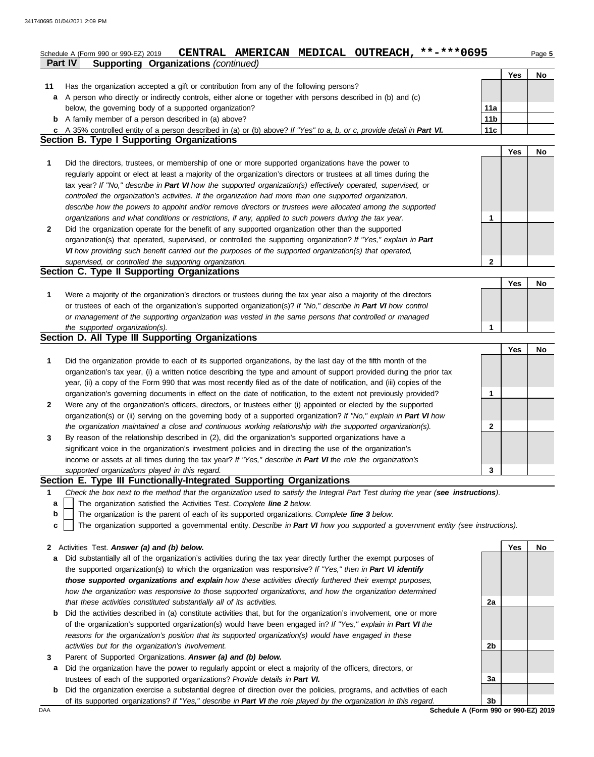|              | OUTREACH, **-***0695<br>AMERICAN MEDICAL<br><b>CENTRAL</b><br>Schedule A (Form 990 or 990-EZ) 2019                                |                 |     | Page 5 |
|--------------|-----------------------------------------------------------------------------------------------------------------------------------|-----------------|-----|--------|
|              | Part IV<br><b>Supporting Organizations (continued)</b>                                                                            |                 |     |        |
|              |                                                                                                                                   |                 | Yes | No     |
| 11           | Has the organization accepted a gift or contribution from any of the following persons?                                           |                 |     |        |
| а            | A person who directly or indirectly controls, either alone or together with persons described in (b) and (c)                      |                 |     |        |
|              | below, the governing body of a supported organization?                                                                            | 11a             |     |        |
|              | <b>b</b> A family member of a person described in (a) above?                                                                      | 11 <sub>b</sub> |     |        |
|              | c A 35% controlled entity of a person described in (a) or (b) above? If "Yes" to a, b, or c, provide detail in Part VI.           | 11c             |     |        |
|              | <b>Section B. Type I Supporting Organizations</b>                                                                                 |                 |     |        |
|              |                                                                                                                                   |                 | Yes | No     |
| 1            | Did the directors, trustees, or membership of one or more supported organizations have the power to                               |                 |     |        |
|              | regularly appoint or elect at least a majority of the organization's directors or trustees at all times during the                |                 |     |        |
|              | tax year? If "No," describe in Part VI how the supported organization(s) effectively operated, supervised, or                     |                 |     |        |
|              | controlled the organization's activities. If the organization had more than one supported organization,                           |                 |     |        |
|              | describe how the powers to appoint and/or remove directors or trustees were allocated among the supported                         |                 |     |        |
|              | organizations and what conditions or restrictions, if any, applied to such powers during the tax year.                            | 1               |     |        |
| $\mathbf{z}$ | Did the organization operate for the benefit of any supported organization other than the supported                               |                 |     |        |
|              | organization(s) that operated, supervised, or controlled the supporting organization? If "Yes," explain in Part                   |                 |     |        |
|              | VI how providing such benefit carried out the purposes of the supported organization(s) that operated,                            |                 |     |        |
|              | supervised, or controlled the supporting organization.                                                                            | 2               |     |        |
|              | Section C. Type II Supporting Organizations                                                                                       |                 |     |        |
|              |                                                                                                                                   |                 | Yes | No     |
| 1            | Were a majority of the organization's directors or trustees during the tax year also a majority of the directors                  |                 |     |        |
|              | or trustees of each of the organization's supported organization(s)? If "No," describe in Part VI how control                     |                 |     |        |
|              | or management of the supporting organization was vested in the same persons that controlled or managed                            |                 |     |        |
|              | the supported organization(s).                                                                                                    | 1               |     |        |
|              | Section D. All Type III Supporting Organizations                                                                                  |                 |     |        |
|              |                                                                                                                                   |                 | Yes | No.    |
| 1            | Did the organization provide to each of its supported organizations, by the last day of the fifth month of the                    |                 |     |        |
|              | organization's tax year, (i) a written notice describing the type and amount of support provided during the prior tax             |                 |     |        |
|              | year, (ii) a copy of the Form 990 that was most recently filed as of the date of notification, and (iii) copies of the            |                 |     |        |
|              | organization's governing documents in effect on the date of notification, to the extent not previously provided?                  | 1               |     |        |
| $\mathbf{z}$ | Were any of the organization's officers, directors, or trustees either (i) appointed or elected by the supported                  |                 |     |        |
|              | organization(s) or (ii) serving on the governing body of a supported organization? If "No," explain in Part VI how                |                 |     |        |
|              | the organization maintained a close and continuous working relationship with the supported organization(s).                       | $\mathbf{2}$    |     |        |
| 3            | By reason of the relationship described in (2), did the organization's supported organizations have a                             |                 |     |        |
|              | significant voice in the organization's investment policies and in directing the use of the organization's                        |                 |     |        |
|              | income or assets at all times during the tax year? If "Yes," describe in Part VI the role the organization's                      |                 |     |        |
|              | supported organizations played in this regard.                                                                                    | 3               |     |        |
|              | Section E. Type III Functionally-Integrated Supporting Organizations                                                              |                 |     |        |
| 1            | Check the box next to the method that the organization used to satisfy the Integral Part Test during the year (see instructions). |                 |     |        |
| a            | The organization satisfied the Activities Test. Complete line 2 below.                                                            |                 |     |        |
| b            | The organization is the parent of each of its supported organizations. Complete line 3 below.                                     |                 |     |        |
| с            | The organization supported a governmental entity. Describe in Part VI how you supported a government entity (see instructions).   |                 |     |        |

- **a** Did substantially all of the organization's activities during the tax year directly further the exempt purposes of the supported organization(s) to which the organization was responsive? *If "Yes," then in Part VI identify those supported organizations and explain how these activities directly furthered their exempt purposes, how the organization was responsive to those supported organizations, and how the organization determined that these activities constituted substantially all of its activities.*
- **b** Did the activities described in (a) constitute activities that, but for the organization's involvement, one or more of the organization's supported organization(s) would have been engaged in? *If "Yes," explain in Part VI the reasons for the organization's position that its supported organization(s) would have engaged in these activities but for the organization's involvement.*
- **3** Parent of Supported Organizations. *Answer (a) and (b) below.*
	- **a** Did the organization have the power to regularly appoint or elect a majority of the officers, directors, or trustees of each of the supported organizations? *Provide details in Part VI.*
- DAA **Schedule A (Form 990 or 990-EZ) 2019 b** Did the organization exercise a substantial degree of direction over the policies, programs, and activities of each of its supported organizations? *If "Yes," describe in Part VI the role played by the organization in this regard.*



**<sup>2</sup>** Activities Test. *Answer (a) and (b) below.*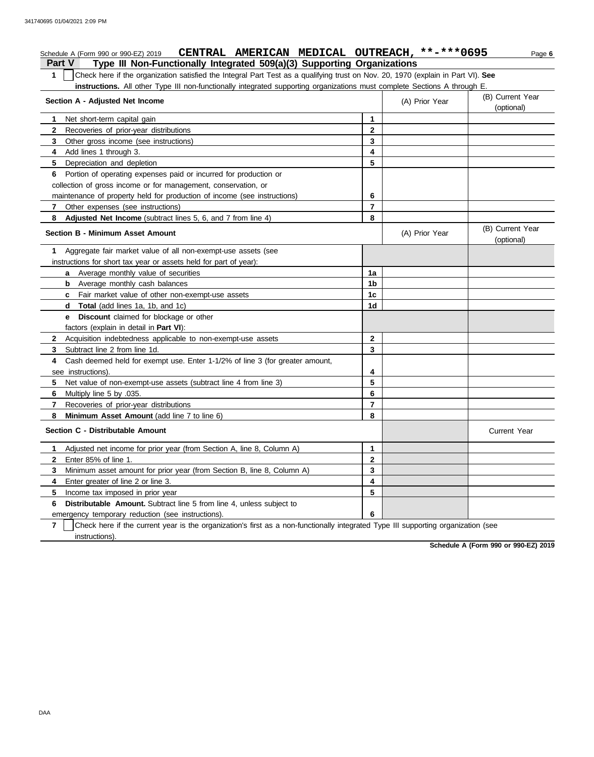#### **Part V Type III Non-Functionally Integrated 509(a)(3) Supporting Organizations** Schedule A (Form 990 or 990-EZ) 2019 **CENTRAL AMERICAN MEDICAL OUTREACH, \*\*-\*\*\*0695** Page 6

**1** Check here if the organization satisfied the Integral Part Test as a qualifying trust on Nov. 20, 1970 (explain in Part VI). **See instructions.** All other Type III non-functionally integrated supporting organizations must complete Sections A through E.

| Section A - Adjusted Net Income                                                                                                                          |                | (A) Prior Year | (B) Current Year<br>(optional) |
|----------------------------------------------------------------------------------------------------------------------------------------------------------|----------------|----------------|--------------------------------|
| Net short-term capital gain<br>1.                                                                                                                        | 1              |                |                                |
| $\mathbf{2}$<br>Recoveries of prior-year distributions                                                                                                   | $\mathbf{2}$   |                |                                |
| 3<br>Other gross income (see instructions)                                                                                                               | 3              |                |                                |
| Add lines 1 through 3.<br>4                                                                                                                              | 4              |                |                                |
| 5<br>Depreciation and depletion                                                                                                                          | 5              |                |                                |
| Portion of operating expenses paid or incurred for production or<br>6.                                                                                   |                |                |                                |
| collection of gross income or for management, conservation, or                                                                                           |                |                |                                |
| maintenance of property held for production of income (see instructions)                                                                                 | 6              |                |                                |
| 7<br>Other expenses (see instructions)                                                                                                                   | $\overline{7}$ |                |                                |
| Adjusted Net Income (subtract lines 5, 6, and 7 from line 4)<br>8                                                                                        | 8              |                |                                |
| <b>Section B - Minimum Asset Amount</b>                                                                                                                  |                | (A) Prior Year | (B) Current Year<br>(optional) |
| Aggregate fair market value of all non-exempt-use assets (see<br>1                                                                                       |                |                |                                |
| instructions for short tax year or assets held for part of year):                                                                                        |                |                |                                |
| <b>a</b> Average monthly value of securities                                                                                                             | 1a             |                |                                |
| <b>b</b> Average monthly cash balances                                                                                                                   | 1 <sub>b</sub> |                |                                |
| c Fair market value of other non-exempt-use assets                                                                                                       | 1 <sub>c</sub> |                |                                |
| <b>d</b> Total (add lines 1a, 1b, and 1c)                                                                                                                | 1d             |                |                                |
| e Discount claimed for blockage or other                                                                                                                 |                |                |                                |
| factors (explain in detail in Part VI):                                                                                                                  |                |                |                                |
| Acquisition indebtedness applicable to non-exempt-use assets<br>$\mathbf{2}$                                                                             | $\mathbf{2}$   |                |                                |
| Subtract line 2 from line 1d.<br>3                                                                                                                       | 3              |                |                                |
| 4<br>Cash deemed held for exempt use. Enter 1-1/2% of line 3 (for greater amount,                                                                        |                |                |                                |
| see instructions).                                                                                                                                       | 4              |                |                                |
| 5<br>Net value of non-exempt-use assets (subtract line 4 from line 3)                                                                                    | 5              |                |                                |
| 6.<br>Multiply line 5 by .035.                                                                                                                           | 6              |                |                                |
| 7<br>Recoveries of prior-year distributions                                                                                                              | $\overline{7}$ |                |                                |
| Minimum Asset Amount (add line 7 to line 6)<br>8                                                                                                         | 8              |                |                                |
| Section C - Distributable Amount                                                                                                                         |                |                | <b>Current Year</b>            |
| Adjusted net income for prior year (from Section A, line 8, Column A)<br>1                                                                               | 1              |                |                                |
| Enter 85% of line 1.<br>$\mathbf{2}$                                                                                                                     | $\mathbf{2}$   |                |                                |
| 3<br>Minimum asset amount for prior year (from Section B, line 8, Column A)                                                                              | 3              |                |                                |
| 4<br>Enter greater of line 2 or line 3.                                                                                                                  | 4              |                |                                |
| 5<br>Income tax imposed in prior year                                                                                                                    | 5              |                |                                |
| <b>Distributable Amount.</b> Subtract line 5 from line 4, unless subject to<br>6                                                                         |                |                |                                |
| emergency temporary reduction (see instructions).                                                                                                        | 6              |                |                                |
| 7<br>Check here if the current year is the organization's first as a non-functionally integrated Type III supporting organization (see<br>instructions). |                |                |                                |

**Schedule A (Form 990 or 990-EZ) 2019**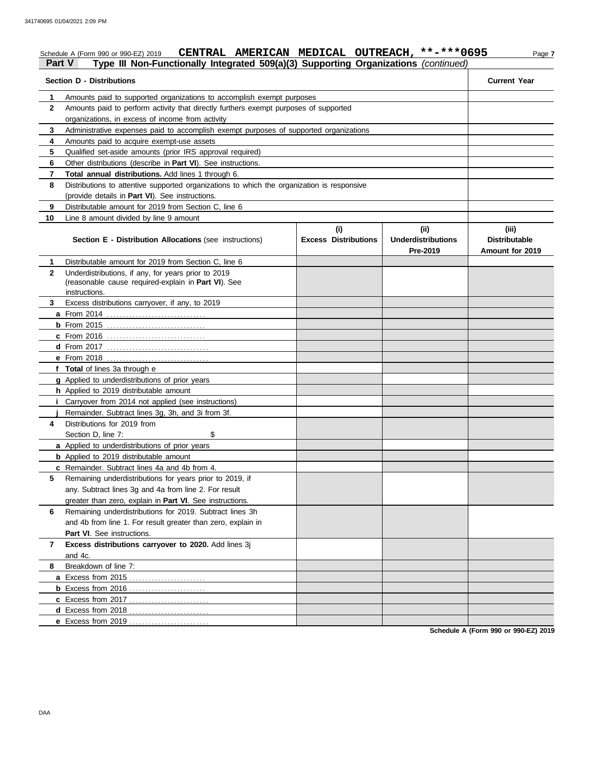#### Schedule A (Form 990 or 990-EZ) 2019 **CENTRAL AMERICAN MEDICAL OUTREACH, \*\*-\*\*\*0695** Page 7

#### **Part V Type III Non-Functionally Integrated 509(a)(3) Supporting Organizations** *(continued)*

| <b>Section D - Distributions</b> |                                                                                                                             |                                    |                                               | <b>Current Year</b>                              |  |  |
|----------------------------------|-----------------------------------------------------------------------------------------------------------------------------|------------------------------------|-----------------------------------------------|--------------------------------------------------|--|--|
| 1                                | Amounts paid to supported organizations to accomplish exempt purposes                                                       |                                    |                                               |                                                  |  |  |
| $\mathbf{2}$                     | Amounts paid to perform activity that directly furthers exempt purposes of supported                                        |                                    |                                               |                                                  |  |  |
|                                  | organizations, in excess of income from activity                                                                            |                                    |                                               |                                                  |  |  |
| 3                                | Administrative expenses paid to accomplish exempt purposes of supported organizations                                       |                                    |                                               |                                                  |  |  |
| 4                                | Amounts paid to acquire exempt-use assets                                                                                   |                                    |                                               |                                                  |  |  |
| 5                                | Qualified set-aside amounts (prior IRS approval required)                                                                   |                                    |                                               |                                                  |  |  |
| 6                                | Other distributions (describe in Part VI). See instructions.                                                                |                                    |                                               |                                                  |  |  |
| 7                                | Total annual distributions. Add lines 1 through 6.                                                                          |                                    |                                               |                                                  |  |  |
| 8                                | Distributions to attentive supported organizations to which the organization is responsive                                  |                                    |                                               |                                                  |  |  |
|                                  | (provide details in Part VI). See instructions.                                                                             |                                    |                                               |                                                  |  |  |
| 9                                | Distributable amount for 2019 from Section C, line 6                                                                        |                                    |                                               |                                                  |  |  |
| 10                               | Line 8 amount divided by line 9 amount                                                                                      |                                    |                                               |                                                  |  |  |
|                                  | <b>Section E - Distribution Allocations (see instructions)</b>                                                              | (i)<br><b>Excess Distributions</b> | (ii)<br><b>Underdistributions</b><br>Pre-2019 | (iii)<br><b>Distributable</b><br>Amount for 2019 |  |  |
| 1                                | Distributable amount for 2019 from Section C, line 6                                                                        |                                    |                                               |                                                  |  |  |
| $\mathbf{2}$                     | Underdistributions, if any, for years prior to 2019<br>(reasonable cause required-explain in Part VI). See<br>instructions. |                                    |                                               |                                                  |  |  |
| 3                                | Excess distributions carryover, if any, to 2019                                                                             |                                    |                                               |                                                  |  |  |
|                                  |                                                                                                                             |                                    |                                               |                                                  |  |  |
|                                  |                                                                                                                             |                                    |                                               |                                                  |  |  |
|                                  | <b>c</b> From 2016                                                                                                          |                                    |                                               |                                                  |  |  |
|                                  |                                                                                                                             |                                    |                                               |                                                  |  |  |
|                                  |                                                                                                                             |                                    |                                               |                                                  |  |  |
|                                  | f Total of lines 3a through e                                                                                               |                                    |                                               |                                                  |  |  |
|                                  | g Applied to underdistributions of prior years                                                                              |                                    |                                               |                                                  |  |  |
|                                  | h Applied to 2019 distributable amount                                                                                      |                                    |                                               |                                                  |  |  |
| i.                               | Carryover from 2014 not applied (see instructions)                                                                          |                                    |                                               |                                                  |  |  |
|                                  | Remainder. Subtract lines 3g, 3h, and 3i from 3f.                                                                           |                                    |                                               |                                                  |  |  |
| 4                                | Distributions for 2019 from                                                                                                 |                                    |                                               |                                                  |  |  |
|                                  | Section D, line 7:<br>\$                                                                                                    |                                    |                                               |                                                  |  |  |
|                                  | a Applied to underdistributions of prior years                                                                              |                                    |                                               |                                                  |  |  |
|                                  | <b>b</b> Applied to 2019 distributable amount                                                                               |                                    |                                               |                                                  |  |  |
|                                  | c Remainder. Subtract lines 4a and 4b from 4.                                                                               |                                    |                                               |                                                  |  |  |
| 5                                | Remaining underdistributions for years prior to 2019, if                                                                    |                                    |                                               |                                                  |  |  |
|                                  | any. Subtract lines 3g and 4a from line 2. For result                                                                       |                                    |                                               |                                                  |  |  |
|                                  | greater than zero, explain in Part VI. See instructions.                                                                    |                                    |                                               |                                                  |  |  |
| 6                                | Remaining underdistributions for 2019. Subtract lines 3h                                                                    |                                    |                                               |                                                  |  |  |
|                                  | and 4b from line 1. For result greater than zero, explain in                                                                |                                    |                                               |                                                  |  |  |
|                                  | Part VI. See instructions.                                                                                                  |                                    |                                               |                                                  |  |  |
| 7                                | Excess distributions carryover to 2020. Add lines 3j                                                                        |                                    |                                               |                                                  |  |  |
|                                  | and 4c.                                                                                                                     |                                    |                                               |                                                  |  |  |
| 8                                | Breakdown of line 7:                                                                                                        |                                    |                                               |                                                  |  |  |
|                                  |                                                                                                                             |                                    |                                               |                                                  |  |  |
|                                  |                                                                                                                             |                                    |                                               |                                                  |  |  |
|                                  |                                                                                                                             |                                    |                                               |                                                  |  |  |
|                                  |                                                                                                                             |                                    |                                               |                                                  |  |  |
|                                  |                                                                                                                             |                                    |                                               |                                                  |  |  |

**Schedule A (Form 990 or 990-EZ) 2019**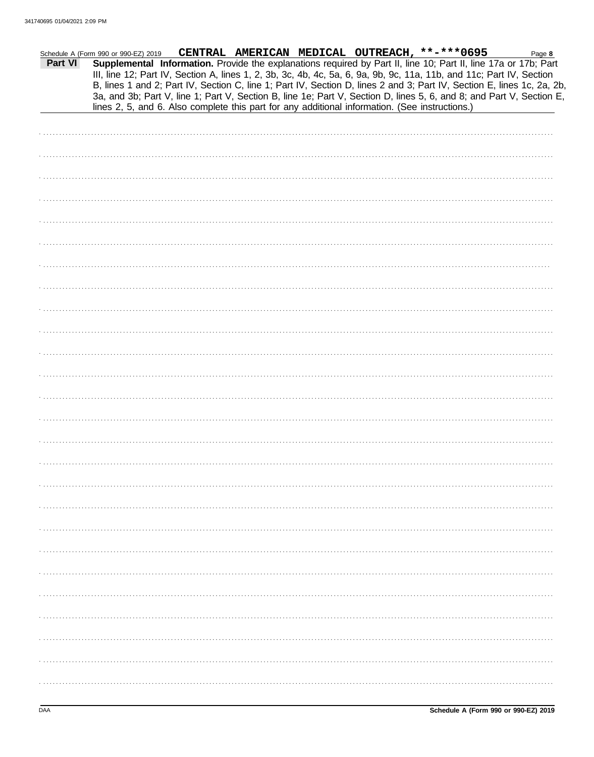|         | CENTRAL AMERICAN MEDICAL OUTREACH, **-***0695<br>Schedule A (Form 990 or 990-EZ) 2019<br>Page 8                                                                                                                                                |
|---------|------------------------------------------------------------------------------------------------------------------------------------------------------------------------------------------------------------------------------------------------|
| Part VI | Supplemental Information. Provide the explanations required by Part II, line 10; Part II, line 17a or 17b; Part                                                                                                                                |
|         | III, line 12; Part IV, Section A, lines 1, 2, 3b, 3c, 4b, 4c, 5a, 6, 9a, 9b, 9c, 11a, 11b, and 11c; Part IV, Section<br>B, lines 1 and 2; Part IV, Section C, line 1; Part IV, Section D, lines 2 and 3; Part IV, Section E, lines 1c, 2a, 2b, |
|         | 3a, and 3b; Part V, line 1; Part V, Section B, line 1e; Part V, Section D, lines 5, 6, and 8; and Part V, Section E,                                                                                                                           |
|         | lines 2, 5, and 6. Also complete this part for any additional information. (See instructions.)                                                                                                                                                 |
|         |                                                                                                                                                                                                                                                |
|         |                                                                                                                                                                                                                                                |
|         |                                                                                                                                                                                                                                                |
|         |                                                                                                                                                                                                                                                |
|         |                                                                                                                                                                                                                                                |
|         |                                                                                                                                                                                                                                                |
|         |                                                                                                                                                                                                                                                |
|         |                                                                                                                                                                                                                                                |
|         |                                                                                                                                                                                                                                                |
|         |                                                                                                                                                                                                                                                |
|         |                                                                                                                                                                                                                                                |
|         |                                                                                                                                                                                                                                                |
|         |                                                                                                                                                                                                                                                |
|         |                                                                                                                                                                                                                                                |
|         |                                                                                                                                                                                                                                                |
|         |                                                                                                                                                                                                                                                |
|         |                                                                                                                                                                                                                                                |
|         |                                                                                                                                                                                                                                                |
|         |                                                                                                                                                                                                                                                |
|         |                                                                                                                                                                                                                                                |
|         |                                                                                                                                                                                                                                                |
|         |                                                                                                                                                                                                                                                |
|         |                                                                                                                                                                                                                                                |
|         |                                                                                                                                                                                                                                                |
|         |                                                                                                                                                                                                                                                |
|         |                                                                                                                                                                                                                                                |
|         |                                                                                                                                                                                                                                                |
|         |                                                                                                                                                                                                                                                |
|         |                                                                                                                                                                                                                                                |
|         |                                                                                                                                                                                                                                                |
|         |                                                                                                                                                                                                                                                |
|         |                                                                                                                                                                                                                                                |
|         |                                                                                                                                                                                                                                                |
|         |                                                                                                                                                                                                                                                |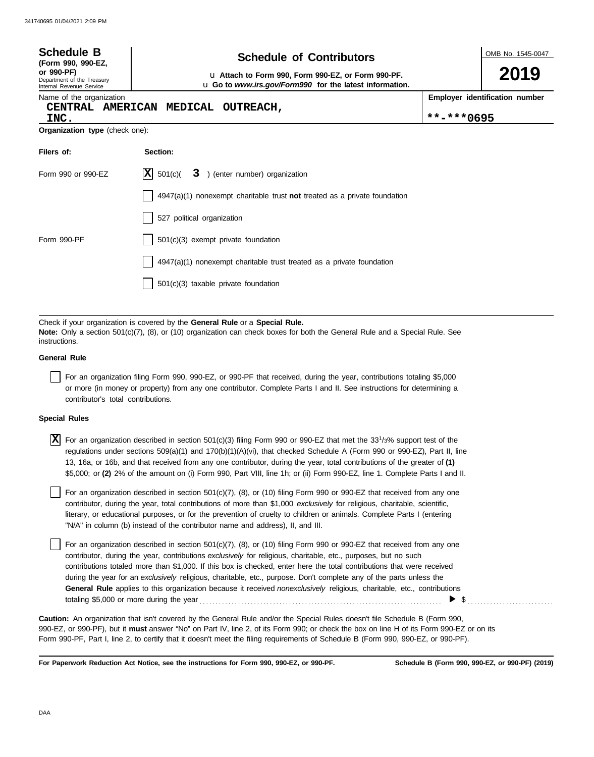| <b>Schedule B</b><br>(Form 990, 990-EZ,                              | <b>Schedule of Contributors</b>                                                                                                                                                                                                                                                                                                                                                                                                                                                                                                |            | OMB No. 1545-0047              |  |  |  |
|----------------------------------------------------------------------|--------------------------------------------------------------------------------------------------------------------------------------------------------------------------------------------------------------------------------------------------------------------------------------------------------------------------------------------------------------------------------------------------------------------------------------------------------------------------------------------------------------------------------|------------|--------------------------------|--|--|--|
| or 990-PF)<br>Department of the Treasury<br>Internal Revenue Service | 2019<br>u Attach to Form 990, Form 990-EZ, or Form 990-PF.<br>u Go to www.irs.gov/Form990 for the latest information.                                                                                                                                                                                                                                                                                                                                                                                                          |            |                                |  |  |  |
| Name of the organization                                             | CENTRAL AMERICAN MEDICAL OUTREACH,                                                                                                                                                                                                                                                                                                                                                                                                                                                                                             |            | Employer identification number |  |  |  |
| INC.                                                                 |                                                                                                                                                                                                                                                                                                                                                                                                                                                                                                                                | **-***0695 |                                |  |  |  |
| Organization type (check one):                                       |                                                                                                                                                                                                                                                                                                                                                                                                                                                                                                                                |            |                                |  |  |  |
| Filers of:                                                           | Section:                                                                                                                                                                                                                                                                                                                                                                                                                                                                                                                       |            |                                |  |  |  |
| Form 990 or 990-EZ                                                   | $ {\bf X} $<br>3 ) (enter number) organization<br>501(c)                                                                                                                                                                                                                                                                                                                                                                                                                                                                       |            |                                |  |  |  |
|                                                                      | $4947(a)(1)$ nonexempt charitable trust not treated as a private foundation                                                                                                                                                                                                                                                                                                                                                                                                                                                    |            |                                |  |  |  |
|                                                                      | 527 political organization                                                                                                                                                                                                                                                                                                                                                                                                                                                                                                     |            |                                |  |  |  |
| Form 990-PF<br>501(c)(3) exempt private foundation                   |                                                                                                                                                                                                                                                                                                                                                                                                                                                                                                                                |            |                                |  |  |  |
|                                                                      | 4947(a)(1) nonexempt charitable trust treated as a private foundation                                                                                                                                                                                                                                                                                                                                                                                                                                                          |            |                                |  |  |  |
|                                                                      | $501(c)(3)$ taxable private foundation                                                                                                                                                                                                                                                                                                                                                                                                                                                                                         |            |                                |  |  |  |
|                                                                      |                                                                                                                                                                                                                                                                                                                                                                                                                                                                                                                                |            |                                |  |  |  |
| instructions.                                                        | Check if your organization is covered by the General Rule or a Special Rule.<br>Note: Only a section 501(c)(7), (8), or (10) organization can check boxes for both the General Rule and a Special Rule. See                                                                                                                                                                                                                                                                                                                    |            |                                |  |  |  |
| General Rule                                                         |                                                                                                                                                                                                                                                                                                                                                                                                                                                                                                                                |            |                                |  |  |  |
| contributor's total contributions.                                   | For an organization filing Form 990, 990-EZ, or 990-PF that received, during the year, contributions totaling \$5,000<br>or more (in money or property) from any one contributor. Complete Parts I and II. See instructions for determining a                                                                                                                                                                                                                                                                                  |            |                                |  |  |  |
| <b>Special Rules</b>                                                 |                                                                                                                                                                                                                                                                                                                                                                                                                                                                                                                                |            |                                |  |  |  |
|                                                                      | <b>X</b> For an organization described in section 501(c)(3) filing Form 990 or 990-EZ that met the 33 <sup>1</sup> /3% support test of the<br>regulations under sections 509(a)(1) and 170(b)(1)(A)(vi), that checked Schedule A (Form 990 or 990-EZ), Part II, line<br>13, 16a, or 16b, and that received from any one contributor, during the year, total contributions of the greater of (1)<br>\$5,000; or (2) 2% of the amount on (i) Form 990, Part VIII, line 1h; or (ii) Form 990-EZ, line 1. Complete Parts I and II. |            |                                |  |  |  |
|                                                                      | For an organization described in section 501(c)(7), (8), or (10) filing Form 990 or 990-EZ that received from any one<br>contributor, during the year, total contributions of more than \$1,000 exclusively for religious, charitable, scientific,<br>literary, or educational purposes, or for the prevention of cruelty to children or animals. Complete Parts I (entering<br>"N/A" in column (b) instead of the contributor name and address), II, and III.                                                                 |            |                                |  |  |  |

For an organization described in section 501(c)(7), (8), or (10) filing Form 990 or 990-EZ that received from any one contributor, during the year, contributions *exclusively* for religious, charitable, etc., purposes, but no such contributions totaled more than \$1,000. If this box is checked, enter here the total contributions that were received during the year for an *exclusively* religious, charitable, etc., purpose. Don't complete any of the parts unless the **General Rule** applies to this organization because it received *nonexclusively* religious, charitable, etc., contributions totaling \$5,000 or more during the year . . . . . . . . . . . . . . . . . . . . . . . . . . . . . . . . . . . . . . . . . . . . . . . . . . . . . . . . . . . . . . . . . . . . . . . . . . . . \$ . . . . . . . . . . . . . . . . . . . . . . . . . . .

990-EZ, or 990-PF), but it **must** answer "No" on Part IV, line 2, of its Form 990; or check the box on line H of its Form 990-EZ or on its Form 990-PF, Part I, line 2, to certify that it doesn't meet the filing requirements of Schedule B (Form 990, 990-EZ, or 990-PF). **Caution:** An organization that isn't covered by the General Rule and/or the Special Rules doesn't file Schedule B (Form 990,

**For Paperwork Reduction Act Notice, see the instructions for Form 990, 990-EZ, or 990-PF.**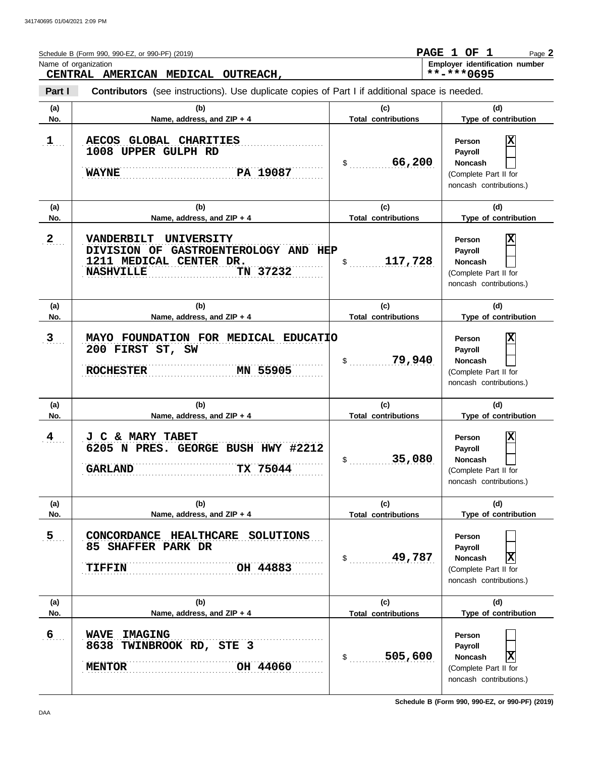|                | Schedule B (Form 990, 990-EZ, or 990-PF) (2019)<br>Name of organization<br>CENTRAL AMERICAN MEDICAL OUTREACH,                      |                                                                                                                                                                                                                                                                                                                                                           | PAGE 1 OF 1<br>Page 2<br>Employer identification number<br>**-***0695                         |
|----------------|------------------------------------------------------------------------------------------------------------------------------------|-----------------------------------------------------------------------------------------------------------------------------------------------------------------------------------------------------------------------------------------------------------------------------------------------------------------------------------------------------------|-----------------------------------------------------------------------------------------------|
| Part I         | <b>Contributors</b> (see instructions). Use duplicate copies of Part I if additional space is needed.                              |                                                                                                                                                                                                                                                                                                                                                           |                                                                                               |
| (a)<br>No.     | (b)<br>Name, address, and ZIP + 4                                                                                                  | (c)<br><b>Total contributions</b>                                                                                                                                                                                                                                                                                                                         | (d)<br>Type of contribution                                                                   |
| $1$            | AECOS GLOBAL CHARITIES<br>1008 UPPER GULPH RD<br>PA 19087<br><b>WAYNE</b>                                                          | 66,200<br>$\mathbb{S}$ and $\mathbb{S}$                                                                                                                                                                                                                                                                                                                   | X<br>Person<br>Payroll<br><b>Noncash</b><br>(Complete Part II for<br>noncash contributions.)  |
| (a)<br>No.     | (b)<br>Name, address, and ZIP + 4                                                                                                  | (c)<br><b>Total contributions</b>                                                                                                                                                                                                                                                                                                                         | (d)<br>Type of contribution                                                                   |
| 2              | UNIVERSITY<br><b>VANDERBILT</b><br>DIVISION OF GASTROENTEROLOGY AND HEP<br>1211 MEDICAL CENTER DR.<br><b>NASHVILLE</b><br>TN 37232 | 117,728<br>$\mathsf S$                                                                                                                                                                                                                                                                                                                                    | X<br>Person<br>Payroll<br><b>Noncash</b><br>(Complete Part II for<br>noncash contributions.)  |
| (a)<br>No.     | (b)<br>Name, address, and ZIP + 4                                                                                                  | (c)<br><b>Total contributions</b>                                                                                                                                                                                                                                                                                                                         | (d)<br>Type of contribution                                                                   |
| 3              | MAYO FOUNDATION FOR MEDICAL EDUCATIO<br>200 FIRST ST, SW<br><b>ROCHESTER</b><br>MN 55905                                           | 79,940<br>\$                                                                                                                                                                                                                                                                                                                                              | X<br>Person<br>Payroll<br><b>Noncash</b><br>(Complete Part II for<br>noncash contributions.)  |
| (a)<br>No.     | (b)<br>Name, address, and ZIP + 4                                                                                                  | (c)<br><b>Total contributions</b>                                                                                                                                                                                                                                                                                                                         | (d)<br>Type of contribution                                                                   |
| 4              | & MARY TABET<br>6205 N PRES. GEORGE BUSH HWY #2212<br>TX 75044<br><b>GARLAND</b>                                                   | 35,080<br>$\mathfrak s$ and $\mathfrak s$ and $\mathfrak s$ and $\mathfrak s$ and $\mathfrak s$ and $\mathfrak s$ and $\mathfrak s$ and $\mathfrak s$ and $\mathfrak s$ and $\mathfrak s$ and $\mathfrak s$ and $\mathfrak s$ and $\mathfrak s$ and $\mathfrak s$ and $\mathfrak s$ and $\mathfrak s$ and $\mathfrak s$ and $\mathfrak s$ and $\mathfrak$ | x<br>Person<br><b>Payroll</b><br>Noncash<br>(Complete Part II for<br>noncash contributions.)  |
| (a)<br>No.     | (b)<br>Name, address, and ZIP + 4                                                                                                  | (c)<br><b>Total contributions</b>                                                                                                                                                                                                                                                                                                                         | (d)<br>Type of contribution                                                                   |
| $\overline{5}$ | CONCORDANCE HEALTHCARE SOLUTIONS<br>85 SHAFFER PARK DR<br>OH 44883<br><b>TIFFIN</b>                                                | 49,787                                                                                                                                                                                                                                                                                                                                                    | Person<br>Payroll<br>x<br><b>Noncash</b><br>(Complete Part II for<br>noncash contributions.)  |
| (a)<br>No.     | (b)<br>Name, address, and ZIP + 4                                                                                                  | (c)<br><b>Total contributions</b>                                                                                                                                                                                                                                                                                                                         | (d)<br>Type of contribution                                                                   |
| 6 <sub>1</sub> | <b>WAVE</b><br><b>IMAGING</b><br>8638 TWINBROOK RD, STE 3<br>OH 44060<br><b>MENTOR</b>                                             | 505,600                                                                                                                                                                                                                                                                                                                                                   | Person<br>Payroll<br>ΙX<br><b>Noncash</b><br>(Complete Part II for<br>noncash contributions.) |

**Schedule B (Form 990, 990-EZ, or 990-PF) (2019)**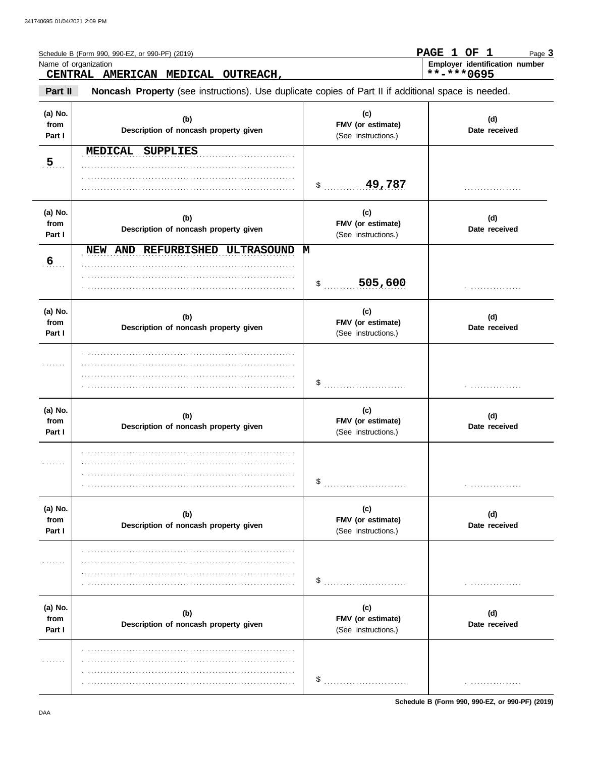$\overline{a}$ 

| Schedule B (Form 990, 990-EZ, or 990-PF) (2019) | PAGE 1 OF  |  | Page 3                         |
|-------------------------------------------------|------------|--|--------------------------------|
| Name of organization                            |            |  | Employer identification number |
| CENTRAL AMERICAN MEDICAL OUTREACH,              | **-***0695 |  |                                |

Part II Noncash Property (see instructions). Use duplicate copies of Part II if additional space is needed.

UDJ.

| (a) No.<br>from<br>Part I | (b)<br>Description of noncash property given | (c)<br>FMV (or estimate)<br>(See instructions.) | (d)<br>Date received |
|---------------------------|----------------------------------------------|-------------------------------------------------|----------------------|
| 5.                        | MEDICAL SUPPLIES                             | \$ 49,787                                       | .                    |
| (a) No.<br>from<br>Part I | (b)<br>Description of noncash property given | (c)<br>FMV (or estimate)<br>(See instructions.) | (d)<br>Date received |
| $6 \ldots$                | NEW AND REFURBISHED ULTRASOUND               | M<br>$$3$ 505,600                               | .                    |
| (a) No.<br>from<br>Part I | (b)<br>Description of noncash property given | (c)<br>FMV (or estimate)<br>(See instructions.) | (d)<br>Date received |
| .                         |                                              |                                                 |                      |
| (a) No.<br>from<br>Part I | (b)<br>Description of noncash property given | (c)<br>FMV (or estimate)<br>(See instructions.) | (d)<br>Date received |
| .                         |                                              | \$                                              |                      |
| (a) No.<br>from<br>Part I | (b)<br>Description of noncash property given | (c)<br>FMV (or estimate)<br>(See instructions.) | (d)<br>Date received |
| .                         |                                              | \$                                              | .                    |
| (a) No.<br>from<br>Part I | (b)<br>Description of noncash property given | (c)<br>FMV (or estimate)<br>(See instructions.) | (d)<br>Date received |
| .                         |                                              | \$                                              | .                    |

Schedule B (Form 990, 990-EZ, or 990-PF) (2019)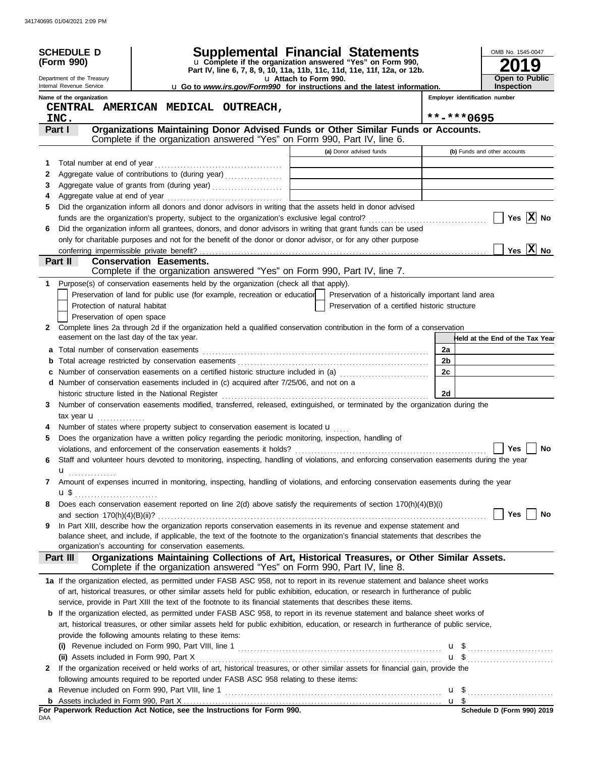|              | <b>SCHEDULE D</b>                         |                                                                                                                                                                                                                                     | Supplemental Financial Statements                                                                 |                                | OMB No. 1545-0047               |  |
|--------------|-------------------------------------------|-------------------------------------------------------------------------------------------------------------------------------------------------------------------------------------------------------------------------------------|---------------------------------------------------------------------------------------------------|--------------------------------|---------------------------------|--|
|              | (Form 990)                                |                                                                                                                                                                                                                                     | u Complete if the organization answered "Yes" on Form 990,                                        |                                |                                 |  |
|              | Department of the Treasury                |                                                                                                                                                                                                                                     | Part IV, line 6, 7, 8, 9, 10, 11a, 11b, 11c, 11d, 11e, 11f, 12a, or 12b.<br>u Attach to Form 990. |                                | <b>Open to Public</b>           |  |
|              | Internal Revenue Service                  |                                                                                                                                                                                                                                     | <b>u</b> Go to <i>www.irs.gov/Form990</i> for instructions and the latest information.            |                                | <b>Inspection</b>               |  |
|              | Name of the organization                  |                                                                                                                                                                                                                                     |                                                                                                   | Employer identification number |                                 |  |
|              |                                           | CENTRAL AMERICAN MEDICAL OUTREACH,                                                                                                                                                                                                  |                                                                                                   |                                |                                 |  |
|              | INC.                                      |                                                                                                                                                                                                                                     |                                                                                                   |                                | **-***0695                      |  |
|              | Part I                                    | Organizations Maintaining Donor Advised Funds or Other Similar Funds or Accounts.<br>Complete if the organization answered "Yes" on Form 990, Part IV, line 6.                                                                      |                                                                                                   |                                |                                 |  |
|              |                                           |                                                                                                                                                                                                                                     | (a) Donor advised funds                                                                           |                                | (b) Funds and other accounts    |  |
| 1            | Total number at end of year               |                                                                                                                                                                                                                                     | <u> 1989 - Johann Stoff, fransk politik (d. 1989)</u>                                             |                                |                                 |  |
| 2            |                                           |                                                                                                                                                                                                                                     |                                                                                                   |                                |                                 |  |
| 3            |                                           |                                                                                                                                                                                                                                     | <u> 1989 - Johann Barn, amerikansk politiker (</u>                                                |                                |                                 |  |
| 4            |                                           |                                                                                                                                                                                                                                     |                                                                                                   |                                |                                 |  |
| 5            |                                           | Did the organization inform all donors and donor advisors in writing that the assets held in donor advised                                                                                                                          |                                                                                                   |                                |                                 |  |
|              |                                           |                                                                                                                                                                                                                                     |                                                                                                   |                                | Yes $\overline{X}$ No           |  |
| 6            |                                           | Did the organization inform all grantees, donors, and donor advisors in writing that grant funds can be used                                                                                                                        |                                                                                                   |                                |                                 |  |
|              |                                           | only for charitable purposes and not for the benefit of the donor or donor advisor, or for any other purpose                                                                                                                        |                                                                                                   |                                |                                 |  |
|              |                                           |                                                                                                                                                                                                                                     |                                                                                                   |                                | Yes $\overline{X}$ No           |  |
|              | Part II                                   | <b>Conservation Easements.</b><br>Complete if the organization answered "Yes" on Form 990, Part IV, line 7.                                                                                                                         |                                                                                                   |                                |                                 |  |
| 1            |                                           | Purpose(s) of conservation easements held by the organization (check all that apply).                                                                                                                                               |                                                                                                   |                                |                                 |  |
|              |                                           | Preservation of land for public use (for example, recreation or education                                                                                                                                                           | Preservation of a historically important land area                                                |                                |                                 |  |
|              | Protection of natural habitat             |                                                                                                                                                                                                                                     | Preservation of a certified historic structure                                                    |                                |                                 |  |
|              | Preservation of open space                |                                                                                                                                                                                                                                     |                                                                                                   |                                |                                 |  |
| $\mathbf{2}$ |                                           | Complete lines 2a through 2d if the organization held a qualified conservation contribution in the form of a conservation                                                                                                           |                                                                                                   |                                |                                 |  |
|              | easement on the last day of the tax year. |                                                                                                                                                                                                                                     |                                                                                                   |                                | Held at the End of the Tax Year |  |
|              |                                           |                                                                                                                                                                                                                                     |                                                                                                   | 2a                             |                                 |  |
| b            |                                           |                                                                                                                                                                                                                                     |                                                                                                   | 2b                             |                                 |  |
| c            |                                           | Number of conservation easements on a certified historic structure included in (a)                                                                                                                                                  |                                                                                                   | 2c                             |                                 |  |
|              |                                           | d Number of conservation easements included in (c) acquired after 7/25/06, and not on a                                                                                                                                             |                                                                                                   |                                |                                 |  |
|              |                                           | historic structure listed in the National Register                                                                                                                                                                                  |                                                                                                   | 2d                             |                                 |  |
| 3            |                                           | Number of conservation easements modified, transferred, released, extinguished, or terminated by the organization during the                                                                                                        |                                                                                                   |                                |                                 |  |
|              |                                           |                                                                                                                                                                                                                                     |                                                                                                   |                                |                                 |  |
| 4            |                                           | Number of states where property subject to conservation easement is located u                                                                                                                                                       |                                                                                                   |                                |                                 |  |
| 5            |                                           | Does the organization have a written policy regarding the periodic monitoring, inspection, handling of                                                                                                                              |                                                                                                   |                                |                                 |  |
|              |                                           |                                                                                                                                                                                                                                     |                                                                                                   |                                | Yes $\vert \ \vert$<br>No       |  |
| 6            |                                           | Staff and volunteer hours devoted to monitoring, inspecting, handling of violations, and enforcing conservation easements during the year                                                                                           |                                                                                                   |                                |                                 |  |
|              | u <sub></sub>                             |                                                                                                                                                                                                                                     |                                                                                                   |                                |                                 |  |
| 7            |                                           | Amount of expenses incurred in monitoring, inspecting, handling of violations, and enforcing conservation easements during the year                                                                                                 |                                                                                                   |                                |                                 |  |
|              |                                           |                                                                                                                                                                                                                                     |                                                                                                   |                                |                                 |  |
| 8            |                                           | Does each conservation easement reported on line 2(d) above satisfy the requirements of section 170(h)(4)(B)(i)                                                                                                                     |                                                                                                   |                                | Yes                             |  |
| 9            |                                           | In Part XIII, describe how the organization reports conservation easements in its revenue and expense statement and                                                                                                                 |                                                                                                   |                                | No                              |  |
|              |                                           | balance sheet, and include, if applicable, the text of the footnote to the organization's financial statements that describes the                                                                                                   |                                                                                                   |                                |                                 |  |
|              |                                           | organization's accounting for conservation easements.                                                                                                                                                                               |                                                                                                   |                                |                                 |  |
|              | Part III                                  | Organizations Maintaining Collections of Art, Historical Treasures, or Other Similar Assets.                                                                                                                                        |                                                                                                   |                                |                                 |  |
|              |                                           | Complete if the organization answered "Yes" on Form 990, Part IV, line 8.                                                                                                                                                           |                                                                                                   |                                |                                 |  |
|              |                                           | 1a If the organization elected, as permitted under FASB ASC 958, not to report in its revenue statement and balance sheet works                                                                                                     |                                                                                                   |                                |                                 |  |
|              |                                           | of art, historical treasures, or other similar assets held for public exhibition, education, or research in furtherance of public                                                                                                   |                                                                                                   |                                |                                 |  |
|              |                                           | service, provide in Part XIII the text of the footnote to its financial statements that describes these items.                                                                                                                      |                                                                                                   |                                |                                 |  |
|              |                                           | b If the organization elected, as permitted under FASB ASC 958, to report in its revenue statement and balance sheet works of                                                                                                       |                                                                                                   |                                |                                 |  |
|              |                                           | art, historical treasures, or other similar assets held for public exhibition, education, or research in furtherance of public service,                                                                                             |                                                                                                   |                                |                                 |  |
|              |                                           | provide the following amounts relating to these items:                                                                                                                                                                              |                                                                                                   |                                |                                 |  |
|              | (i)                                       |                                                                                                                                                                                                                                     |                                                                                                   |                                |                                 |  |
| 2            |                                           | If the organization received or held works of art, historical treasures, or other similar assets for financial gain, provide the                                                                                                    |                                                                                                   |                                | $\mathbf{u}$ \$                 |  |
|              |                                           | following amounts required to be reported under FASB ASC 958 relating to these items:                                                                                                                                               |                                                                                                   |                                |                                 |  |
|              |                                           | a Revenue included on Form 990, Part VIII, line 1 <b>matures 10</b> and 1 and 1 and 1 and 1 and 1 and 1 and 1 and 1 and 1 and 1 and 1 and 1 and 1 and 1 and 1 and 1 and 1 and 1 and 1 and 1 and 1 and 1 and 1 and 1 and 1 and 1 and |                                                                                                   |                                |                                 |  |
|              |                                           |                                                                                                                                                                                                                                     |                                                                                                   |                                |                                 |  |
|              |                                           | For Paperwork Reduction Act Notice, see the Instructions for Form 990.                                                                                                                                                              |                                                                                                   |                                | Schedule D (Form 990) 2019      |  |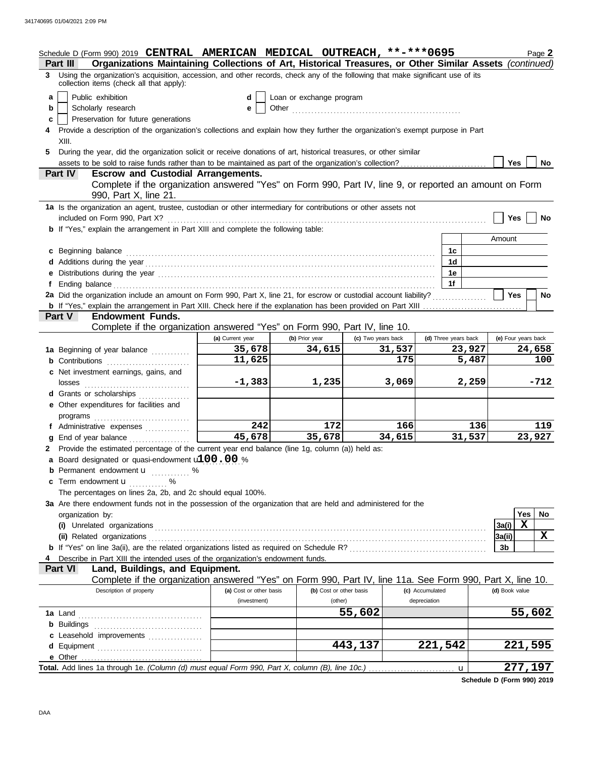|   | Schedule D (Form 990) 2019 CENTRAL AMERICAN MEDICAL OUTREACH, **-***0695                                                                                                                                                       |                         |                          |                    |                      |                |                     | Page 2 |
|---|--------------------------------------------------------------------------------------------------------------------------------------------------------------------------------------------------------------------------------|-------------------------|--------------------------|--------------------|----------------------|----------------|---------------------|--------|
|   | Organizations Maintaining Collections of Art, Historical Treasures, or Other Similar Assets (continued)<br>Part III                                                                                                            |                         |                          |                    |                      |                |                     |        |
|   | 3 Using the organization's acquisition, accession, and other records, check any of the following that make significant use of its<br>collection items (check all that apply):                                                  |                         |                          |                    |                      |                |                     |        |
| a | Public exhibition                                                                                                                                                                                                              | d                       | Loan or exchange program |                    |                      |                |                     |        |
| b | Scholarly research<br>e                                                                                                                                                                                                        |                         |                          |                    |                      |                |                     |        |
| c | Preservation for future generations                                                                                                                                                                                            |                         |                          |                    |                      |                |                     |        |
|   | Provide a description of the organization's collections and explain how they further the organization's exempt purpose in Part                                                                                                 |                         |                          |                    |                      |                |                     |        |
|   | XIII.                                                                                                                                                                                                                          |                         |                          |                    |                      |                |                     |        |
| 5 | During the year, did the organization solicit or receive donations of art, historical treasures, or other similar                                                                                                              |                         |                          |                    |                      |                |                     |        |
|   |                                                                                                                                                                                                                                |                         |                          |                    |                      |                | Yes                 | No     |
|   | <b>Part IV</b><br><b>Escrow and Custodial Arrangements.</b>                                                                                                                                                                    |                         |                          |                    |                      |                |                     |        |
|   | Complete if the organization answered "Yes" on Form 990, Part IV, line 9, or reported an amount on Form                                                                                                                        |                         |                          |                    |                      |                |                     |        |
|   | 990, Part X, line 21.                                                                                                                                                                                                          |                         |                          |                    |                      |                |                     |        |
|   | 1a Is the organization an agent, trustee, custodian or other intermediary for contributions or other assets not                                                                                                                |                         |                          |                    |                      |                |                     |        |
|   | included on Form 990, Part X?                                                                                                                                                                                                  |                         |                          |                    |                      |                | Yes                 | No     |
|   | b If "Yes," explain the arrangement in Part XIII and complete the following table:                                                                                                                                             |                         |                          |                    |                      |                |                     |        |
|   |                                                                                                                                                                                                                                |                         |                          |                    |                      | Amount         |                     |        |
|   | c Beginning balance encourance and a series of the series of the series of the series of the series of the series of the series of the series of the series of the series of the series of the series of the series of the ser |                         |                          |                    | 1с                   |                |                     |        |
|   |                                                                                                                                                                                                                                |                         |                          |                    | 1 <sub>d</sub>       |                |                     |        |
|   | e Distributions during the year manufactured contains and the year manufactured with the set of the set of the set of the set of the set of the set of the set of the set of the set of the set of the set of the set of the s |                         |                          |                    | 1e                   |                |                     |        |
|   |                                                                                                                                                                                                                                |                         |                          |                    | 1f                   |                |                     |        |
|   | 2a Did the organization include an amount on Form 990, Part X, line 21, for escrow or custodial account liability?                                                                                                             |                         |                          |                    |                      |                | <b>Yes</b>          | No     |
|   |                                                                                                                                                                                                                                |                         |                          |                    |                      |                |                     |        |
|   | <b>Endowment Funds.</b><br><b>Part V</b>                                                                                                                                                                                       |                         |                          |                    |                      |                |                     |        |
|   | Complete if the organization answered "Yes" on Form 990, Part IV, line 10.                                                                                                                                                     |                         |                          |                    |                      |                |                     |        |
|   |                                                                                                                                                                                                                                | (a) Current year        | (b) Prior year           | (c) Two years back | (d) Three years back |                | (e) Four years back |        |
|   | 1a Beginning of year balance                                                                                                                                                                                                   | 35,678                  | 34,615                   | 31,537             | 23,927               |                | 24,658              |        |
|   | <b>b</b> Contributions                                                                                                                                                                                                         | 11,625                  |                          | 175                | 5,487                |                |                     | 100    |
|   | c Net investment earnings, gains, and                                                                                                                                                                                          |                         |                          |                    |                      |                |                     |        |
|   | losses                                                                                                                                                                                                                         | $-1,383$                | 1,235                    | 3,069              | 2,259                |                |                     | -712   |
|   | d Grants or scholarships                                                                                                                                                                                                       |                         |                          |                    |                      |                |                     |        |
|   | e Other expenditures for facilities and                                                                                                                                                                                        |                         |                          |                    |                      |                |                     |        |
|   |                                                                                                                                                                                                                                |                         |                          |                    |                      |                |                     |        |
|   | f Administrative expenses                                                                                                                                                                                                      | 242                     | 172                      | 166                |                      | 136            |                     | 119    |
|   | g End of year balance                                                                                                                                                                                                          | 45,678                  | 35,678                   | 34,615             | 31,537               |                | 23,927              |        |
|   | 2 Provide the estimated percentage of the current year end balance (line 1g, column (a)) held as:                                                                                                                              |                         |                          |                    |                      |                |                     |        |
|   | a Board designated or quasi-endowment <b>100.00</b> %                                                                                                                                                                          |                         |                          |                    |                      |                |                     |        |
|   | <b>b</b> Permanent endowment <b>u</b> %                                                                                                                                                                                        |                         |                          |                    |                      |                |                     |        |
|   | c Term endowment <b>u</b> %                                                                                                                                                                                                    |                         |                          |                    |                      |                |                     |        |
|   | The percentages on lines 2a, 2b, and 2c should equal 100%.                                                                                                                                                                     |                         |                          |                    |                      |                |                     |        |
|   | 3a Are there endowment funds not in the possession of the organization that are held and administered for the                                                                                                                  |                         |                          |                    |                      |                |                     |        |
|   | organization by:                                                                                                                                                                                                               |                         |                          |                    |                      |                | Yes                 | No     |
|   | (i) Unrelated organizations entertainment and a contract or contract or contract or contract or contract or contract or contract or contract or contract or contract or contract or contract or contract or contract or contra |                         |                          |                    |                      | 3a(i)          | X                   |        |
|   |                                                                                                                                                                                                                                |                         |                          |                    |                      | 3a(ii)         |                     | X      |
|   |                                                                                                                                                                                                                                |                         |                          |                    |                      | 3b             |                     |        |
|   | Describe in Part XIII the intended uses of the organization's endowment funds.                                                                                                                                                 |                         |                          |                    |                      |                |                     |        |
|   | Land, Buildings, and Equipment.<br><b>Part VI</b>                                                                                                                                                                              |                         |                          |                    |                      |                |                     |        |
|   | Complete if the organization answered "Yes" on Form 990, Part IV, line 11a. See Form 990, Part X, line 10.                                                                                                                     |                         |                          |                    |                      |                |                     |        |
|   | Description of property                                                                                                                                                                                                        | (a) Cost or other basis | (b) Cost or other basis  |                    | (c) Accumulated      | (d) Book value |                     |        |
|   |                                                                                                                                                                                                                                | (investment)            | (other)                  |                    | depreciation         |                |                     |        |
|   |                                                                                                                                                                                                                                |                         |                          | 55,602             |                      |                | 55,602              |        |
|   |                                                                                                                                                                                                                                |                         |                          |                    |                      |                |                     |        |
|   | c Leasehold improvements                                                                                                                                                                                                       |                         |                          |                    |                      |                |                     |        |
|   | d Equipment                                                                                                                                                                                                                    |                         |                          | 443,137            | 221,542              |                | 221,595             |        |
|   | e Other                                                                                                                                                                                                                        |                         |                          |                    |                      |                |                     |        |
|   |                                                                                                                                                                                                                                |                         |                          |                    | $\mathbf u$          |                | 277,197             |        |

**Schedule D (Form 990) 2019**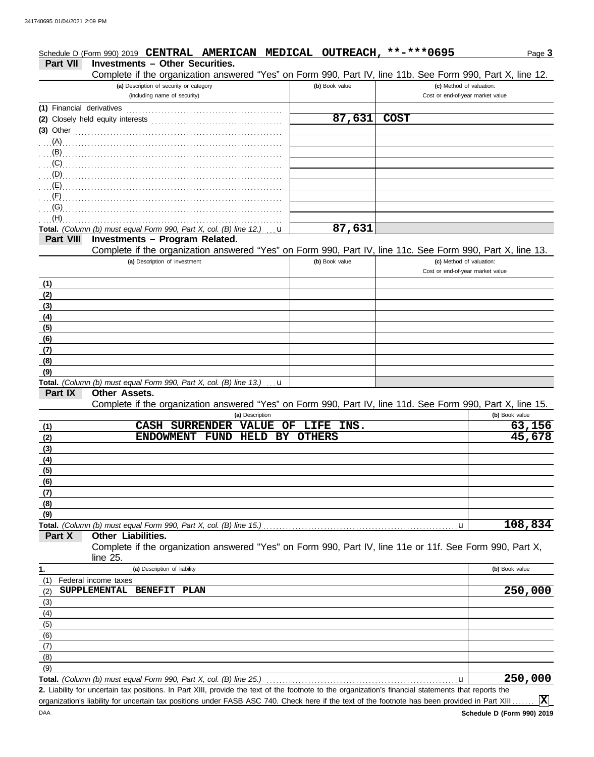|                           | Schedule D (Form 990) 2019 CENTRAL AMERICAN MEDICAL OUTREACH, **-*** 0695                                                                         |                            |                                  | Page 3           |
|---------------------------|---------------------------------------------------------------------------------------------------------------------------------------------------|----------------------------|----------------------------------|------------------|
| Part VII                  | <b>Investments - Other Securities.</b>                                                                                                            |                            |                                  |                  |
|                           | Complete if the organization answered "Yes" on Form 990, Part IV, line 11b. See Form 990, Part X, line 12.                                        |                            |                                  |                  |
|                           | (a) Description of security or category                                                                                                           | (b) Book value             | (c) Method of valuation:         |                  |
|                           | (including name of security)                                                                                                                      |                            | Cost or end-of-year market value |                  |
| (1) Financial derivatives |                                                                                                                                                   |                            |                                  |                  |
|                           |                                                                                                                                                   | 87,631                     | <b>COST</b>                      |                  |
| (3) Other                 |                                                                                                                                                   |                            |                                  |                  |
|                           |                                                                                                                                                   |                            |                                  |                  |
|                           |                                                                                                                                                   |                            |                                  |                  |
| (C)                       |                                                                                                                                                   |                            |                                  |                  |
|                           |                                                                                                                                                   |                            |                                  |                  |
|                           |                                                                                                                                                   |                            |                                  |                  |
| (F)                       |                                                                                                                                                   |                            |                                  |                  |
| (G)<br>(H)                |                                                                                                                                                   |                            |                                  |                  |
|                           | Total. (Column (b) must equal Form 990, Part X, col. (B) line 12.)<br><b>u</b>                                                                    | 87,631                     |                                  |                  |
| <b>Part VIII</b>          | Investments - Program Related.                                                                                                                    |                            |                                  |                  |
|                           | Complete if the organization answered "Yes" on Form 990, Part IV, line 11c. See Form 990, Part X, line 13.                                        |                            |                                  |                  |
|                           | (a) Description of investment                                                                                                                     | (b) Book value             | (c) Method of valuation:         |                  |
|                           |                                                                                                                                                   |                            | Cost or end-of-year market value |                  |
| (1)                       |                                                                                                                                                   |                            |                                  |                  |
| (2)                       |                                                                                                                                                   |                            |                                  |                  |
| (3)                       |                                                                                                                                                   |                            |                                  |                  |
| (4)                       |                                                                                                                                                   |                            |                                  |                  |
| (5)                       |                                                                                                                                                   |                            |                                  |                  |
| (6)                       |                                                                                                                                                   |                            |                                  |                  |
| (7)                       |                                                                                                                                                   |                            |                                  |                  |
| (8)                       |                                                                                                                                                   |                            |                                  |                  |
| (9)                       |                                                                                                                                                   |                            |                                  |                  |
|                           | Total. (Column (b) must equal Form 990, Part X, col. (B) line 13.)<br>$\mathbf{u}$                                                                |                            |                                  |                  |
| Part IX                   | Other Assets.                                                                                                                                     |                            |                                  |                  |
|                           | Complete if the organization answered "Yes" on Form 990, Part IV, line 11d. See Form 990, Part X, line 15.                                        |                            |                                  |                  |
|                           | (a) Description                                                                                                                                   |                            |                                  | (b) Book value   |
| (1)                       | CASH SURRENDER VALUE<br>OF<br><b>ENDOWMENT</b><br><b>HELD</b><br><b>BY</b><br>FUND                                                                | LIFE INS.<br><b>OTHERS</b> |                                  | 63,156<br>45,678 |
| (2)                       |                                                                                                                                                   |                            |                                  |                  |
| (3)<br>(4)                |                                                                                                                                                   |                            |                                  |                  |
| (5)                       |                                                                                                                                                   |                            |                                  |                  |
| (6)                       |                                                                                                                                                   |                            |                                  |                  |
| (7)                       |                                                                                                                                                   |                            |                                  |                  |
| (8)                       |                                                                                                                                                   |                            |                                  |                  |
| (9)                       |                                                                                                                                                   |                            |                                  |                  |
|                           | Total. (Column (b) must equal Form 990, Part X, col. (B) line 15.)                                                                                |                            | u                                | 108,834          |
| Part X                    | <b>Other Liabilities.</b>                                                                                                                         |                            |                                  |                  |
|                           | Complete if the organization answered "Yes" on Form 990, Part IV, line 11e or 11f. See Form 990, Part X,<br>line 25.                              |                            |                                  |                  |
| 1.                        | (a) Description of liability                                                                                                                      |                            |                                  | (b) Book value   |
| (1)                       | Federal income taxes                                                                                                                              |                            |                                  |                  |
| (2)                       | SUPPLEMENTAL BENEFIT PLAN                                                                                                                         |                            |                                  | 250,000          |
| (3)                       |                                                                                                                                                   |                            |                                  |                  |
| (4)                       |                                                                                                                                                   |                            |                                  |                  |
| (5)                       |                                                                                                                                                   |                            |                                  |                  |
| (6)                       |                                                                                                                                                   |                            |                                  |                  |
| (7)                       |                                                                                                                                                   |                            |                                  |                  |
| (8)                       |                                                                                                                                                   |                            |                                  |                  |
| (9)                       | Total. (Column (b) must equal Form 990, Part X, col. (B) line 25.)                                                                                |                            |                                  | 250,000          |
|                           | 2 Lightlity for uncertain tay positions In Part XIII provide the text of the footpote to the organization's financial statements that reports the |                            | u                                |                  |

Liability for uncertain tax positions. In Part XIII, provide the text of the footnote to the organization's financial statements that reports the **2.** organization's liability for uncertain tax positions under FASB ASC 740. Check here if the text of the footnote has been provided in Part XIII..

**X**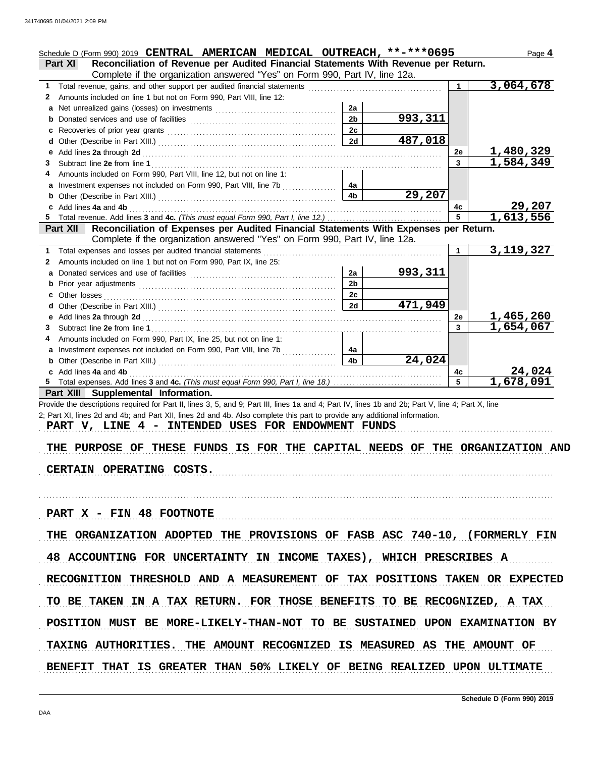| Schedule D (Form 990) 2019 CENTRAL AMERICAN MEDICAL OUTREACH, **-***0695                                                                                                                |                |                       |                | Page 4           |  |
|-----------------------------------------------------------------------------------------------------------------------------------------------------------------------------------------|----------------|-----------------------|----------------|------------------|--|
| Reconciliation of Revenue per Audited Financial Statements With Revenue per Return.<br><b>Part XI</b><br>Complete if the organization answered "Yes" on Form 990, Part IV, line 12a.    |                |                       |                |                  |  |
| 1.                                                                                                                                                                                      |                |                       | $\mathbf{1}$   | 3,064,678        |  |
| Amounts included on line 1 but not on Form 990, Part VIII, line 12:<br>2                                                                                                                |                |                       |                |                  |  |
|                                                                                                                                                                                         | 2a             |                       |                |                  |  |
|                                                                                                                                                                                         | 2 <sub>b</sub> | 993,311               |                |                  |  |
| c                                                                                                                                                                                       | 2c             |                       |                |                  |  |
| d                                                                                                                                                                                       | 2d             | 487,018               |                |                  |  |
| е                                                                                                                                                                                       |                |                       | <b>2e</b>      | <u>1,480,329</u> |  |
| 3                                                                                                                                                                                       |                |                       | $\mathbf{3}$   | 1,584,349        |  |
| Amounts included on Form 990, Part VIII, line 12, but not on line 1:<br>4                                                                                                               |                |                       |                |                  |  |
| a Investment expenses not included on Form 990, Part VIII, line 7b                                                                                                                      | 4a             |                       |                |                  |  |
|                                                                                                                                                                                         | 4 <sub>b</sub> | $\overline{29}$ , 207 |                |                  |  |
| Add lines 4a and 4b<br>c                                                                                                                                                                |                |                       | 4с             | 29,207           |  |
|                                                                                                                                                                                         |                |                       | $\overline{5}$ | 1,613,556        |  |
| Reconciliation of Expenses per Audited Financial Statements With Expenses per Return.<br><b>Part XII</b><br>Complete if the organization answered "Yes" on Form 990, Part IV, line 12a. |                |                       |                |                  |  |
| Total expenses and losses per audited financial statements<br>1.                                                                                                                        |                |                       | $\mathbf 1$    | 3,119,327        |  |
| Amounts included on line 1 but not on Form 990, Part IX, line 25:<br>2                                                                                                                  |                |                       |                |                  |  |
|                                                                                                                                                                                         | 2a             | 993,311               |                |                  |  |
|                                                                                                                                                                                         | 2 <sub>b</sub> |                       |                |                  |  |
|                                                                                                                                                                                         | 2c             |                       |                |                  |  |
|                                                                                                                                                                                         | 2d             | 471,949               |                |                  |  |
| е                                                                                                                                                                                       |                |                       | 2e             | 1,465,260        |  |
| 3                                                                                                                                                                                       |                |                       | 3              | 1,654,067        |  |
| Amounts included on Form 990, Part IX, line 25, but not on line 1:<br>4                                                                                                                 |                |                       |                |                  |  |
| a Investment expenses not included on Form 990, Part VIII, line 7b                                                                                                                      | 4a             |                       |                |                  |  |
|                                                                                                                                                                                         | 4 <sub>b</sub> | $\overline{2}4,024$   |                |                  |  |
| c Add lines 4a and 4b                                                                                                                                                                   |                |                       | 4с             | 24,024           |  |
|                                                                                                                                                                                         |                |                       |                | 1,678,091        |  |
| Part XIII Supplemental Information.                                                                                                                                                     |                |                       |                |                  |  |
| Provide the descriptions required for Part II, lines 3, 5, and 9; Part III, lines 1a and 4; Part IV, lines 1b and 2b; Part V, line 4; Part X, line                                      |                |                       |                |                  |  |
| 2; Part XI, lines 2d and 4b; and Part XII, lines 2d and 4b. Also complete this part to provide any additional information.                                                              |                |                       |                |                  |  |
| PART V, LINE 4 - INTENDED USES FOR ENDOWMENT FUNDS                                                                                                                                      |                |                       |                |                  |  |
|                                                                                                                                                                                         |                |                       |                |                  |  |
| THE PURPOSE OF THESE FUNDS IS FOR THE CAPITAL NEEDS OF THE ORGANIZATION AND                                                                                                             |                |                       |                |                  |  |
|                                                                                                                                                                                         |                |                       |                |                  |  |
| CERTAIN OPERATING COSTS.                                                                                                                                                                |                |                       |                |                  |  |
|                                                                                                                                                                                         |                |                       |                |                  |  |
|                                                                                                                                                                                         |                |                       |                |                  |  |
| PART X - FIN 48 FOOTNOTE                                                                                                                                                                |                |                       |                |                  |  |
|                                                                                                                                                                                         |                |                       |                |                  |  |
| THE ORGANIZATION ADOPTED THE PROVISIONS OF FASB ASC 740-10, (FORMERLY FIN                                                                                                               |                |                       |                |                  |  |
| 48 ACCOUNTING FOR UNCERTAINTY IN INCOME TAXES), WHICH PRESCRIBES A                                                                                                                      |                |                       |                |                  |  |
| RECOGNITION THRESHOLD AND A MEASUREMENT OF TAX POSITIONS TAKEN OR EXPECTED                                                                                                              |                |                       |                |                  |  |
| TO BE TAKEN IN A TAX RETURN. FOR THOSE BENEFITS TO BE RECOGNIZED, A TAX                                                                                                                 |                |                       |                |                  |  |
| POSITION MUST BE MORE-LIKELY-THAN-NOT TO BE SUSTAINED UPON EXAMINATION BY                                                                                                               |                |                       |                |                  |  |
| TAXING AUTHORITIES. THE AMOUNT RECOGNIZED IS MEASURED AS THE AMOUNT OF                                                                                                                  |                |                       |                |                  |  |
| BENEFIT THAT IS GREATER THAN 50% LIKELY OF BEING REALIZED UPON ULTIMATE                                                                                                                 |                |                       |                |                  |  |
|                                                                                                                                                                                         |                |                       |                |                  |  |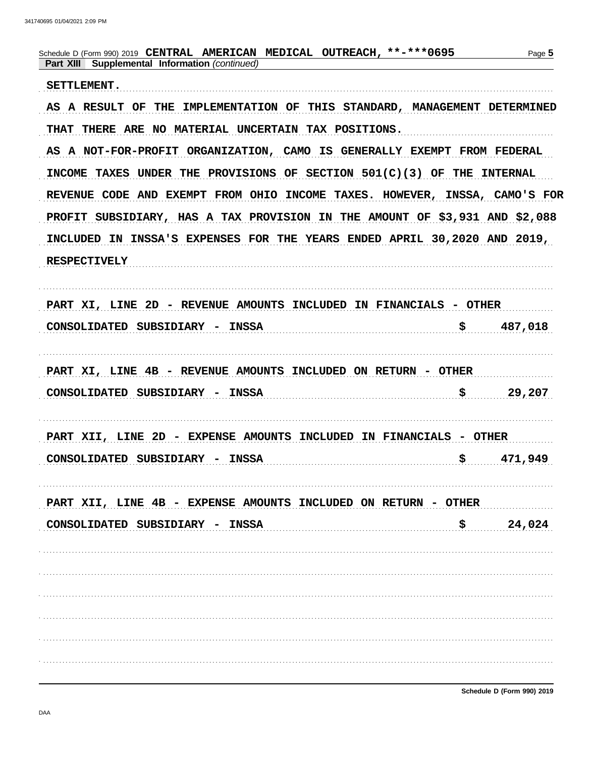| Schedule D (Form 990) 2019 CENTRAL AMERICAN MEDICAL OUTREACH, **-***0695<br><b>Supplemental Information (continued)</b><br>Part XIII |    | Page 5  |
|--------------------------------------------------------------------------------------------------------------------------------------|----|---------|
| SETTLEMENT.                                                                                                                          |    |         |
| AS A RESULT OF THE IMPLEMENTATION OF THIS STANDARD, MANAGEMENT DETERMINED                                                            |    |         |
| THERE ARE NO MATERIAL UNCERTAIN TAX POSITIONS.<br>THAT                                                                               |    |         |
| AS A NOT-FOR-PROFIT ORGANIZATION, CAMO IS GENERALLY EXEMPT FROM FEDERAL                                                              |    |         |
| INCOME TAXES UNDER THE PROVISIONS OF SECTION $501(C)(3)$ OF THE INTERNAL                                                             |    |         |
| REVENUE CODE AND EXEMPT FROM OHIO INCOME TAXES. HOWEVER, INSSA, CAMO'S FOR                                                           |    |         |
| PROFIT SUBSIDIARY, HAS A TAX PROVISION IN THE AMOUNT OF \$3,931 AND \$2,088                                                          |    |         |
| INCLUDED IN INSSA'S EXPENSES FOR THE YEARS ENDED APRIL 30,2020 AND 2019,                                                             |    |         |
| <b>RESPECTIVELY</b>                                                                                                                  |    |         |
| PART XI, LINE 2D - REVENUE AMOUNTS INCLUDED IN FINANCIALS - OTHER                                                                    |    |         |
| CONSOLIDATED SUBSIDIARY - INSSA                                                                                                      | \$ | 487,018 |
| PART XI, LINE 4B - REVENUE AMOUNTS INCLUDED ON RETURN - OTHER                                                                        |    |         |
| CONSOLIDATED SUBSIDIARY - INSSA                                                                                                      | \$ | 29,207  |
| PART XII, LINE 2D - EXPENSE AMOUNTS INCLUDED IN FINANCIALS - OTHER                                                                   |    |         |
| CONSOLIDATED SUBSIDIARY - INSSA                                                                                                      | ¢. | 471,949 |
| PART XII, LINE 4B - EXPENSE AMOUNTS INCLUDED ON RETURN - OTHER                                                                       |    |         |
| CONSOLIDATED SUBSIDIARY - INSSA                                                                                                      |    | 24,024  |
|                                                                                                                                      |    |         |
|                                                                                                                                      |    |         |
|                                                                                                                                      |    |         |
|                                                                                                                                      |    |         |
|                                                                                                                                      |    |         |
|                                                                                                                                      |    |         |
|                                                                                                                                      |    |         |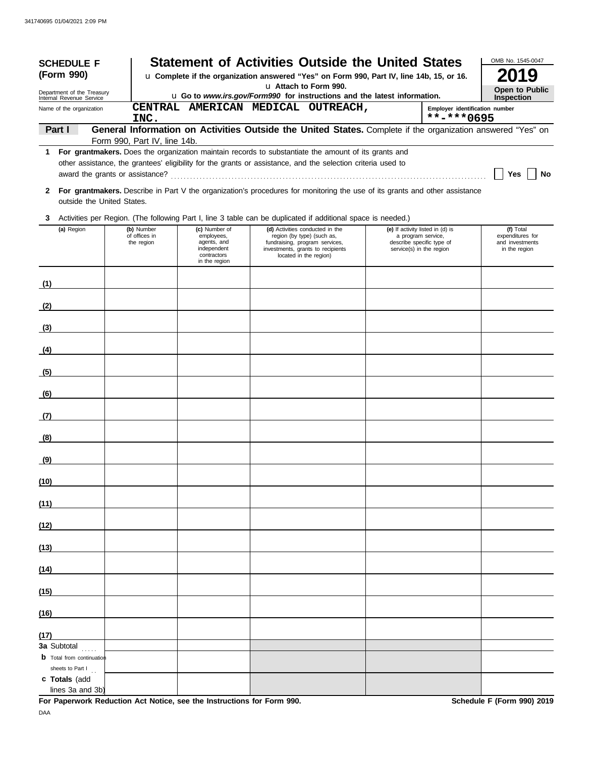| <b>SCHEDULE F</b><br>(Form 990)                        |                                           |                                                                                           | <b>Statement of Activities Outside the United States</b><br>u Complete if the organization answered "Yes" on Form 990, Part IV, line 14b, 15, or 16.                                                                 |                                                                                                                 | OMB No. 1545-0047<br>2019                                         |
|--------------------------------------------------------|-------------------------------------------|-------------------------------------------------------------------------------------------|----------------------------------------------------------------------------------------------------------------------------------------------------------------------------------------------------------------------|-----------------------------------------------------------------------------------------------------------------|-------------------------------------------------------------------|
|                                                        |                                           |                                                                                           | u Attach to Form 990.                                                                                                                                                                                                |                                                                                                                 | Open to Public                                                    |
| Department of the Treasury<br>Internal Revenue Service |                                           |                                                                                           | u Go to www.irs.gov/Form990 for instructions and the latest information.                                                                                                                                             |                                                                                                                 | <b>Inspection</b>                                                 |
| Name of the organization                               | INC.                                      |                                                                                           | CENTRAL AMERICAN MEDICAL OUTREACH,                                                                                                                                                                                   |                                                                                                                 | Employer identification number<br>**-***0695                      |
| Part I                                                 |                                           |                                                                                           | General Information on Activities Outside the United States. Complete if the organization answered "Yes" on                                                                                                          |                                                                                                                 |                                                                   |
|                                                        | Form 990, Part IV, line 14b.              |                                                                                           |                                                                                                                                                                                                                      |                                                                                                                 |                                                                   |
| 1                                                      |                                           |                                                                                           | For grantmakers. Does the organization maintain records to substantiate the amount of its grants and<br>other assistance, the grantees' eligibility for the grants or assistance, and the selection criteria used to |                                                                                                                 | Yes<br>No                                                         |
| 2<br>outside the United States.                        |                                           |                                                                                           | For grantmakers. Describe in Part V the organization's procedures for monitoring the use of its grants and other assistance                                                                                          |                                                                                                                 |                                                                   |
|                                                        |                                           |                                                                                           | Activities per Region. (The following Part I, line 3 table can be duplicated if additional space is needed.)                                                                                                         |                                                                                                                 |                                                                   |
| (a) Region                                             | (b) Number<br>of offices in<br>the region | (c) Number of<br>employees,<br>agents, and<br>independent<br>contractors<br>in the region | (d) Activities conducted in the<br>region (by type) (such as,<br>fundraising, program services,<br>investments, grants to recipients<br>located in the region)                                                       | (e) If activity listed in (d) is<br>a program service,<br>describe specific type of<br>service(s) in the region | (f) Total<br>expenditures for<br>and investments<br>in the region |
| (1)                                                    |                                           |                                                                                           |                                                                                                                                                                                                                      |                                                                                                                 |                                                                   |
| (2)                                                    |                                           |                                                                                           |                                                                                                                                                                                                                      |                                                                                                                 |                                                                   |
| (3)                                                    |                                           |                                                                                           |                                                                                                                                                                                                                      |                                                                                                                 |                                                                   |
| (4)                                                    |                                           |                                                                                           |                                                                                                                                                                                                                      |                                                                                                                 |                                                                   |
| (5)                                                    |                                           |                                                                                           |                                                                                                                                                                                                                      |                                                                                                                 |                                                                   |
| (6)                                                    |                                           |                                                                                           |                                                                                                                                                                                                                      |                                                                                                                 |                                                                   |
| (7)                                                    |                                           |                                                                                           |                                                                                                                                                                                                                      |                                                                                                                 |                                                                   |
| (8)                                                    |                                           |                                                                                           |                                                                                                                                                                                                                      |                                                                                                                 |                                                                   |
| (9)                                                    |                                           |                                                                                           |                                                                                                                                                                                                                      |                                                                                                                 |                                                                   |
| (10)                                                   |                                           |                                                                                           |                                                                                                                                                                                                                      |                                                                                                                 |                                                                   |
| (11)                                                   |                                           |                                                                                           |                                                                                                                                                                                                                      |                                                                                                                 |                                                                   |
| (12)                                                   |                                           |                                                                                           |                                                                                                                                                                                                                      |                                                                                                                 |                                                                   |
| (13)                                                   |                                           |                                                                                           |                                                                                                                                                                                                                      |                                                                                                                 |                                                                   |
| (14)                                                   |                                           |                                                                                           |                                                                                                                                                                                                                      |                                                                                                                 |                                                                   |
| (15)                                                   |                                           |                                                                                           |                                                                                                                                                                                                                      |                                                                                                                 |                                                                   |
| (16)                                                   |                                           |                                                                                           |                                                                                                                                                                                                                      |                                                                                                                 |                                                                   |
| (17)                                                   |                                           |                                                                                           |                                                                                                                                                                                                                      |                                                                                                                 |                                                                   |
| 3a Subtotal<br><b>b</b> Total from continuation        |                                           |                                                                                           |                                                                                                                                                                                                                      |                                                                                                                 |                                                                   |
| sheets to Part I<br>c Totals (add<br>lines 3a and 3b)  |                                           |                                                                                           |                                                                                                                                                                                                                      |                                                                                                                 |                                                                   |

**For Paperwork Reduction Act Notice, see the Instructions for Form 990. Schedule F (Form 990) 2019** DAA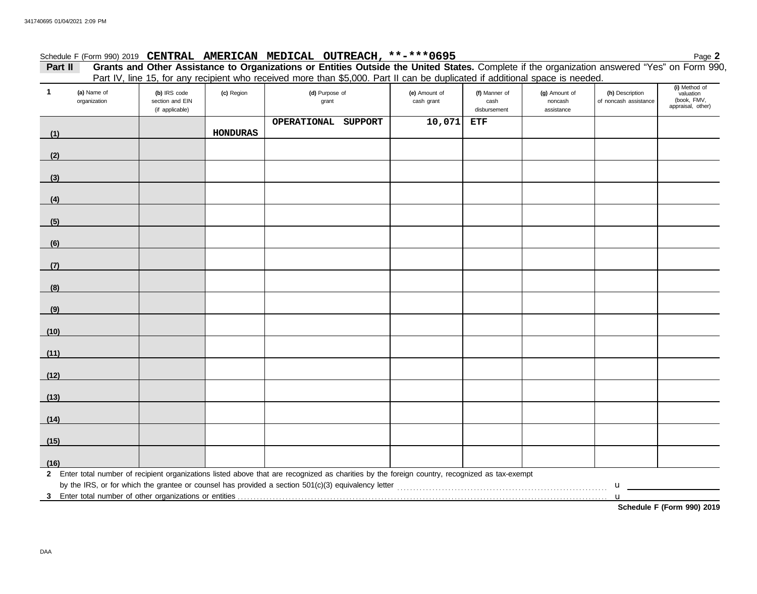#### Schedule F (Form 990) 2019 Page **2 CENTRAL AMERICAN MEDICAL OUTREACH, \*\*-\*\*\*0695**

Part II Grants and Other Assistance to Organizations or Entities Outside the United States. Complete if the organization answered "Yes" on Form 990, Part IV, line 15, for any recipient who received more than \$5,000. Part II can be duplicated if additional space is needed.

| $\mathbf{1}$ | (a) Name of<br>organization | (b) IRS code<br>section and EIN<br>(if applicable) | (c) Region      | T are ry, line to, for any recipient who received more than \$0,000. Fare in earlier displicated in additional space is hecacul.<br>(d) Purpose of<br>grant | (e) Amount of<br>cash grant | (f) Manner of<br>cash<br>disbursement | (g) Amount of<br>noncash<br>assistance | (h) Description<br>of noncash assistance | (i) Method of<br>valuation<br>(book, FMV,<br>appraisal, other) |
|--------------|-----------------------------|----------------------------------------------------|-----------------|-------------------------------------------------------------------------------------------------------------------------------------------------------------|-----------------------------|---------------------------------------|----------------------------------------|------------------------------------------|----------------------------------------------------------------|
| (1)          |                             |                                                    | <b>HONDURAS</b> | OPERATIONAL SUPPORT                                                                                                                                         | 10,071                      | ETF                                   |                                        |                                          |                                                                |
|              |                             |                                                    |                 |                                                                                                                                                             |                             |                                       |                                        |                                          |                                                                |
| (2)          |                             |                                                    |                 |                                                                                                                                                             |                             |                                       |                                        |                                          |                                                                |
| (3)          |                             |                                                    |                 |                                                                                                                                                             |                             |                                       |                                        |                                          |                                                                |
| (4)          |                             |                                                    |                 |                                                                                                                                                             |                             |                                       |                                        |                                          |                                                                |
| (5)          |                             |                                                    |                 |                                                                                                                                                             |                             |                                       |                                        |                                          |                                                                |
| (6)          |                             |                                                    |                 |                                                                                                                                                             |                             |                                       |                                        |                                          |                                                                |
| (7)          |                             |                                                    |                 |                                                                                                                                                             |                             |                                       |                                        |                                          |                                                                |
| (8)          |                             |                                                    |                 |                                                                                                                                                             |                             |                                       |                                        |                                          |                                                                |
| (9)          |                             |                                                    |                 |                                                                                                                                                             |                             |                                       |                                        |                                          |                                                                |
| (10)         |                             |                                                    |                 |                                                                                                                                                             |                             |                                       |                                        |                                          |                                                                |
| (11)         |                             |                                                    |                 |                                                                                                                                                             |                             |                                       |                                        |                                          |                                                                |
| (12)         |                             |                                                    |                 |                                                                                                                                                             |                             |                                       |                                        |                                          |                                                                |
| (13)         |                             |                                                    |                 |                                                                                                                                                             |                             |                                       |                                        |                                          |                                                                |
| (14)         |                             |                                                    |                 |                                                                                                                                                             |                             |                                       |                                        |                                          |                                                                |
| (15)         |                             |                                                    |                 |                                                                                                                                                             |                             |                                       |                                        |                                          |                                                                |
| (16)         |                             |                                                    |                 |                                                                                                                                                             |                             |                                       |                                        |                                          |                                                                |
|              |                             |                                                    |                 | 2 Enter total number of recipient organizations listed above that are recognized as charities by the foreign country, recognized as tax-exempt              |                             |                                       |                                        |                                          |                                                                |
|              |                             |                                                    |                 |                                                                                                                                                             |                             |                                       |                                        |                                          |                                                                |
|              |                             |                                                    |                 |                                                                                                                                                             |                             |                                       |                                        | $\mathbf{u}$                             | Schedule F (Form 990) 2019                                     |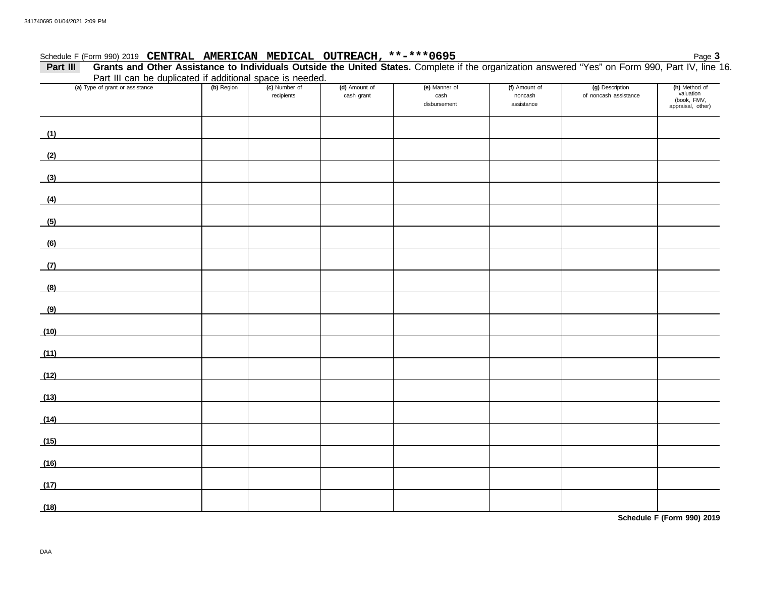#### Schedule F (Form 990) 2019 Page **3 CENTRAL AMERICAN MEDICAL OUTREACH, \*\*-\*\*\*0695**

Part III Grants and Other Assistance to Individuals Outside the United States. Complete if the organization answered "Yes" on Form 990, Part IV, line 16. **(a)** Type of grant or assistance **(b)** Region **(c)** Number of **(d)** Amount of **(e)** Manner of **(f)** Amount of **(g)** Description **(h)** Method of Part III can be duplicated if additional space is needed.

| (a) Type of grant or assistance                             | (b) Region | (c) Number of<br>recipients | (d) Amount of<br>cash grant | (e) Manner of<br>cash<br>disbursement | (f) Amount of<br>noncash<br>assistance | (g) Description<br>of noncash assistance | (h) Method of<br>valuation<br>(book, FMV,<br>appraisal, other) |
|-------------------------------------------------------------|------------|-----------------------------|-----------------------------|---------------------------------------|----------------------------------------|------------------------------------------|----------------------------------------------------------------|
| (1)                                                         |            |                             |                             |                                       |                                        |                                          |                                                                |
| (2)                                                         |            |                             |                             |                                       |                                        |                                          |                                                                |
| (3)<br><u> 1989 - Johann Stein, Amerikaansk politiker (</u> |            |                             |                             |                                       |                                        |                                          |                                                                |
| (4)                                                         |            |                             |                             |                                       |                                        |                                          |                                                                |
| (5)<br><u> 1989 - John Stein, Amerikaansk politiker (</u>   |            |                             |                             |                                       |                                        |                                          |                                                                |
| (6)<br><u> 1989 - Andrea State Barbara, amerikan per</u>    |            |                             |                             |                                       |                                        |                                          |                                                                |
| (7)<br><u> 1989 - Jan James Barbara, prima popula</u>       |            |                             |                             |                                       |                                        |                                          |                                                                |
| (8)<br><u> 1980 - Andrea State Barbara, poeta esp</u>       |            |                             |                             |                                       |                                        |                                          |                                                                |
| (9)                                                         |            |                             |                             |                                       |                                        |                                          |                                                                |
| (10)                                                        |            |                             |                             |                                       |                                        |                                          |                                                                |
| (11)<br><u> 1989 - Johann Barbara, martxa amerikan per</u>  |            |                             |                             |                                       |                                        |                                          |                                                                |
| (12)                                                        |            |                             |                             |                                       |                                        |                                          |                                                                |
| (13)<br><u> 1989 - John Stone, Amerikaansk politiker (</u>  |            |                             |                             |                                       |                                        |                                          |                                                                |
| (14)                                                        |            |                             |                             |                                       |                                        |                                          |                                                                |
| (15)                                                        |            |                             |                             |                                       |                                        |                                          |                                                                |
| (16)                                                        |            |                             |                             |                                       |                                        |                                          |                                                                |
| (17)                                                        |            |                             |                             |                                       |                                        |                                          |                                                                |
| (18)                                                        |            |                             |                             |                                       |                                        |                                          |                                                                |

**Schedule F (Form 990) 2019**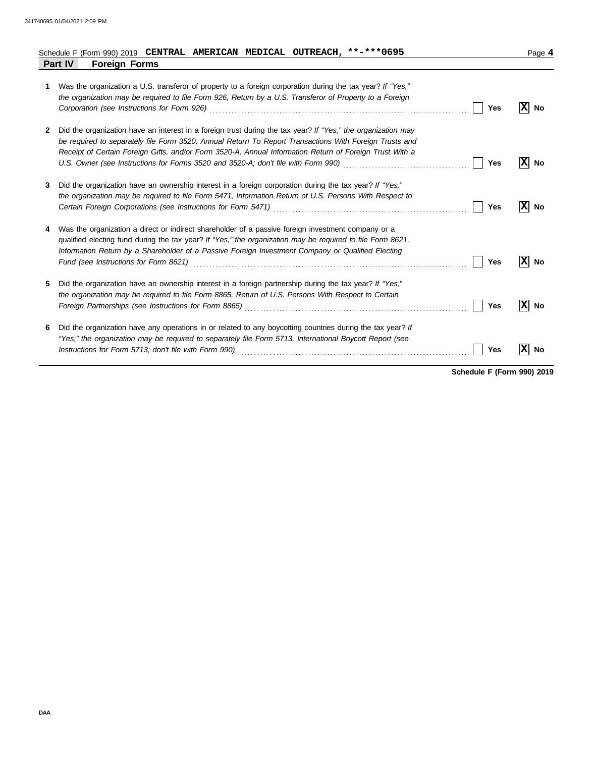|    | Schedule F (Form 990) 2019 CENTRAL AMERICAN MEDICAL OUTREACH, **-***0695                                                                                                                                                                                                                                                                 | Page 4                   |
|----|------------------------------------------------------------------------------------------------------------------------------------------------------------------------------------------------------------------------------------------------------------------------------------------------------------------------------------------|--------------------------|
|    | <b>Part IV</b><br><b>Foreign Forms</b>                                                                                                                                                                                                                                                                                                   |                          |
| 1. | Was the organization a U.S. transferor of property to a foreign corporation during the tax year? If "Yes,"<br>the organization may be required to file Form 926, Return by a U.S. Transferor of Property to a Foreign<br>Yes                                                                                                             | X<br><b>No</b>           |
| 2  | Did the organization have an interest in a foreign trust during the tax year? If "Yes," the organization may<br>be required to separately file Form 3520, Annual Return To Report Transactions With Foreign Trusts and<br>Receipt of Certain Foreign Gifts, and/or Form 3520-A, Annual Information Return of Foreign Trust With a<br>Yes | $\mathbf x$<br>No        |
| 3  | Did the organization have an ownership interest in a foreign corporation during the tax year? If "Yes,"<br>the organization may be required to file Form 5471, Information Return of U.S. Persons With Respect to<br>Yes                                                                                                                 | X<br><b>No</b>           |
|    | Was the organization a direct or indirect shareholder of a passive foreign investment company or a<br>qualified electing fund during the tax year? If "Yes," the organization may be required to file Form 8621,<br>Information Return by a Shareholder of a Passive Foreign Investment Company or Qualified Electing<br>Yes             | X<br><b>No</b>           |
| 5. | Did the organization have an ownership interest in a foreign partnership during the tax year? If "Yes,"<br>the organization may be required to file Form 8865, Return of U.S. Persons With Respect to Certain<br>Yes<br>Foreign Partnerships (see Instructions for Form 8865) [11] Conserved Conserved Conserved Conserved Conserved Co  | $\mathbf x$<br><b>No</b> |
| 6  | Did the organization have any operations in or related to any boycotting countries during the tax year? If<br>"Yes," the organization may be required to separately file Form 5713, International Boycott Report (see<br>Instructions for Form 5713; don't file with Form 990)<br>Yes                                                    | X<br>No                  |

**Schedule F (Form 990) 2019**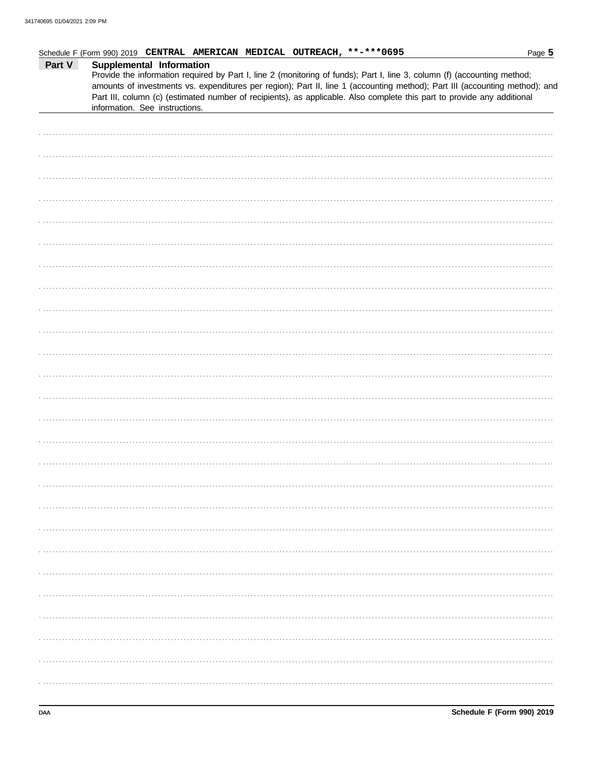|        | Schedule F (Form 990) 2019 CENTRAL AMERICAN MEDICAL OUTREACH, **-*** 0695 |                                                                                                                                                                                                                                                                                                                                                                                    | Page 5 |
|--------|---------------------------------------------------------------------------|------------------------------------------------------------------------------------------------------------------------------------------------------------------------------------------------------------------------------------------------------------------------------------------------------------------------------------------------------------------------------------|--------|
| Part V | Supplemental Information<br>information. See instructions.                | Provide the information required by Part I, line 2 (monitoring of funds); Part I, line 3, column (f) (accounting method;<br>amounts of investments vs. expenditures per region); Part II, line 1 (accounting method); Part III (accounting method); and<br>Part III, column (c) (estimated number of recipients), as applicable. Also complete this part to provide any additional |        |
|        |                                                                           |                                                                                                                                                                                                                                                                                                                                                                                    |        |
|        |                                                                           |                                                                                                                                                                                                                                                                                                                                                                                    |        |
|        |                                                                           |                                                                                                                                                                                                                                                                                                                                                                                    |        |
|        |                                                                           |                                                                                                                                                                                                                                                                                                                                                                                    |        |
|        |                                                                           |                                                                                                                                                                                                                                                                                                                                                                                    |        |
|        |                                                                           |                                                                                                                                                                                                                                                                                                                                                                                    |        |
|        |                                                                           |                                                                                                                                                                                                                                                                                                                                                                                    |        |
|        |                                                                           |                                                                                                                                                                                                                                                                                                                                                                                    |        |
|        |                                                                           |                                                                                                                                                                                                                                                                                                                                                                                    |        |
|        |                                                                           |                                                                                                                                                                                                                                                                                                                                                                                    |        |
|        |                                                                           |                                                                                                                                                                                                                                                                                                                                                                                    |        |
|        |                                                                           |                                                                                                                                                                                                                                                                                                                                                                                    |        |
|        |                                                                           |                                                                                                                                                                                                                                                                                                                                                                                    |        |
|        |                                                                           |                                                                                                                                                                                                                                                                                                                                                                                    |        |
|        |                                                                           |                                                                                                                                                                                                                                                                                                                                                                                    |        |
|        |                                                                           |                                                                                                                                                                                                                                                                                                                                                                                    |        |
|        |                                                                           |                                                                                                                                                                                                                                                                                                                                                                                    |        |
|        |                                                                           |                                                                                                                                                                                                                                                                                                                                                                                    |        |
|        |                                                                           |                                                                                                                                                                                                                                                                                                                                                                                    |        |
|        |                                                                           |                                                                                                                                                                                                                                                                                                                                                                                    |        |
|        |                                                                           |                                                                                                                                                                                                                                                                                                                                                                                    |        |
|        |                                                                           |                                                                                                                                                                                                                                                                                                                                                                                    |        |
|        |                                                                           |                                                                                                                                                                                                                                                                                                                                                                                    |        |
|        |                                                                           |                                                                                                                                                                                                                                                                                                                                                                                    |        |
|        |                                                                           |                                                                                                                                                                                                                                                                                                                                                                                    |        |
|        |                                                                           |                                                                                                                                                                                                                                                                                                                                                                                    |        |
|        |                                                                           |                                                                                                                                                                                                                                                                                                                                                                                    |        |
|        |                                                                           |                                                                                                                                                                                                                                                                                                                                                                                    |        |
|        |                                                                           |                                                                                                                                                                                                                                                                                                                                                                                    |        |
|        |                                                                           |                                                                                                                                                                                                                                                                                                                                                                                    |        |
|        |                                                                           |                                                                                                                                                                                                                                                                                                                                                                                    |        |
|        |                                                                           |                                                                                                                                                                                                                                                                                                                                                                                    |        |
|        |                                                                           |                                                                                                                                                                                                                                                                                                                                                                                    |        |
|        |                                                                           |                                                                                                                                                                                                                                                                                                                                                                                    |        |
|        |                                                                           |                                                                                                                                                                                                                                                                                                                                                                                    |        |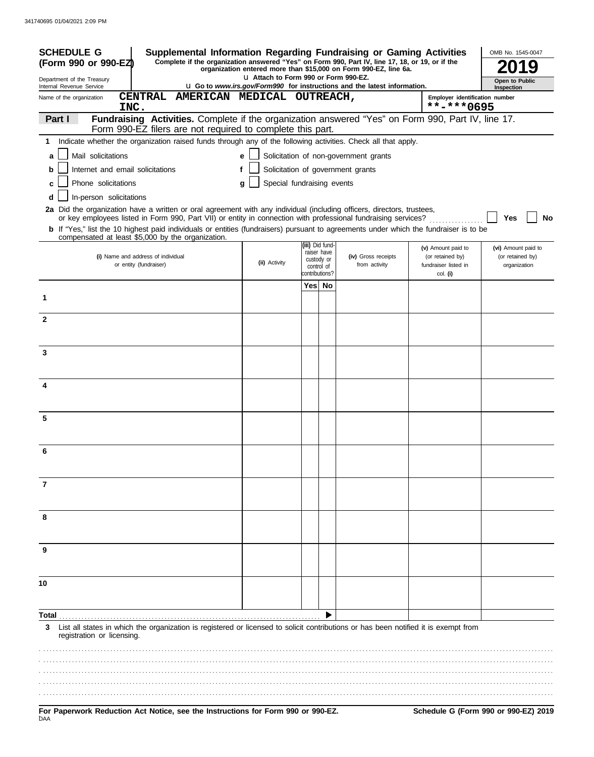| <b>SCHEDULE G</b><br>Supplemental Information Regarding Fundraising or Gaming Activities<br>Complete if the organization answered "Yes" on Form 990, Part IV, line 17, 18, or 19, or if the<br>(Form 990 or 990-EZ)                      |                                       |             |                                             |                                                                                 |                                                                | OMB No. 1545-0047                                       |
|------------------------------------------------------------------------------------------------------------------------------------------------------------------------------------------------------------------------------------------|---------------------------------------|-------------|---------------------------------------------|---------------------------------------------------------------------------------|----------------------------------------------------------------|---------------------------------------------------------|
| Department of the Treasury                                                                                                                                                                                                               | LI Attach to Form 990 or Form 990-EZ. |             |                                             | organization entered more than \$15,000 on Form 990-EZ, line 6a.                |                                                                | 9<br>Open to Public                                     |
| Internal Revenue Service<br><b>CENTRAL</b><br>AMERICAN MEDICAL OUTREACH,                                                                                                                                                                 |                                       |             |                                             | <b>u</b> Go to www.irs.gov/Form990 for instructions and the latest information. |                                                                | Inspection                                              |
| Name of the organization<br>INC.                                                                                                                                                                                                         |                                       |             |                                             |                                                                                 | Employer identification number<br>**-***0695                   |                                                         |
| Fundraising Activities. Complete if the organization answered "Yes" on Form 990, Part IV, line 17.<br>Part I<br>Form 990-EZ filers are not required to complete this part.                                                               |                                       |             |                                             |                                                                                 |                                                                |                                                         |
| 1 Indicate whether the organization raised funds through any of the following activities. Check all that apply.                                                                                                                          |                                       |             |                                             |                                                                                 |                                                                |                                                         |
| Mail solicitations<br>a                                                                                                                                                                                                                  | е                                     |             |                                             | Solicitation of non-government grants                                           |                                                                |                                                         |
| Internet and email solicitations<br>b                                                                                                                                                                                                    |                                       |             |                                             | Solicitation of government grants                                               |                                                                |                                                         |
| Phone solicitations<br>c                                                                                                                                                                                                                 | Special fundraising events<br>a       |             |                                             |                                                                                 |                                                                |                                                         |
| In-person solicitations<br>d                                                                                                                                                                                                             |                                       |             |                                             |                                                                                 |                                                                |                                                         |
| 2a Did the organization have a written or oral agreement with any individual (including officers, directors, trustees,<br>or key employees listed in Form 990, Part VII) or entity in connection with professional fundraising services? |                                       |             |                                             |                                                                                 |                                                                | Yes<br>No                                               |
| <b>b</b> If "Yes," list the 10 highest paid individuals or entities (fundraisers) pursuant to agreements under which the fundraiser is to be<br>compensated at least \$5,000 by the organization.                                        |                                       |             |                                             |                                                                                 |                                                                |                                                         |
| (i) Name and address of individual<br>or entity (fundraiser)                                                                                                                                                                             | (ii) Activity                         | raiser have | (iii) Did fund-<br>custody or<br>control of | (iv) Gross receipts<br>from activity                                            | (v) Amount paid to<br>(or retained by)<br>fundraiser listed in | (vi) Amount paid to<br>(or retained by)<br>organization |
|                                                                                                                                                                                                                                          |                                       |             | :ontributions?<br>Yes  No                   |                                                                                 | col. (i)                                                       |                                                         |
| 1                                                                                                                                                                                                                                        |                                       |             |                                             |                                                                                 |                                                                |                                                         |
| $\mathbf{2}$                                                                                                                                                                                                                             |                                       |             |                                             |                                                                                 |                                                                |                                                         |
| 3                                                                                                                                                                                                                                        |                                       |             |                                             |                                                                                 |                                                                |                                                         |
|                                                                                                                                                                                                                                          |                                       |             |                                             |                                                                                 |                                                                |                                                         |
| 4                                                                                                                                                                                                                                        |                                       |             |                                             |                                                                                 |                                                                |                                                         |
| 5                                                                                                                                                                                                                                        |                                       |             |                                             |                                                                                 |                                                                |                                                         |
| 6                                                                                                                                                                                                                                        |                                       |             |                                             |                                                                                 |                                                                |                                                         |
|                                                                                                                                                                                                                                          |                                       |             |                                             |                                                                                 |                                                                |                                                         |
| 7                                                                                                                                                                                                                                        |                                       |             |                                             |                                                                                 |                                                                |                                                         |
| 8                                                                                                                                                                                                                                        |                                       |             |                                             |                                                                                 |                                                                |                                                         |
| 9                                                                                                                                                                                                                                        |                                       |             |                                             |                                                                                 |                                                                |                                                         |
|                                                                                                                                                                                                                                          |                                       |             |                                             |                                                                                 |                                                                |                                                         |
| 10                                                                                                                                                                                                                                       |                                       |             |                                             |                                                                                 |                                                                |                                                         |
| Total                                                                                                                                                                                                                                    |                                       |             |                                             |                                                                                 |                                                                |                                                         |
| List all states in which the organization is registered or licensed to solicit contributions or has been notified it is exempt from<br>3<br>registration or licensing.                                                                   |                                       |             |                                             |                                                                                 |                                                                |                                                         |
|                                                                                                                                                                                                                                          |                                       |             |                                             |                                                                                 |                                                                |                                                         |
|                                                                                                                                                                                                                                          |                                       |             |                                             |                                                                                 |                                                                |                                                         |
|                                                                                                                                                                                                                                          |                                       |             |                                             |                                                                                 |                                                                |                                                         |
| For Paperwork Reduction Act Notice, see the Instructions for Form 990 or 990-EZ.<br>DAA                                                                                                                                                  |                                       |             |                                             |                                                                                 |                                                                | Schedule G (Form 990 or 990-EZ) 2019                    |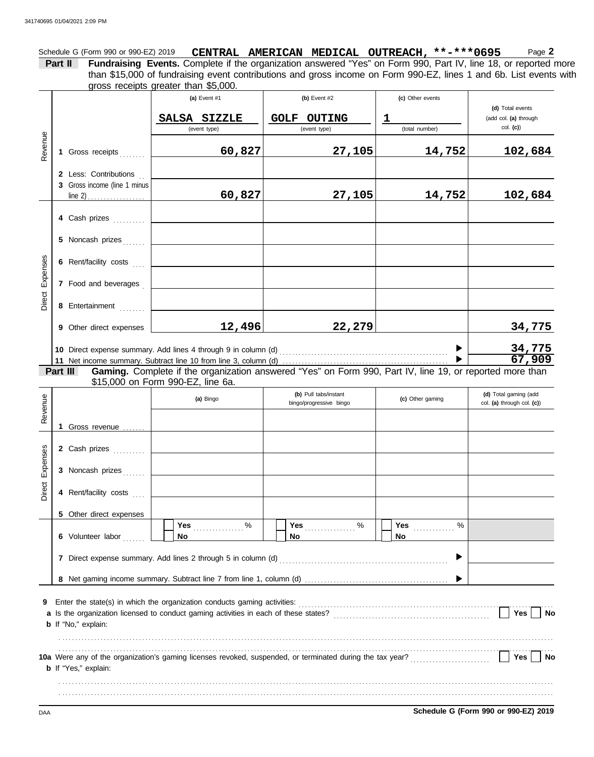Schedule G (Form 990 or 990-EZ) 2019 **CENTRAL AMERICAN MEDICAL OUTREACH, \*\*-\*\*\*0695** Page 2 **Part II Fundraising Events.** Complete if the organization answered "Yes" on Form 990, Part IV, line 18, or reported more gross receipts greater than \$5,000. than \$15,000 of fundraising event contributions and gross income on Form 990-EZ, lines 1 and 6b. List events with

|                 |          |                              | (a) Event $#1$                                                | (b) Event $#2$                                                                                            | (c) Other events | (d) Total events                                    |
|-----------------|----------|------------------------------|---------------------------------------------------------------|-----------------------------------------------------------------------------------------------------------|------------------|-----------------------------------------------------|
|                 |          |                              | SALSA SIZZLE                                                  | <b>GOLF</b><br><b>OUTING</b>                                                                              | 1                | (add col. (a) through                               |
|                 |          |                              | (event type)                                                  | (event type)                                                                                              | (total number)   | $col.$ (c))                                         |
| Revenue         |          | 1 Gross receipts             | 60,827                                                        | 27,105                                                                                                    | 14,752           | 102,684                                             |
|                 |          | 2 Less: Contributions        |                                                               |                                                                                                           |                  |                                                     |
|                 |          | 3 Gross income (line 1 minus | 60,827                                                        | 27,105                                                                                                    | 14,752           | 102,684                                             |
|                 |          |                              |                                                               |                                                                                                           |                  |                                                     |
|                 |          | 4 Cash prizes                |                                                               |                                                                                                           |                  |                                                     |
|                 |          | 5 Noncash prizes             |                                                               |                                                                                                           |                  |                                                     |
|                 |          | 6 Rent/facility costs        |                                                               |                                                                                                           |                  |                                                     |
| Direct Expenses |          | 7 Food and beverages         |                                                               |                                                                                                           |                  |                                                     |
|                 |          | 8 Entertainment              |                                                               |                                                                                                           |                  |                                                     |
|                 |          | 9 Other direct expenses      | 12,496                                                        | 22,279                                                                                                    |                  | 34,775                                              |
|                 |          |                              |                                                               |                                                                                                           |                  |                                                     |
|                 |          |                              |                                                               |                                                                                                           |                  | 34,775<br>67,909                                    |
|                 | Part III |                              |                                                               | Gaming. Complete if the organization answered "Yes" on Form 990, Part IV, line 19, or reported more than  |                  |                                                     |
|                 |          |                              | \$15,000 on Form 990-EZ, line 6a.                             |                                                                                                           |                  |                                                     |
| Revenue         |          |                              | (a) Bingo                                                     | (b) Pull tabs/instant<br>bingo/progressive bingo                                                          | (c) Other gaming | (d) Total gaming (add<br>col. (a) through col. (c)) |
|                 |          |                              |                                                               |                                                                                                           |                  |                                                     |
|                 |          | 1 Gross revenue              |                                                               |                                                                                                           |                  |                                                     |
|                 |          | 2 Cash prizes                |                                                               |                                                                                                           |                  |                                                     |
| Direct Expenses |          | 3 Noncash prizes             |                                                               |                                                                                                           |                  |                                                     |
|                 |          | 4 Rent/facility costs        |                                                               |                                                                                                           |                  |                                                     |
|                 |          | 5 Other direct expenses      |                                                               |                                                                                                           |                  |                                                     |
|                 |          | 6 Volunteer labor            | Yes<br>%<br><b>No</b>                                         | Yes<br>%<br>No                                                                                            | Yes<br>%<br>No   |                                                     |
|                 |          |                              | 7 Direct expense summary. Add lines 2 through 5 in column (d) |                                                                                                           |                  |                                                     |
|                 |          |                              |                                                               |                                                                                                           |                  |                                                     |
| 9               |          | <b>b</b> If "No," explain:   |                                                               |                                                                                                           |                  | Yes<br>No                                           |
|                 |          |                              |                                                               |                                                                                                           |                  |                                                     |
|                 |          | <b>b</b> If "Yes," explain:  |                                                               | 10a Were any of the organization's gaming licenses revoked, suspended, or terminated during the tax year? |                  | Yes<br>No                                           |
|                 |          |                              |                                                               |                                                                                                           |                  |                                                     |
|                 |          |                              |                                                               |                                                                                                           |                  |                                                     |

DAA **Schedule G (Form 990 or 990-EZ) 2019**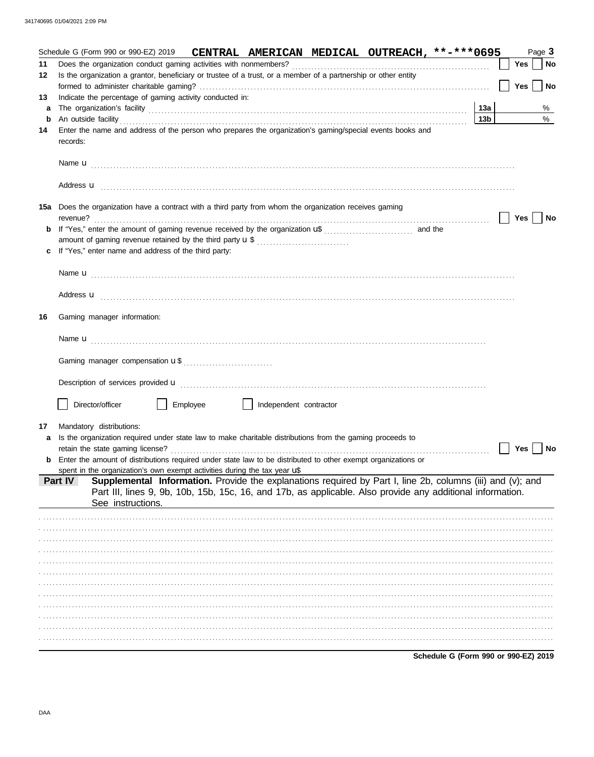|    |          | Schedule G (Form 990 or 990-EZ) 2019 CENTRAL AMERICAN MEDICAL OUTREACH, **-***0695                                                                                                                                                            |          |  |                        |  |  |                                      |                 |     | Page 3 |
|----|----------|-----------------------------------------------------------------------------------------------------------------------------------------------------------------------------------------------------------------------------------------------|----------|--|------------------------|--|--|--------------------------------------|-----------------|-----|--------|
| 11 |          |                                                                                                                                                                                                                                               |          |  |                        |  |  |                                      |                 | Yes | ∣ No   |
| 12 |          | Is the organization a grantor, beneficiary or trustee of a trust, or a member of a partnership or other entity                                                                                                                                |          |  |                        |  |  |                                      |                 | Yes | No     |
| 13 |          | Indicate the percentage of gaming activity conducted in:                                                                                                                                                                                      |          |  |                        |  |  |                                      |                 |     |        |
| a  |          |                                                                                                                                                                                                                                               |          |  |                        |  |  |                                      | 13a             |     | %      |
| b  |          |                                                                                                                                                                                                                                               |          |  |                        |  |  |                                      | 13 <sub>b</sub> |     | %      |
| 14 | records: | Enter the name and address of the person who prepares the organization's gaming/special events books and                                                                                                                                      |          |  |                        |  |  |                                      |                 |     |        |
|    |          |                                                                                                                                                                                                                                               |          |  |                        |  |  |                                      |                 |     |        |
|    |          |                                                                                                                                                                                                                                               |          |  |                        |  |  |                                      |                 |     |        |
|    | revenue? | 15a Does the organization have a contract with a third party from whom the organization receives gaming                                                                                                                                       |          |  |                        |  |  |                                      |                 | Yes | No     |
| b  |          |                                                                                                                                                                                                                                               |          |  |                        |  |  |                                      |                 |     |        |
|    |          |                                                                                                                                                                                                                                               |          |  |                        |  |  |                                      |                 |     |        |
| c  |          | If "Yes," enter name and address of the third party:                                                                                                                                                                                          |          |  |                        |  |  |                                      |                 |     |        |
|    |          |                                                                                                                                                                                                                                               |          |  |                        |  |  |                                      |                 |     |        |
|    |          |                                                                                                                                                                                                                                               |          |  |                        |  |  |                                      |                 |     |        |
|    |          | Address <b>u</b> <u>contractive and the contractive and the contractive and the contractive and the contractive and the contractive and the contractive and contract and contract and contract and contract and contract and contract</u>     |          |  |                        |  |  |                                      |                 |     |        |
| 16 |          | Gaming manager information:                                                                                                                                                                                                                   |          |  |                        |  |  |                                      |                 |     |        |
|    |          |                                                                                                                                                                                                                                               |          |  |                        |  |  |                                      |                 |     |        |
|    |          |                                                                                                                                                                                                                                               |          |  |                        |  |  |                                      |                 |     |        |
|    |          |                                                                                                                                                                                                                                               |          |  |                        |  |  |                                      |                 |     |        |
|    |          | Director/officer                                                                                                                                                                                                                              | Employee |  | Independent contractor |  |  |                                      |                 |     |        |
| 17 |          | Mandatory distributions:                                                                                                                                                                                                                      |          |  |                        |  |  |                                      |                 |     |        |
|    |          | Is the organization required under state law to make charitable distributions from the gaming proceeds to                                                                                                                                     |          |  |                        |  |  |                                      |                 |     |        |
|    |          | retain the state gaming license?                                                                                                                                                                                                              |          |  |                        |  |  |                                      |                 | Yes | No     |
|    |          | <b>b</b> Enter the amount of distributions required under state law to be distributed to other exempt organizations or                                                                                                                        |          |  |                        |  |  |                                      |                 |     |        |
|    |          | spent in the organization's own exempt activities during the tax year uß                                                                                                                                                                      |          |  |                        |  |  |                                      |                 |     |        |
|    | Part IV  | Supplemental Information. Provide the explanations required by Part I, line 2b, columns (iii) and (v); and<br>Part III, lines 9, 9b, 10b, 15b, 15c, 16, and 17b, as applicable. Also provide any additional information.<br>See instructions. |          |  |                        |  |  |                                      |                 |     |        |
|    |          |                                                                                                                                                                                                                                               |          |  |                        |  |  |                                      |                 |     |        |
|    |          |                                                                                                                                                                                                                                               |          |  |                        |  |  |                                      |                 |     |        |
|    |          |                                                                                                                                                                                                                                               |          |  |                        |  |  |                                      |                 |     |        |
|    |          |                                                                                                                                                                                                                                               |          |  |                        |  |  |                                      |                 |     |        |
|    |          |                                                                                                                                                                                                                                               |          |  |                        |  |  |                                      |                 |     |        |
|    |          |                                                                                                                                                                                                                                               |          |  |                        |  |  |                                      |                 |     |        |
|    |          |                                                                                                                                                                                                                                               |          |  |                        |  |  |                                      |                 |     |        |
|    |          |                                                                                                                                                                                                                                               |          |  |                        |  |  |                                      |                 |     |        |
|    |          |                                                                                                                                                                                                                                               |          |  |                        |  |  |                                      |                 |     |        |
|    |          |                                                                                                                                                                                                                                               |          |  |                        |  |  |                                      |                 |     |        |
|    |          |                                                                                                                                                                                                                                               |          |  |                        |  |  |                                      |                 |     |        |
|    |          |                                                                                                                                                                                                                                               |          |  |                        |  |  |                                      |                 |     |        |
|    |          |                                                                                                                                                                                                                                               |          |  |                        |  |  | Schedule G (Form 990 or 990-EZ) 2019 |                 |     |        |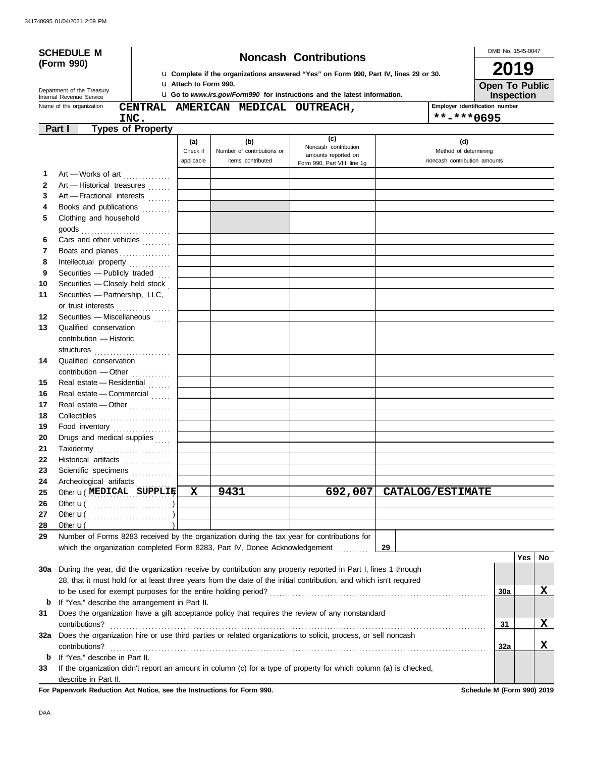|          | <b>SCHEDULE M</b>                                                          |                          |                              |      |                            | <b>Noncash Contributions</b>                                                                                       |    |                                | OMB No. 1545-0047     |            |    |
|----------|----------------------------------------------------------------------------|--------------------------|------------------------------|------|----------------------------|--------------------------------------------------------------------------------------------------------------------|----|--------------------------------|-----------------------|------------|----|
|          | (Form 990)                                                                 |                          |                              |      |                            |                                                                                                                    |    |                                | 2019                  |            |    |
|          |                                                                            |                          |                              |      |                            | <b>u</b> Complete if the organizations answered "Yes" on Form 990, Part IV, lines 29 or 30.                        |    |                                |                       |            |    |
|          | Department of the Treasury                                                 |                          | <b>u</b> Attach to Form 990. |      |                            | <b>u</b> Go to <i>www.irs.gov/Form990</i> for instructions and the latest information.                             |    |                                | <b>Open To Public</b> |            |    |
|          | Internal Revenue Service<br>Name of the organization                       |                          |                              |      |                            |                                                                                                                    |    | Employer identification number | Inspection            |            |    |
|          |                                                                            | INC.                     |                              |      |                            | CENTRAL AMERICAN MEDICAL OUTREACH,                                                                                 |    | **-***0695                     |                       |            |    |
|          | Part I                                                                     | <b>Types of Property</b> |                              |      |                            |                                                                                                                    |    |                                |                       |            |    |
|          |                                                                            |                          | (a)                          |      | (b)                        | (c)                                                                                                                |    | (d)                            |                       |            |    |
|          |                                                                            |                          | Check if                     |      | Number of contributions or | Noncash contribution<br>amounts reported on                                                                        |    | Method of determining          |                       |            |    |
|          |                                                                            |                          | applicable                   |      | items contributed          | Form 990, Part VIII, line 1g                                                                                       |    | noncash contribution amounts   |                       |            |    |
| 1        | Art - Works of art                                                         |                          |                              |      |                            |                                                                                                                    |    |                                |                       |            |    |
| 2        | Art - Historical treasures                                                 |                          |                              |      |                            |                                                                                                                    |    |                                |                       |            |    |
| 3        | Art - Fractional interests                                                 |                          |                              |      |                            |                                                                                                                    |    |                                |                       |            |    |
| 4        | Books and publications                                                     |                          |                              |      |                            |                                                                                                                    |    |                                |                       |            |    |
| 5        | Clothing and household                                                     |                          |                              |      |                            |                                                                                                                    |    |                                |                       |            |    |
| 6        | Cars and other vehicles                                                    |                          |                              |      |                            |                                                                                                                    |    |                                |                       |            |    |
| 7        | Boats and planes                                                           |                          |                              |      |                            |                                                                                                                    |    |                                |                       |            |    |
| 8        | Intellectual property                                                      |                          |                              |      |                            |                                                                                                                    |    |                                |                       |            |    |
| 9        | Securities - Publicly traded                                               |                          |                              |      |                            |                                                                                                                    |    |                                |                       |            |    |
| 10       | Securities - Closely held stock                                            |                          |                              |      |                            |                                                                                                                    |    |                                |                       |            |    |
| 11       | Securities - Partnership, LLC,                                             |                          |                              |      |                            |                                                                                                                    |    |                                |                       |            |    |
|          | or trust interests                                                         |                          |                              |      |                            |                                                                                                                    |    |                                |                       |            |    |
| 12       | Securities - Miscellaneous                                                 |                          |                              |      |                            |                                                                                                                    |    |                                |                       |            |    |
| 13       | Qualified conservation                                                     |                          |                              |      |                            |                                                                                                                    |    |                                |                       |            |    |
|          | contribution - Historic                                                    |                          |                              |      |                            |                                                                                                                    |    |                                |                       |            |    |
|          | structures                                                                 |                          |                              |      |                            |                                                                                                                    |    |                                |                       |            |    |
| 14       | Qualified conservation                                                     |                          |                              |      |                            |                                                                                                                    |    |                                |                       |            |    |
|          | contribution - Other                                                       |                          |                              |      |                            |                                                                                                                    |    |                                |                       |            |    |
| 15       | Real estate - Residential                                                  |                          |                              |      |                            |                                                                                                                    |    |                                |                       |            |    |
| 16       | Real estate - Commercial                                                   |                          |                              |      |                            |                                                                                                                    |    |                                |                       |            |    |
| 17       | Real estate — Other $\ldots$                                               |                          |                              |      |                            |                                                                                                                    |    |                                |                       |            |    |
| 18       |                                                                            |                          |                              |      |                            |                                                                                                                    |    |                                |                       |            |    |
| 19<br>20 | Food inventory<br>Drugs and medical supplies                               |                          |                              |      |                            |                                                                                                                    |    |                                |                       |            |    |
| 21       |                                                                            |                          |                              |      |                            |                                                                                                                    |    |                                |                       |            |    |
| 22       | Taxidermy<br>Historical artifacts                                          |                          |                              |      |                            |                                                                                                                    |    |                                |                       |            |    |
| 23       | Scientific specimens                                                       | .                        |                              |      |                            |                                                                                                                    |    |                                |                       |            |    |
| 24       | Archeological artifacts                                                    |                          |                              |      |                            |                                                                                                                    |    |                                |                       |            |    |
| 25       | Other <b>u</b> ( <b>MEDICAL</b> SUPPLIE)                                   |                          | $\mathbf x$                  | 9431 |                            | 692,007                                                                                                            |    | CATALOG/ESTIMATE               |                       |            |    |
| 26       |                                                                            |                          |                              |      |                            |                                                                                                                    |    |                                |                       |            |    |
| 27       |                                                                            |                          |                              |      |                            |                                                                                                                    |    |                                |                       |            |    |
| 28       | Other $\mathbf{u}$                                                         |                          |                              |      |                            |                                                                                                                    |    |                                |                       |            |    |
| 29       |                                                                            |                          |                              |      |                            | Number of Forms 8283 received by the organization during the tax year for contributions for                        |    |                                |                       |            |    |
|          | which the organization completed Form 8283, Part IV, Donee Acknowledgement |                          |                              |      |                            |                                                                                                                    | 29 |                                |                       | <b>Yes</b> | No |
| 30a      |                                                                            |                          |                              |      |                            | During the year, did the organization receive by contribution any property reported in Part I, lines 1 through     |    |                                |                       |            |    |
|          |                                                                            |                          |                              |      |                            | 28, that it must hold for at least three years from the date of the initial contribution, and which isn't required |    |                                |                       |            |    |
|          |                                                                            |                          |                              |      |                            |                                                                                                                    |    |                                | 30a                   |            | X  |
| b        | If "Yes," describe the arrangement in Part II.                             |                          |                              |      |                            |                                                                                                                    |    |                                |                       |            |    |
| 31       |                                                                            |                          |                              |      |                            | Does the organization have a gift acceptance policy that requires the review of any nonstandard                    |    |                                |                       |            |    |
|          | contributions?                                                             |                          |                              |      |                            |                                                                                                                    |    |                                | 31                    |            | X  |
|          |                                                                            |                          |                              |      |                            | 32a Does the organization hire or use third parties or related organizations to solicit, process, or sell noncash  |    |                                |                       |            |    |
|          | contributions?                                                             |                          |                              |      |                            |                                                                                                                    |    |                                | 32a                   |            | X  |
| b        | If "Yes," describe in Part II.                                             |                          |                              |      |                            |                                                                                                                    |    |                                |                       |            |    |
| 33       |                                                                            |                          |                              |      |                            | If the organization didn't report an amount in column (c) for a type of property for which column (a) is checked,  |    |                                |                       |            |    |
|          | describe in Part II.                                                       |                          |                              |      |                            |                                                                                                                    |    |                                |                       |            |    |

For Paperwork Reduction Act Notice, see the Instructions for Form 990. Schedule M (Form 990) 2019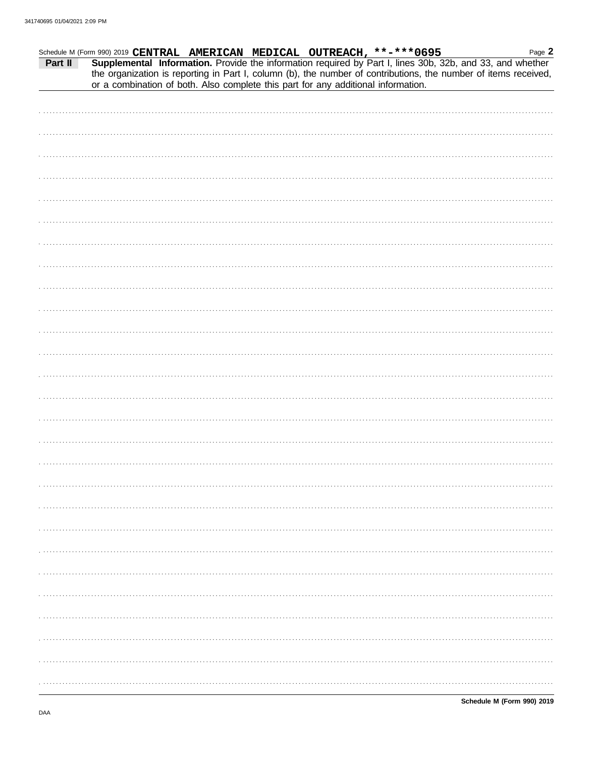| Schedule M (Form 990) 2019 CENTRAL AMERICAN MEDICAL OUTREACH, **-***0695<br>Part II Supplemental Information. Provide the information required by Part I, lines 30b, 32b, and 33, and whether        | Page 2 |
|------------------------------------------------------------------------------------------------------------------------------------------------------------------------------------------------------|--------|
| the organization is reporting in Part I, column (b), the number of contributions, the number of items received,<br>or a combination of both. Also complete this part for any additional information. |        |
|                                                                                                                                                                                                      |        |
|                                                                                                                                                                                                      |        |
|                                                                                                                                                                                                      |        |
|                                                                                                                                                                                                      |        |
|                                                                                                                                                                                                      |        |
|                                                                                                                                                                                                      |        |
|                                                                                                                                                                                                      |        |
|                                                                                                                                                                                                      |        |
|                                                                                                                                                                                                      |        |
|                                                                                                                                                                                                      |        |
|                                                                                                                                                                                                      |        |
|                                                                                                                                                                                                      |        |
|                                                                                                                                                                                                      |        |
|                                                                                                                                                                                                      |        |
|                                                                                                                                                                                                      |        |
|                                                                                                                                                                                                      |        |
|                                                                                                                                                                                                      |        |
|                                                                                                                                                                                                      |        |
|                                                                                                                                                                                                      |        |
|                                                                                                                                                                                                      |        |
|                                                                                                                                                                                                      |        |
|                                                                                                                                                                                                      |        |
|                                                                                                                                                                                                      |        |
|                                                                                                                                                                                                      |        |
|                                                                                                                                                                                                      |        |
|                                                                                                                                                                                                      |        |
|                                                                                                                                                                                                      |        |
|                                                                                                                                                                                                      |        |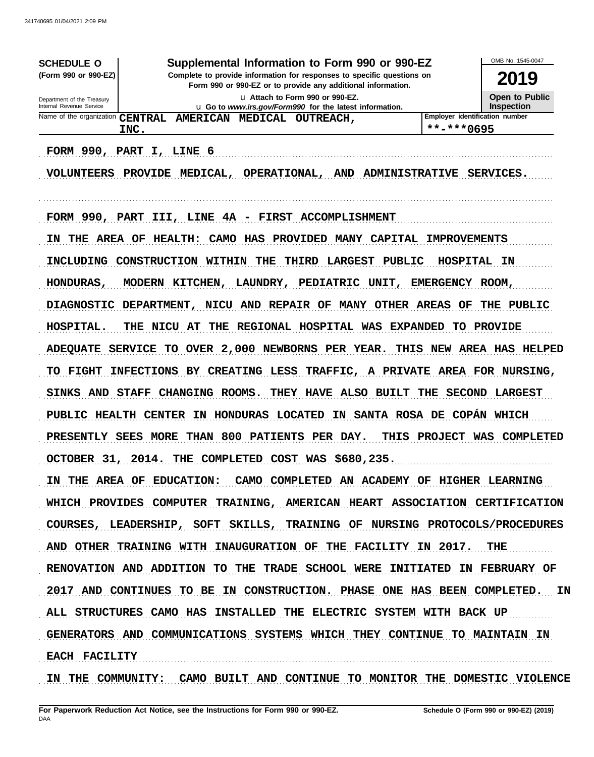| <b>SCHEDULE O</b>                                      | Supplemental Information to Form 990 or 990-EZ                                                                                         |                     | OMB No. 1545-0047                   |
|--------------------------------------------------------|----------------------------------------------------------------------------------------------------------------------------------------|---------------------|-------------------------------------|
| (Form 990 or 990-EZ)                                   | Complete to provide information for responses to specific questions on<br>Form 990 or 990-EZ or to provide any additional information. |                     | 2019                                |
| Department of the Treasury<br>Internal Revenue Service | u Attach to Form 990 or 990-EZ.<br>u Go to www.irs.gov/Form990 for the latest information.                                             |                     | <b>Open to Public</b><br>Inspection |
| Name of the organization                               | CENTRAL AMERICAN MEDICAL OUTREACH,                                                                                                     |                     | Employer identification number      |
| INC.                                                   |                                                                                                                                        | **-***0695          |                                     |
| FORM 990, PART I, LINE 6                               |                                                                                                                                        |                     |                                     |
| <b>VOLUNTEERS</b>                                      | <b>PROVIDE</b><br>MEDICAL,<br>OPERATIONAL,<br>AND ADMINISTRATIVE                                                                       |                     | SERVICES.                           |
|                                                        | FORM 990, PART III, LINE 4A - FIRST ACCOMPLISHMENT                                                                                     |                     |                                     |
| ΙN                                                     | PROVIDED MANY CAPITAL<br>THE AREA OF HEALTH: CAMO HAS                                                                                  | <b>IMPROVEMENTS</b> |                                     |
| INCLUDING                                              | CONSTRUCTION WITHIN<br>THE<br>THIRD LARGEST<br><b>PUBLIC</b>                                                                           | HOSPITAL            | ΙN                                  |
| HONDURAS,                                              | LAUNDRY,<br>PEDIATRIC UNIT,<br>MODERN KITCHEN,                                                                                         | EMERGENCY ROOM,     |                                     |
|                                                        |                                                                                                                                        |                     |                                     |
| <b>DIAGNOSTIC</b>                                      | DEPARTMENT, NICU AND REPAIR OF MANY OTHER AREAS                                                                                        | OF                  | THE<br><b>PUBLIC</b>                |
| HOSPITAL.                                              | THE<br>REGIONAL HOSPITAL WAS EXPANDED<br>THE NICU AT                                                                                   | TO                  | <b>PROVIDE</b>                      |
| <b>ADEQUATE</b><br><b>SERVICE</b>                      | TO OVER 2,000 NEWBORNS PER YEAR.                                                                                                       |                     | THIS NEW AREA HAS HELPED            |
| <b>FIGHT</b><br>TO .                                   | INFECTIONS BY CREATING LESS TRAFFIC, A PRIVATE AREA FOR NURSING,                                                                       |                     |                                     |
|                                                        | SINKS AND STAFF CHANGING ROOMS.<br>THEY HAVE ALSO BUILT THE SECOND LARGEST                                                             |                     |                                     |
|                                                        | PUBLIC HEALTH CENTER IN HONDURAS LOCATED IN SANTA ROSA DE COPÁN WHICH                                                                  |                     |                                     |
| PRESENTLY SEES                                         | THAN 800 PATIENTS PER DAY.<br><b>MORE</b><br>THIS                                                                                      | <b>PROJECT WAS</b>  | COMPLETED                           |
|                                                        | OCTOBER 31, 2014. THE COMPLETED COST WAS \$680, 235.                                                                                   |                     |                                     |
|                                                        |                                                                                                                                        |                     |                                     |
|                                                        | IN THE AREA OF EDUCATION: CAMO COMPLETED AN ACADEMY OF HIGHER LEARNING                                                                 |                     |                                     |
|                                                        | WHICH PROVIDES COMPUTER TRAINING, AMERICAN HEART ASSOCIATION CERTIFICATION                                                             |                     |                                     |
|                                                        | COURSES, LEADERSHIP, SOFT SKILLS, TRAINING OF NURSING PROTOCOLS/PROCEDURES                                                             |                     |                                     |
|                                                        | AND OTHER TRAINING WITH INAUGURATION OF THE FACILITY IN 2017. THE                                                                      |                     |                                     |
|                                                        | RENOVATION AND ADDITION TO THE TRADE SCHOOL WERE INITIATED IN FEBRUARY OF                                                              |                     |                                     |
|                                                        | 2017 AND CONTINUES TO BE IN CONSTRUCTION. PHASE ONE HAS BEEN COMPLETED. IN                                                             |                     |                                     |
|                                                        | ALL STRUCTURES CAMO HAS INSTALLED THE ELECTRIC SYSTEM WITH BACK UP                                                                     |                     |                                     |
|                                                        | GENERATORS AND COMMUNICATIONS SYSTEMS WHICH THEY CONTINUE TO MAINTAIN IN                                                               |                     |                                     |
| <b>EACH FACILITY</b>                                   |                                                                                                                                        |                     |                                     |
|                                                        | IN THE COMMUNITY: CAMO BUILT AND CONTINUE TO MONITOR THE DOMESTIC VIOLENCE                                                             |                     |                                     |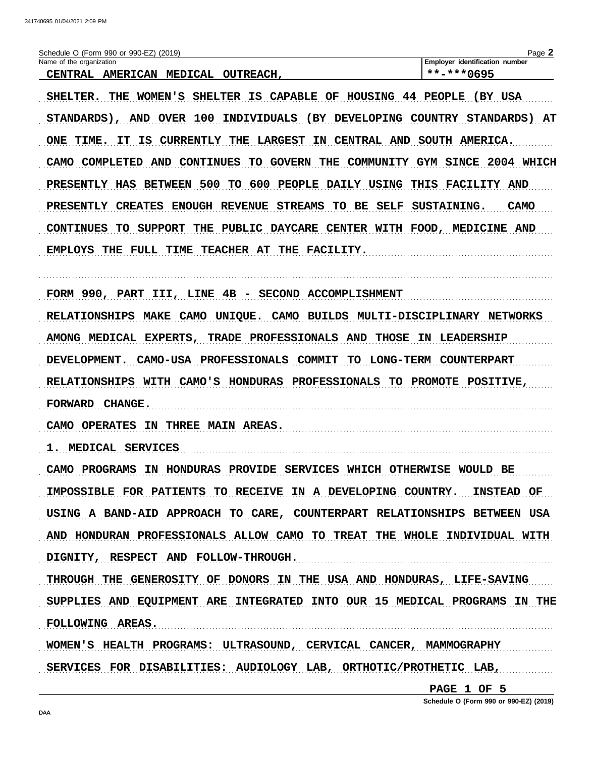| Schedule O (Form 990 or 990-EZ) (2019)<br>Name of the organization<br><b>OUTREACH,</b><br><b>CENTRAL</b><br><b>AMERICAN</b><br><b>MEDICAL</b> | Page 2<br>Employer identification number<br>**-***0695 |
|-----------------------------------------------------------------------------------------------------------------------------------------------|--------------------------------------------------------|
| SHELTER.<br><b>IS CAPABLE OF</b><br>THE<br><b>WOMEN'S</b><br><b>SHELTER</b>                                                                   | <b>HOUSING</b><br>(BY USA<br>44<br><b>PEOPLE</b>       |
| 100<br><b>STANDARDS</b> )<br><b>AND</b><br><b>OVER</b><br><b>INDIVIDUALS</b><br>(BY DEVELOPING                                                | COUNTRY<br>STANDARDS)<br>AT                            |
| ONE<br><b>TIME.</b><br>IS<br><b>CURRENTLY</b><br>THE<br><b>LARGEST</b><br>ΙN<br>IT                                                            | SOUTH AMERICA.<br>CENTRAL AND                          |
| CAMO COMPLETED<br>AND CONTINUES<br>TO.<br><b>GOVERN</b>                                                                                       | THE COMMUNITY GYM<br>2004 WHICH<br><b>SINCE</b>        |
| 600<br>500<br>TО<br>PEOPLE DAILY USING<br>PRESENTLY HAS<br><b>BETWEEN</b>                                                                     | <b>THIS FACILITY</b><br><b>AND</b>                     |
| <b>ENOUGH REVENUE</b><br><b>STREAMS</b><br><b>PRESENTLY</b><br><b>CREATES</b><br>TO.<br>BE                                                    | SELF<br>SUSTAINING.<br><b>CAMO</b>                     |
| <b>CONTINUES</b><br>TО<br><b>SUPPORT</b><br>THE<br>PUBLIC                                                                                     | DAYCARE CENTER WITH FOOD, MEDICINE AND                 |
| TEACHER AT<br>THE FACILITY.<br><b>EMPLOYS</b><br>THE.<br><b>FULL TIME</b>                                                                     |                                                        |
| FORM 990, PART III, LINE 4B - SECOND ACCOMPLISHMENT                                                                                           |                                                        |
| UNIQUE.<br><b>CAMO</b><br><b>BUILDS</b><br><b>RELATIONSHIPS</b><br><b>MAKE</b><br>CAMO                                                        | <b>MULTI-DISCIPLINARY NETWORKS</b>                     |
| <b>PROFESSIONALS AND</b><br>AMONG MEDICAL<br><b>EXPERTS,</b><br><b>TRADE</b>                                                                  | <b>THOSE</b><br><b>LEADERSHIP</b><br>IN                |
| DEVELOPMENT.<br>CAMO-USA<br><b>PROFESSIONALS</b><br><b>COMMIT</b><br>TO.                                                                      | <b>LONG-TERM</b><br><b>COUNTERPART</b>                 |
| CAMO'S<br><b>HONDURAS PROFESSIONALS</b><br><b>RELATIONSHIPS</b><br>WITH                                                                       | PROMOTE POSITIVE,<br>TO .                              |
| <b>FORWARD</b><br><b>CHANGE.</b>                                                                                                              |                                                        |
| CAMO OPERATES<br><b>THREE</b><br><b>MAIN AREAS.</b><br>ΙN                                                                                     |                                                        |
| 1. MEDICAL SERVICES                                                                                                                           |                                                        |
| CAMO PROGRAMS IN HONDURAS PROVIDE SERVICES WHICH OTHERWISE WOULD BE                                                                           |                                                        |
| IMPOSSIBLE FOR PATIENTS TO RECEIVE IN A DEVELOPING COUNTRY. INSTEAD OF                                                                        |                                                        |
| USING A BAND-AID APPROACH TO CARE, COUNTERPART RELATIONSHIPS BETWEEN USA                                                                      |                                                        |
| AND HONDURAN PROFESSIONALS ALLOW CAMO TO TREAT THE WHOLE INDIVIDUAL WITH                                                                      |                                                        |
| DIGNITY, RESPECT AND FOLLOW-THROUGH.                                                                                                          |                                                        |
| THROUGH THE GENEROSITY OF DONORS IN THE USA AND HONDURAS, LIFE-SAVING                                                                         |                                                        |
| SUPPLIES AND EQUIPMENT ARE INTEGRATED INTO OUR 15 MEDICAL PROGRAMS IN THE                                                                     |                                                        |
| FOLLOWING AREAS.                                                                                                                              |                                                        |
| WOMEN'S HEALTH PROGRAMS: ULTRASOUND, CERVICAL CANCER, MAMMOGRAPHY                                                                             |                                                        |
| SERVICES FOR DISABILITIES: AUDIOLOGY LAB, ORTHOTIC/PROTHETIC LAB,                                                                             |                                                        |

PAGE 1 OF 5

Schedule O (Form 990 or 990-EZ) (2019)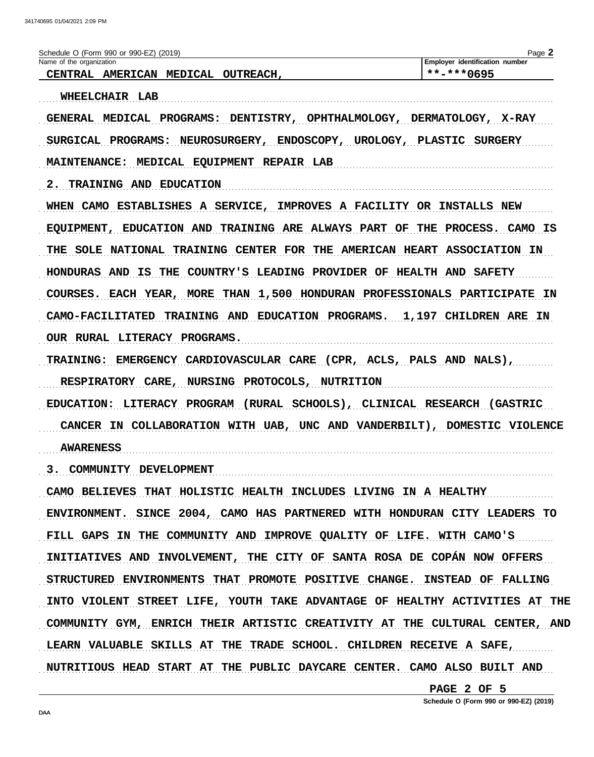| Schedule O (Form 990 or 990-EZ) (2019)                                      | Page 2                                           |
|-----------------------------------------------------------------------------|--------------------------------------------------|
| Name of the organization<br>CENTRAL AMERICAN MEDICAL OUTREACH,              | Employer identification number<br>$***$ -***0695 |
| WHEELCHAIR LAB                                                              |                                                  |
| GENERAL MEDICAL PROGRAMS: DENTISTRY, OPHTHALMOLOGY, DERMATOLOGY, X-RAY      |                                                  |
| SURGICAL PROGRAMS: NEUROSURGERY, ENDOSCOPY, UROLOGY, PLASTIC SURGERY        |                                                  |
| MAINTENANCE: MEDICAL EQUIPMENT REPAIR LAB                                   |                                                  |
| 2. TRAINING AND EDUCATION                                                   |                                                  |
| WHEN CAMO ESTABLISHES A SERVICE, IMPROVES A FACILITY OR INSTALLS NEW        |                                                  |
| EQUIPMENT, EDUCATION AND TRAINING ARE ALWAYS PART OF THE PROCESS. CAMO IS   |                                                  |
| THE SOLE NATIONAL TRAINING CENTER FOR THE AMERICAN HEART ASSOCIATION IN     |                                                  |
| IS THE COUNTRY'S LEADING PROVIDER OF HEALTH AND SAFETY<br>HONDURAS AND      |                                                  |
| COURSES. EACH YEAR, MORE THAN 1,500 HONDURAN PROFESSIONALS PARTICIPATE IN   |                                                  |
| CAMO-FACILITATED TRAINING AND EDUCATION PROGRAMS. 1,197 CHILDREN ARE IN     |                                                  |
| OUR RURAL LITERACY PROGRAMS.                                                |                                                  |
| TRAINING: EMERGENCY CARDIOVASCULAR CARE (CPR, ACLS, PALS AND NALS),         |                                                  |
| RESPIRATORY CARE, NURSING PROTOCOLS, NUTRITION                              |                                                  |
| EDUCATION: LITERACY PROGRAM (RURAL SCHOOLS), CLINICAL RESEARCH (GASTRIC     |                                                  |
| CANCER IN COLLABORATION WITH UAB, UNC AND VANDERBILT), DOMESTIC VIOLENCE    |                                                  |
| <b>AWARENESS</b>                                                            |                                                  |
| 3. COMMUNITY DEVELOPMENT                                                    |                                                  |
| CAMO BELIEVES THAT HOLISTIC HEALTH INCLUDES LIVING IN A HEALTHY             |                                                  |
| ENVIRONMENT. SINCE 2004, CAMO HAS PARTNERED WITH HONDURAN CITY LEADERS TO   |                                                  |
| FILL GAPS IN THE COMMUNITY AND IMPROVE QUALITY OF LIFE. WITH CAMO'S         |                                                  |
| INITIATIVES AND INVOLVEMENT, THE CITY OF SANTA ROSA DE COPÁN NOW OFFERS     |                                                  |
| STRUCTURED ENVIRONMENTS THAT PROMOTE POSITIVE CHANGE. INSTEAD OF FALLING    |                                                  |
| INTO VIOLENT STREET LIFE, YOUTH TAKE ADVANTAGE OF HEALTHY ACTIVITIES AT THE |                                                  |
| COMMUNITY GYM, ENRICH THEIR ARTISTIC CREATIVITY AT THE CULTURAL CENTER, AND |                                                  |
| LEARN VALUABLE SKILLS AT THE TRADE SCHOOL. CHILDREN RECEIVE A SAFE,         |                                                  |
| NUTRITIOUS HEAD START AT THE PUBLIC DAYCARE CENTER. CAMO ALSO BUILT AND     |                                                  |

PAGE 2 OF 5

Schedule O (Form 990 or 990-EZ) (2019)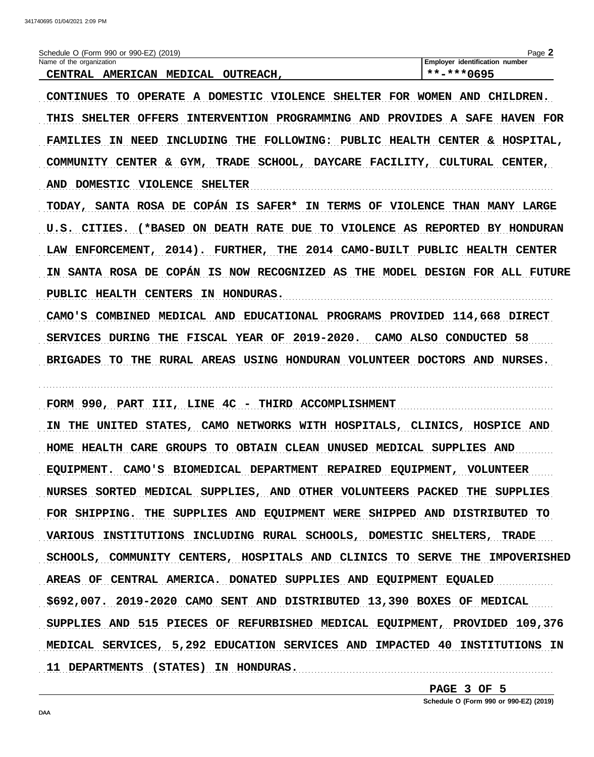Schedule O (Form 990 or 990-EZ) (2019) Page 2 Employer identification number Name of the organization \*\*-\*\*\*0695 CENTRAL AMERICAN MEDICAL OUTREACH,

CONTINUES TO OPERATE A DOMESTIC VIOLENCE SHELTER FOR WOMEN AND CHILDREN. THIS SHELTER OFFERS INTERVENTION PROGRAMMING AND PROVIDES A SAFE HAVEN FOR FAMILIES IN NEED INCLUDING THE FOLLOWING: PUBLIC HEALTH CENTER & HOSPITAL, COMMUNITY CENTER & GYM, TRADE SCHOOL, DAYCARE FACILITY, CULTURAL CENTER, AND DOMESTIC VIOLENCE SHELTER 

TODAY, SANTA ROSA DE COPÁN IS SAFER\* IN TERMS OF VIOLENCE THAN MANY LARGE U.S. CITIES. (\*BASED ON DEATH RATE DUE TO VIOLENCE AS REPORTED BY HONDURAN LAW ENFORCEMENT, 2014). FURTHER, THE 2014 CAMO-BUILT PUBLIC HEALTH CENTER IN SANTA ROSA DE COPÁN IS NOW RECOGNIZED AS THE MODEL DESIGN FOR ALL FUTURE PUBLIC HEALTH CENTERS IN HONDURAS.

CAMO'S COMBINED MEDICAL AND EDUCATIONAL PROGRAMS PROVIDED 114,668 DIRECT SERVICES DURING THE FISCAL YEAR OF 2019-2020. CAMO ALSO CONDUCTED 58 BRIGADES TO THE RURAL AREAS USING HONDURAN VOLUNTEER DOCTORS AND NURSES.

FORM 990, PART III, LINE 4C - THIRD ACCOMPLISHMENT IN THE UNITED STATES, CAMO NETWORKS WITH HOSPITALS, CLINICS, HOSPICE AND HOME HEALTH CARE GROUPS TO OBTAIN CLEAN UNUSED MEDICAL SUPPLIES AND EQUIPMENT. CAMO'S BIOMEDICAL DEPARTMENT REPAIRED EQUIPMENT, VOLUNTEER NURSES SORTED MEDICAL SUPPLIES, AND OTHER VOLUNTEERS PACKED THE SUPPLIES FOR SHIPPING. THE SUPPLIES AND EQUIPMENT WERE SHIPPED AND DISTRIBUTED TO VARIOUS INSTITUTIONS INCLUDING RURAL SCHOOLS, DOMESTIC SHELTERS, TRADE SCHOOLS, COMMUNITY CENTERS, HOSPITALS AND CLINICS TO SERVE THE IMPOVERISHED AREAS OF CENTRAL AMERICA. DONATED SUPPLIES AND EQUIPMENT EQUALED \$692,007. 2019-2020 CAMO SENT AND DISTRIBUTED 13,390 BOXES OF MEDICAL SUPPLIES AND 515 PIECES OF REFURBISHED MEDICAL EQUIPMENT, PROVIDED 109,376 MEDICAL SERVICES, 5,292 EDUCATION SERVICES AND IMPACTED 40 INSTITUTIONS IN 11 DEPARTMENTS (STATES) IN HONDURAS.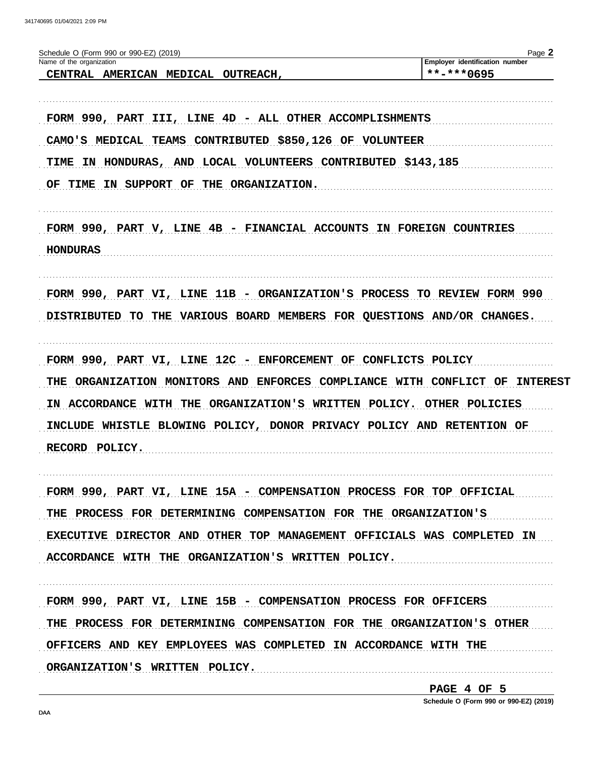| Schedule O (Form 990 or 990-EZ) (2019)<br>Name of the organization                                                                                                                             | Page 2<br>Employer identification number |
|------------------------------------------------------------------------------------------------------------------------------------------------------------------------------------------------|------------------------------------------|
| CENTRAL AMERICAN MEDICAL OUTREACH,                                                                                                                                                             | $***$ -***0695                           |
| FORM 990, PART III, LINE 4D - ALL OTHER ACCOMPLISHMENTS                                                                                                                                        |                                          |
| CAMO'S MEDICAL TEAMS CONTRIBUTED \$850,126 OF VOLUNTEER                                                                                                                                        |                                          |
| IN HONDURAS, AND LOCAL VOLUNTEERS CONTRIBUTED \$143,185<br><b>TIME</b>                                                                                                                         |                                          |
| IN SUPPORT OF THE ORGANIZATION.<br><b>TIME</b><br>OF.                                                                                                                                          |                                          |
| FORM 990, PART V, LINE 4B - FINANCIAL ACCOUNTS IN FOREIGN COUNTRIES                                                                                                                            |                                          |
| <b>HONDURAS</b>                                                                                                                                                                                |                                          |
| FORM 990, PART VI, LINE 11B - ORGANIZATION'S PROCESS TO REVIEW FORM 990                                                                                                                        |                                          |
| THE VARIOUS BOARD MEMBERS FOR QUESTIONS AND/OR CHANGES.<br>DISTRIBUTED TO                                                                                                                      |                                          |
|                                                                                                                                                                                                |                                          |
| FORM 990, PART VI, LINE 12C - ENFORCEMENT OF CONFLICTS POLICY                                                                                                                                  |                                          |
| THE ORGANIZATION MONITORS AND ENFORCES COMPLIANCE WITH CONFLICT OF INTEREST                                                                                                                    |                                          |
| IN ACCORDANCE WITH THE ORGANIZATION'S WRITTEN POLICY. OTHER POLICIES                                                                                                                           |                                          |
| INCLUDE WHISTLE BLOWING POLICY, DONOR PRIVACY POLICY AND RETENTION OF                                                                                                                          |                                          |
| RECORD POLICY.                                                                                                                                                                                 |                                          |
| FORM 990, PART VI, LINE 15A - COMPENSATION PROCESS FOR TOP OFFICIAL                                                                                                                            |                                          |
| THE PROCESS FOR DETERMINING COMPENSATION FOR THE ORGANIZATION'S                                                                                                                                |                                          |
| EXECUTIVE DIRECTOR AND OTHER TOP MANAGEMENT OFFICIALS WAS COMPLETED IN                                                                                                                         |                                          |
|                                                                                                                                                                                                |                                          |
|                                                                                                                                                                                                |                                          |
| ACCORDANCE WITH THE ORGANIZATION'S WRITTEN POLICY.<br>FORM 990, PART VI, LINE 15B - COMPENSATION PROCESS FOR OFFICERS<br>THE PROCESS FOR DETERMINING COMPENSATION FOR THE ORGANIZATION'S OTHER |                                          |
| OFFICERS AND KEY EMPLOYEES WAS COMPLETED IN ACCORDANCE WITH THE                                                                                                                                |                                          |

PAGE 4 OF 5

Schedule O (Form 990 or 990-EZ) (2019)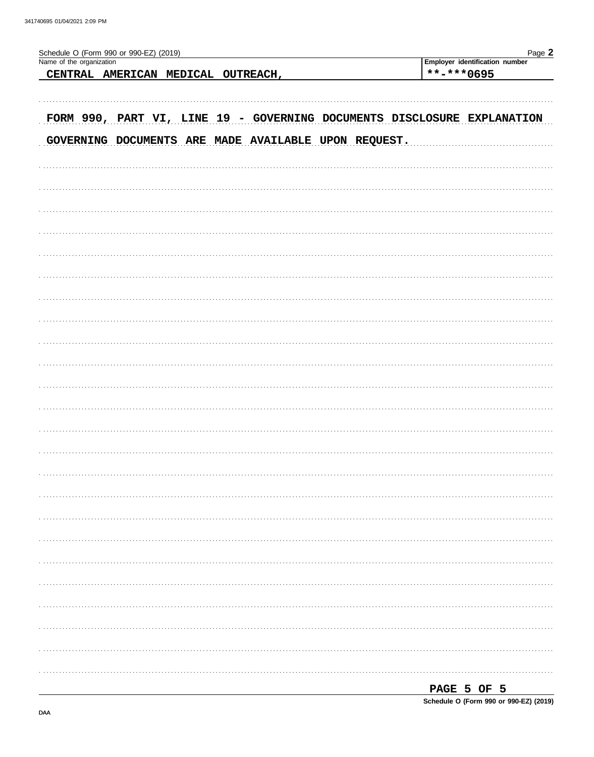| Schedule O (Form 990 or 990-EZ) (2019)<br>Name of the organization      | Page 2<br>Employer identification number |
|-------------------------------------------------------------------------|------------------------------------------|
| CENTRAL AMERICAN MEDICAL OUTREACH,                                      | **-***0695                               |
|                                                                         |                                          |
|                                                                         |                                          |
| FORM 990, PART VI, LINE 19 - GOVERNING DOCUMENTS DISCLOSURE EXPLANATION |                                          |
| GOVERNING DOCUMENTS ARE MADE AVAILABLE UPON REQUEST.                    |                                          |
|                                                                         |                                          |
|                                                                         |                                          |
|                                                                         |                                          |
|                                                                         |                                          |
|                                                                         |                                          |
|                                                                         |                                          |
|                                                                         |                                          |
|                                                                         |                                          |
|                                                                         |                                          |
|                                                                         |                                          |
|                                                                         |                                          |
|                                                                         |                                          |
|                                                                         |                                          |
|                                                                         |                                          |
|                                                                         |                                          |
|                                                                         |                                          |
|                                                                         |                                          |
|                                                                         |                                          |
|                                                                         |                                          |
|                                                                         |                                          |
|                                                                         |                                          |
|                                                                         |                                          |
|                                                                         |                                          |
|                                                                         |                                          |
|                                                                         |                                          |
|                                                                         |                                          |
|                                                                         |                                          |
|                                                                         |                                          |
|                                                                         |                                          |
|                                                                         |                                          |
|                                                                         |                                          |
|                                                                         | PAGE 5 OF 5                              |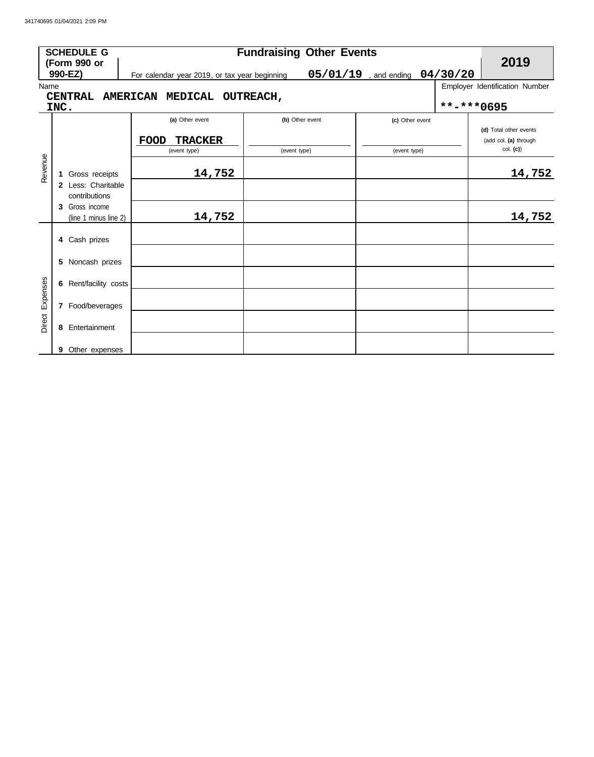|          | <b>SCHEDULE G</b><br>(Form 990 or                           |                                                  | <b>Fundraising Other Events</b> |                                 | 2019                                                        |
|----------|-------------------------------------------------------------|--------------------------------------------------|---------------------------------|---------------------------------|-------------------------------------------------------------|
|          | 990-EZ)                                                     | For calendar year 2019, or tax year beginning    |                                 | 05/01/19 , and ending 04/30/20  |                                                             |
| Name     | INC.                                                        | CENTRAL AMERICAN MEDICAL                         | <b>OUTREACH,</b>                |                                 | Employer Identification Number<br>**-***0695                |
|          |                                                             | (a) Other event<br><b>TRACKER</b><br><b>FOOD</b> | (b) Other event<br>(event type) | (c) Other event<br>(event type) | (d) Total other events<br>(add col. (a) through<br>col. (c) |
|          |                                                             | (event type)                                     |                                 |                                 |                                                             |
| Revenue  | Gross receipts<br>1.<br>2 Less: Charitable<br>contributions | 14,752                                           |                                 |                                 | 14,752                                                      |
|          | 3 Gross income<br>(line 1 minus line 2)                     | 14,752                                           |                                 |                                 | 14,752                                                      |
|          | 4 Cash prizes                                               |                                                  |                                 |                                 |                                                             |
|          | 5 Noncash prizes                                            |                                                  |                                 |                                 |                                                             |
| Expenses | 6 Rent/facility costs                                       |                                                  |                                 |                                 |                                                             |
|          | 7 Food/beverages                                            |                                                  |                                 |                                 |                                                             |
| Direct   | 8 Entertainment                                             |                                                  |                                 |                                 |                                                             |
|          | 9 Other expenses                                            |                                                  |                                 |                                 |                                                             |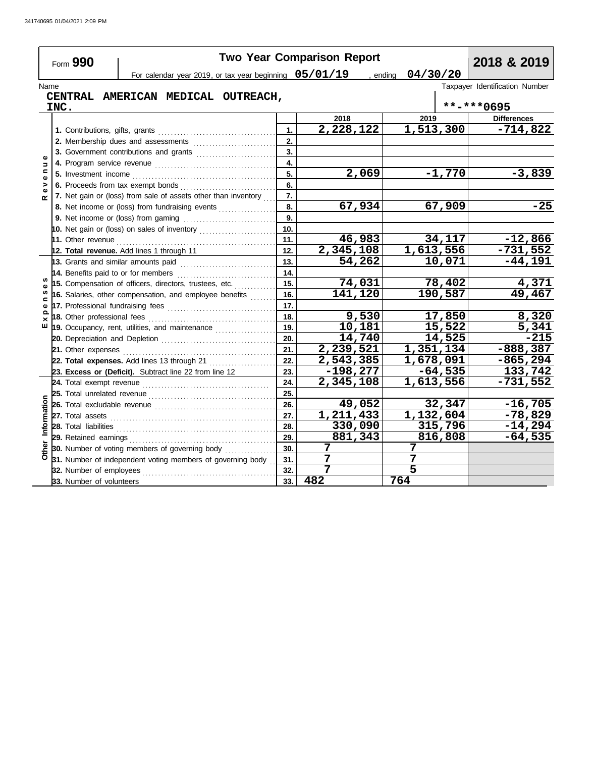|               | Form 990                 |                                                                          |     | <b>Two Year Comparison Report</b> |                        | 2018 & 2019                    |
|---------------|--------------------------|--------------------------------------------------------------------------|-----|-----------------------------------|------------------------|--------------------------------|
|               |                          | For calendar year 2019, or tax year beginning 05/01/19 , ending 04/30/20 |     |                                   |                        |                                |
| Name          |                          |                                                                          |     |                                   |                        | Taxpayer Identification Number |
|               |                          | CENTRAL AMERICAN MEDICAL OUTREACH,                                       |     |                                   |                        |                                |
|               | INC.                     |                                                                          |     |                                   |                        | **-***0695                     |
|               |                          |                                                                          |     | 2018                              | 2019                   | <b>Differences</b>             |
|               |                          |                                                                          | 1.  | 2,228,122                         | 1,513,300              | $-714,822$                     |
|               |                          | 2. Membership dues and assessments                                       | 2.  |                                   |                        |                                |
|               |                          | 3. Government contributions and grants                                   | 3.  |                                   |                        |                                |
| Φ<br>Ξ        |                          |                                                                          | 4.  |                                   |                        |                                |
| c<br>Ф        |                          |                                                                          | 5.  | 2,069                             | $-1,770$               | $-3,839$                       |
| >             |                          |                                                                          | 6.  |                                   |                        |                                |
| $\alpha$      |                          | 7. Net gain or (loss) from sale of assets other than inventory           | 7.  |                                   |                        |                                |
|               |                          | 8. Net income or (loss) from fundraising events                          | 8.  | 67,934                            | 67,909                 | $-25$                          |
|               |                          |                                                                          | 9.  |                                   |                        |                                |
|               |                          | 10. Net gain or (loss) on sales of inventory <i>contract in the</i>      | 10. |                                   |                        |                                |
|               |                          |                                                                          | 11. | 46,983                            | 34,117                 | $-12,866$                      |
|               |                          | 12. Total revenue. Add lines 1 through 11                                | 12. | 2,345,108                         | 1,613,556              | $-731,552$                     |
|               |                          | 13. Grants and similar amounts paid                                      | 13. | 54,262                            | 10,071                 | $-44,191$                      |
|               |                          | 14. Benefits paid to or for members                                      | 14. |                                   |                        |                                |
|               |                          | 15. Compensation of officers, directors, trustees, etc.                  | 15. | 74,031                            | 78,402                 | 4,371                          |
| w<br>⊆        |                          | 16. Salaries, other compensation, and employee benefits                  | 16. | 141,120                           | 190,587                | 49,467                         |
| $\mathbf{Q}$  |                          |                                                                          | 17. |                                   |                        |                                |
| $\Omega$<br>× |                          |                                                                          | 18. | 9,530                             | 17,850                 | 8,320                          |
| ш             |                          | 19. Occupancy, rent, utilities, and maintenance                          | 19. | 10,181                            | 15,522                 | 5,341                          |
|               |                          | 20. Depreciation and Depletion                                           | 20. | 14,740                            | 14,525                 | $-215$                         |
|               | 21. Other expenses       |                                                                          | 21. | 2,239,521                         | $\overline{1,351,134}$ | $-888, 387$                    |
|               |                          | 22. Total expenses. Add lines 13 through 21                              | 22. | 2,543,385                         | 1,678,091              | $-865, 294$                    |
|               |                          | 23. Excess or (Deficit). Subtract line 22 from line 12                   | 23. | $-198,277$                        | $-64,535$              | 133,742                        |
|               |                          |                                                                          | 24. | $\overline{2}$ , 345, 108         | 1,613,556              | $-731,552$                     |
|               |                          |                                                                          | 25. |                                   |                        |                                |
|               |                          |                                                                          | 26. | 49,052                            | 32,347                 | $-16,705$                      |
|               |                          |                                                                          | 27. | 1,211,433                         | 1,132,604              | $-78,829$                      |
| Informatio    |                          |                                                                          | 28. | 330,090                           | 315,796                | $-14,294$                      |
|               |                          |                                                                          | 29. | 881,343                           | 816,808                | $-64,535$                      |
| ther          |                          | 30. Number of voting members of governing body                           | 30. | 7                                 | $\overline{7}$         |                                |
|               |                          | 31. Number of independent voting members of governing body               | 31. | 7                                 | 7                      |                                |
|               | 32. Number of employees  |                                                                          | 32. | $\overline{7}$                    | $\overline{5}$         |                                |
|               | 33. Number of volunteers |                                                                          | 33. | 482                               | 764                    |                                |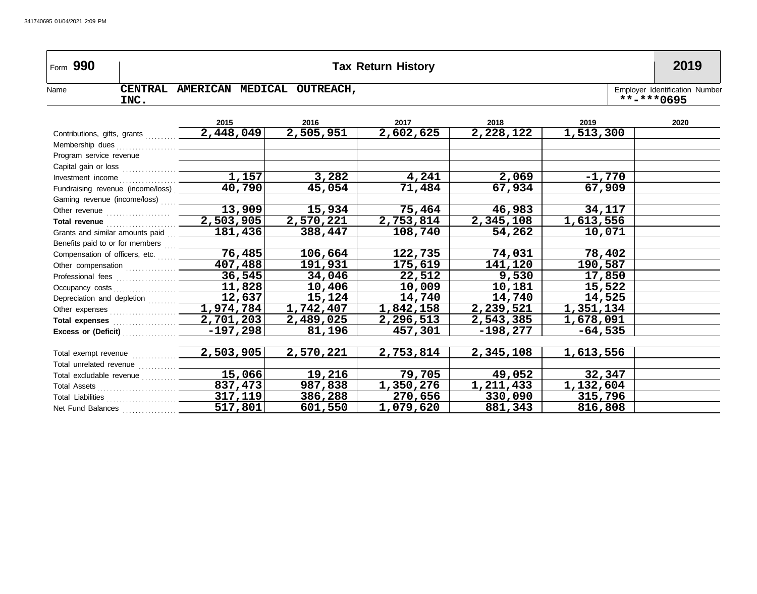| Form 990                                 | <b>Tax Return History</b>          |           |           |                        |           |                                                  |
|------------------------------------------|------------------------------------|-----------|-----------|------------------------|-----------|--------------------------------------------------|
| Name<br>INC.                             | CENTRAL AMERICAN MEDICAL OUTREACH, |           |           |                        |           | Employer Identification Number<br>$***$ -***0695 |
|                                          | 2015                               | 2016      | 2017      | 2018                   | 2019      | 2020                                             |
|                                          | $\boxed{2,448,049}$                | 2,505,951 | 2,602,625 | $\overline{2,228,122}$ | 1,513,300 |                                                  |
|                                          |                                    |           |           |                        |           |                                                  |
| Program service revenue                  |                                    |           |           |                        |           |                                                  |
|                                          |                                    |           |           |                        |           |                                                  |
|                                          | 1,157                              | 3,282     | 4,241     | 2,069                  | $-1,770$  |                                                  |
| Fundraising revenue (income/loss) __     | $\overline{40,790}$                | 45,054    | 71,484    | 67,934                 | 67,909    |                                                  |
| Gaming revenue (income/loss)  _____      |                                    |           |           |                        |           |                                                  |
|                                          | 13,909                             | 15,934    | 75,464    | 46,983                 | 34,117    |                                                  |
|                                          | 2,503,905                          | 2,570,221 | 2,753,814 | 2,345,108              | 1,613,556 |                                                  |
| Grants and similar amounts paid [11]     | 181,436                            | 388,447   | 108,740   | 54,262                 | 10,071    |                                                  |
| Benefits paid to or for members  _______ |                                    |           |           |                        |           |                                                  |
|                                          | 76,485                             | 106,664   | 122,735   | 74,031                 | 78,402    |                                                  |
|                                          | 407,488                            | 191,931   | 175,619   | 141,120                | 190,587   |                                                  |
|                                          | 36,545                             | 34,046    | 22,512    | 9,530                  | 17,850    |                                                  |
|                                          | 11,828                             | 10,406    | 10,009    | 10,181                 | 15,522    |                                                  |
| Depreciation and depletion               | $\overline{12,637}$                | 15,124    | 14,740    | 14,740                 | 14,525    |                                                  |
|                                          |                                    | 1,742,407 | 1,842,158 | 2,239,521              | 1,351,134 |                                                  |
|                                          | 2,701,203                          | 2,489,025 | 2,296,513 | 2,543,385              | 1,678,091 |                                                  |
|                                          | $-197,298$                         | 81,196    | 457,301   | $-198,277$             | $-64,535$ |                                                  |
|                                          |                                    |           |           | 2,345,108              |           |                                                  |
|                                          |                                    | 2,570,221 | 2,753,814 |                        | 1,613,556 |                                                  |
| Total unrelated revenue                  |                                    |           |           |                        |           |                                                  |
| Total excludable revenue                 | 15,066<br>837,473                  | 19,216    | 79,705    | 49,052                 | 32,347    |                                                  |
|                                          |                                    | 987,838   | 1,350,276 | 1,211,433              | 1,132,604 |                                                  |
|                                          | $\overline{317,119}$               | 386,288   | 270,656   | 330,090                | 315,796   |                                                  |
|                                          | 517,801                            | 601,550   | 1,079,620 | 881,343                | 816,808   |                                                  |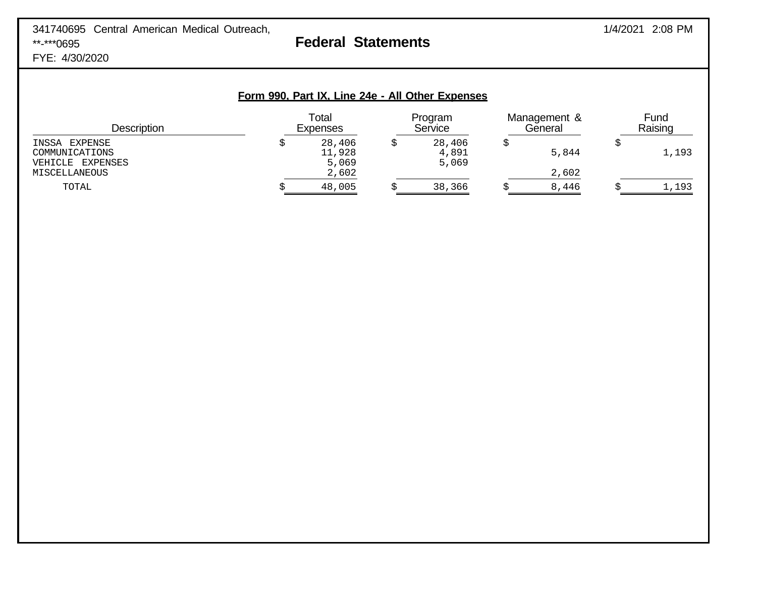FYE: 4/30/2020

|--|

| Description                        | Total<br>Expenses | Program<br>Service | Management &<br>General | Fund<br>Raising |
|------------------------------------|-------------------|--------------------|-------------------------|-----------------|
| INSSA EXPENSE                      | 28,406            | 28,406             |                         |                 |
| COMMUNICATIONS<br>VEHICLE EXPENSES | 11,928<br>5,069   | 4,891<br>5,069     | 5,844                   | 1,193           |
| MISCELLANEOUS                      | 2,602             |                    | 2,602                   |                 |
| TOTAL                              | 48,005            | 38,366             | 8,446                   | 1,193           |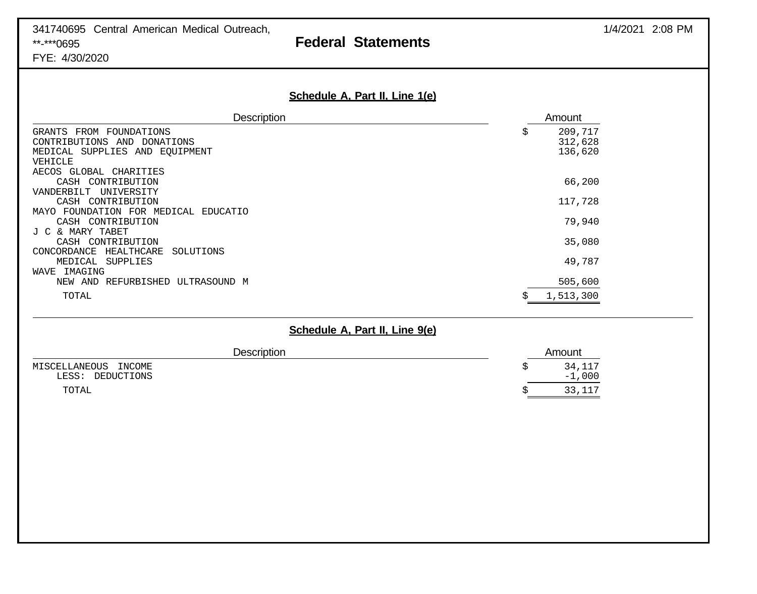| 341740695 Central American Medical Outreach, |  |  |
|----------------------------------------------|--|--|
| **-***0695                                   |  |  |

# **Federal Statements**

FYE: 4/30/2020

| Schedule A, Part II, Line 1(e)         |               |
|----------------------------------------|---------------|
| <b>Description</b>                     | Amount        |
| GRANTS FROM FOUNDATIONS                | 209,717<br>\$ |
| CONTRIBUTIONS AND DONATIONS            | 312,628       |
| MEDICAL SUPPLIES AND EQUIPMENT         | 136,620       |
| VEHICLE                                |               |
| AECOS GLOBAL CHARITIES                 |               |
| CASH<br>CONTRIBUTION                   | 66,200        |
| UNIVERSITY<br>VANDERBILT               |               |
| CASH CONTRIBUTION                      | 117,728       |
| MAYO FOUNDATION FOR MEDICAL EDUCATIO   |               |
| CASH CONTRIBUTION                      | 79,940        |
| J C & MARY TABET                       |               |
| CASH<br>CONTRIBUTION                   | 35,080        |
| CONCORDANCE<br>HEALTHCARE<br>SOLUTIONS |               |
| MEDICAL<br><b>SUPPLIES</b>             | 49,787        |
| IMAGING<br>WAVE                        |               |
| REFURBISHED ULTRASOUND M<br>NEW AND    | 505,600       |
| TOTAL                                  | 1,513,300     |
|                                        |               |

|                                          | Schedule A, Part II, Line 9(e) |                    |
|------------------------------------------|--------------------------------|--------------------|
| <b>Description</b>                       |                                | Amount             |
| MISCELLANEOUS INCOME<br>LESS: DEDUCTIONS |                                | 34,117<br>$-1,000$ |
| TOTAL                                    |                                | 33,117             |